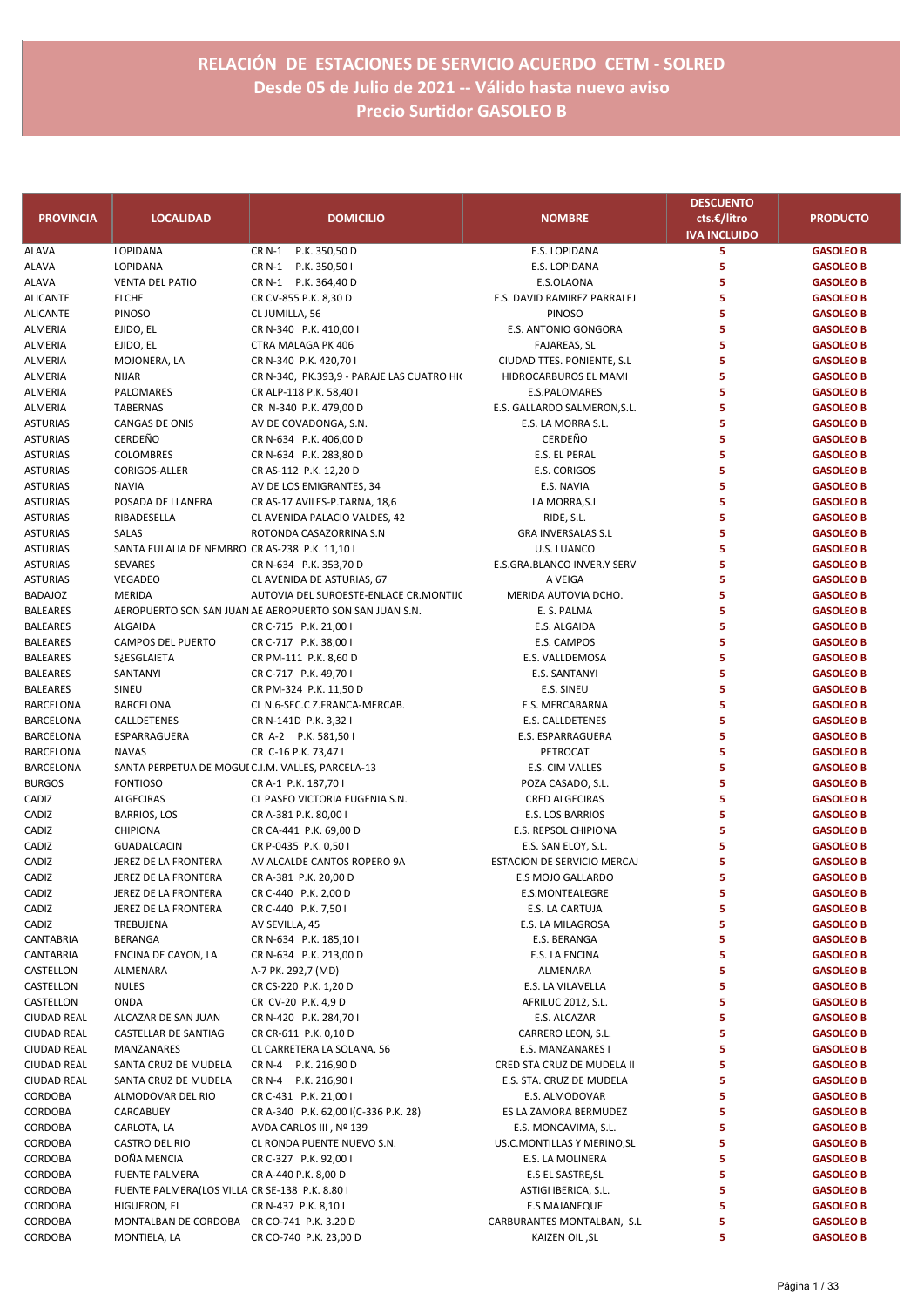| <b>PROVINCIA</b> | <b>LOCALIDAD</b>                                  | <b>DOMICILIO</b>                                        | <b>NOMBRE</b>                | <b>DESCUENTO</b><br>cts.€/litro<br><b>IVA INCLUIDO</b> | <b>PRODUCTO</b>  |
|------------------|---------------------------------------------------|---------------------------------------------------------|------------------------------|--------------------------------------------------------|------------------|
| <b>ALAVA</b>     | LOPIDANA                                          | CR N-1<br>P.K. 350,50 D                                 | E.S. LOPIDANA                | 5                                                      | <b>GASOLEO B</b> |
| ALAVA            | LOPIDANA                                          | CR N-1 P.K. 350,50 I                                    | E.S. LOPIDANA                | 5                                                      | <b>GASOLEO B</b> |
| ALAVA            | <b>VENTA DEL PATIO</b>                            | CR N-1 P.K. 364,40 D                                    | E.S.OLAONA                   | 5                                                      | <b>GASOLEO B</b> |
| ALICANTE         | <b>ELCHE</b>                                      | CR CV-855 P.K. 8,30 D                                   | E.S. DAVID RAMIREZ PARRALEJ  | 5                                                      | <b>GASOLEO B</b> |
| <b>ALICANTE</b>  | PINOSO                                            | CL JUMILLA, 56                                          | <b>PINOSO</b>                | 5                                                      | <b>GASOLEO B</b> |
| ALMERIA          | EJIDO, EL                                         | CR N-340 P.K. 410,00 I                                  | E.S. ANTONIO GONGORA         | 5                                                      | <b>GASOLEO B</b> |
| ALMERIA          | EJIDO, EL                                         | CTRA MALAGA PK 406                                      | FAJAREAS, SL                 | 5                                                      | <b>GASOLEO B</b> |
| ALMERIA          | MOJONERA, LA                                      | CR N-340 P.K. 420,70 I                                  | CIUDAD TTES. PONIENTE, S.L   | 5                                                      | <b>GASOLEO B</b> |
| ALMERIA          | <b>NIJAR</b>                                      | CR N-340, PK.393,9 - PARAJE LAS CUATRO HI(              | HIDROCARBUROS EL MAMI        | 5                                                      | <b>GASOLEO B</b> |
| ALMERIA          | PALOMARES                                         | CR ALP-118 P.K. 58,40 I                                 | E.S.PALOMARES                | 5                                                      | <b>GASOLEO B</b> |
| ALMERIA          | <b>TABERNAS</b>                                   | CR N-340 P.K. 479,00 D                                  | E.S. GALLARDO SALMERON, S.L. | 5                                                      | <b>GASOLEO B</b> |
| <b>ASTURIAS</b>  | CANGAS DE ONIS                                    | AV DE COVADONGA, S.N.                                   | E.S. LA MORRA S.L.           | 5                                                      | <b>GASOLEO B</b> |
| <b>ASTURIAS</b>  | <b>CERDEÑO</b>                                    | CR N-634 P.K. 406,00 D                                  | CERDEÑO                      | 5                                                      | <b>GASOLEO B</b> |
| <b>ASTURIAS</b>  | <b>COLOMBRES</b>                                  | CR N-634 P.K. 283,80 D                                  | E.S. EL PERAL                | 5                                                      | <b>GASOLEO B</b> |
| <b>ASTURIAS</b>  | CORIGOS-ALLER                                     | CR AS-112 P.K. 12,20 D                                  | <b>E.S. CORIGOS</b>          | 5                                                      | <b>GASOLEO B</b> |
| <b>ASTURIAS</b>  | <b>NAVIA</b>                                      | AV DE LOS EMIGRANTES, 34                                | E.S. NAVIA                   | 5                                                      | <b>GASOLEO B</b> |
| <b>ASTURIAS</b>  | POSADA DE LLANERA                                 | CR AS-17 AVILES-P.TARNA, 18,6                           | LA MORRA, S.L                | 5                                                      | <b>GASOLEO B</b> |
| <b>ASTURIAS</b>  | RIBADESELLA                                       | CL AVENIDA PALACIO VALDES, 42                           | RIDE, S.L.                   | 5                                                      | <b>GASOLEO B</b> |
| <b>ASTURIAS</b>  | SALAS                                             | ROTONDA CASAZORRINA S.N                                 | <b>GRA INVERSALAS S.L</b>    | 5                                                      | <b>GASOLEO B</b> |
| <b>ASTURIAS</b>  | SANTA EULALIA DE NEMBRO CR AS-238 P.K. 11,10 I    |                                                         | U.S. LUANCO                  | 5                                                      | <b>GASOLEO B</b> |
| <b>ASTURIAS</b>  | SEVARES                                           | CR N-634 P.K. 353,70 D                                  | E.S.GRA.BLANCO INVER.Y SERV  | 5                                                      | <b>GASOLEO B</b> |
| <b>ASTURIAS</b>  | VEGADEO                                           | CL AVENIDA DE ASTURIAS, 67                              | A VEIGA                      | 5                                                      | <b>GASOLEO B</b> |
| <b>BADAJOZ</b>   | MERIDA                                            | AUTOVIA DEL SUROESTE-ENLACE CR.MONTIJC                  | MERIDA AUTOVIA DCHO.         | 5                                                      | <b>GASOLEO B</b> |
| <b>BALEARES</b>  |                                                   | AEROPUERTO SON SAN JUAN AE AEROPUERTO SON SAN JUAN S.N. | E. S. PALMA                  | 5                                                      | <b>GASOLEO B</b> |
| <b>BALEARES</b>  | <b>ALGAIDA</b>                                    | CR C-715 P.K. 21,00 I                                   | E.S. ALGAIDA                 | 5                                                      | <b>GASOLEO B</b> |
| BALEARES         | <b>CAMPOS DEL PUERTO</b>                          | CR C-717 P.K. 38,00 I                                   | E.S. CAMPOS                  | 5                                                      | <b>GASOLEO B</b> |
| <b>BALEARES</b>  | S¿ESGLAIETA                                       | CR PM-111 P.K. 8,60 D                                   | E.S. VALLDEMOSA              | 5                                                      | <b>GASOLEO B</b> |
|                  | SANTANYI                                          |                                                         |                              | 5                                                      |                  |
| <b>BALEARES</b>  | SINEU                                             | CR C-717 P.K. 49,70 I                                   | E.S. SANTANYI                | 5                                                      | <b>GASOLEO B</b> |
| BALEARES         |                                                   | CR PM-324 P.K. 11,50 D                                  | E.S. SINEU                   | 5                                                      | <b>GASOLEO B</b> |
| BARCELONA        | <b>BARCELONA</b>                                  | CL N.6-SEC.C Z.FRANCA-MERCAB.                           | E.S. MERCABARNA              | 5                                                      | <b>GASOLEO B</b> |
| BARCELONA        | CALLDETENES                                       | CR N-141D P.K. 3,32 I                                   | E.S. CALLDETENES             |                                                        | <b>GASOLEO B</b> |
| BARCELONA        | ESPARRAGUERA                                      | CR A-2 P.K. 581,50 I                                    | E.S. ESPARRAGUERA            | 5                                                      | <b>GASOLEO B</b> |
| BARCELONA        | <b>NAVAS</b>                                      | CR C-16 P.K. 73,47 I                                    | PETROCAT                     | 5                                                      | <b>GASOLEO B</b> |
| BARCELONA        | SANTA PERPETUA DE MOGUI C.I.M. VALLES, PARCELA-13 |                                                         | E.S. CIM VALLES              | 5                                                      | <b>GASOLEO B</b> |
| <b>BURGOS</b>    | <b>FONTIOSO</b>                                   | CR A-1 P.K. 187,70 I                                    | POZA CASADO, S.L.            | 5                                                      | <b>GASOLEO B</b> |
| CADIZ            | <b>ALGECIRAS</b>                                  | CL PASEO VICTORIA EUGENIA S.N.                          | CRED ALGECIRAS               | 5                                                      | <b>GASOLEO B</b> |
| CADIZ            | <b>BARRIOS, LOS</b>                               | CR A-381 P.K. 80,00 I                                   | E.S. LOS BARRIOS             | 5                                                      | <b>GASOLEO B</b> |
| CADIZ            | <b>CHIPIONA</b>                                   | CR CA-441 P.K. 69,00 D                                  | E.S. REPSOL CHIPIONA         | 5                                                      | <b>GASOLEO B</b> |
| CADIZ            | <b>GUADALCACIN</b>                                | CR P-0435 P.K. 0,50 I                                   | E.S. SAN ELOY, S.L.          | 5                                                      | <b>GASOLEO B</b> |
| CADIZ            | JEREZ DE LA FRONTERA                              | AV ALCALDE CANTOS ROPERO 9A                             | ESTACION DE SERVICIO MERCAJ  | 5                                                      | <b>GASOLEO B</b> |
| CADIZ            | JEREZ DE LA FRONTERA                              | CR A-381 P.K. 20,00 D                                   | E.S MOJO GALLARDO            | 5                                                      | <b>GASOLEO B</b> |
| CADIZ            | JEREZ DE LA FRONTERA                              | CR C-440 P.K. 2,00 D                                    | E.S.MONTEALEGRE              | 5                                                      | <b>GASOLEO B</b> |
| CADIZ            | JEREZ DE LA FRONTERA                              | CR C-440 P.K. 7,50 I                                    | E.S. LA CARTUJA              | 5                                                      | <b>GASOLEO B</b> |
| CADIZ            | TREBUJENA                                         | AV SEVILLA, 45                                          | E.S. LA MILAGROSA            | 5                                                      | <b>GASOLEO B</b> |
| CANTABRIA        | BERANGA                                           | CR N-634 P.K. 185,10 I                                  | E.S. BERANGA                 | 5                                                      | <b>GASOLEO B</b> |
| CANTABRIA        | ENCINA DE CAYON, LA                               | CR N-634 P.K. 213,00 D                                  | E.S. LA ENCINA               | 5                                                      | <b>GASOLEO B</b> |
| CASTELLON        | ALMENARA                                          | A-7 PK. 292,7 (MD)                                      | ALMENARA                     | 5                                                      | <b>GASOLEO B</b> |
| CASTELLON        | <b>NULES</b>                                      | CR CS-220 P.K. 1,20 D                                   | E.S. LA VILAVELLA            | 5                                                      | <b>GASOLEO B</b> |
| CASTELLON        | <b>ONDA</b>                                       | CR CV-20 P.K. 4,9 D                                     | AFRILUC 2012, S.L.           | 5                                                      | <b>GASOLEO B</b> |
| CIUDAD REAL      | ALCAZAR DE SAN JUAN                               | CR N-420 P.K. 284,70 I                                  | E.S. ALCAZAR                 | 5                                                      | <b>GASOLEO B</b> |
| CIUDAD REAL      | CASTELLAR DE SANTIAG                              | CR CR-611 P.K. 0,10 D                                   | CARRERO LEON, S.L.           | 5                                                      | <b>GASOLEO B</b> |
| CIUDAD REAL      | MANZANARES                                        | CL CARRETERA LA SOLANA, 56                              | E.S. MANZANARES I            | 5                                                      | <b>GASOLEO B</b> |
| CIUDAD REAL      | SANTA CRUZ DE MUDELA                              | CR N-4 P.K. 216,90 D                                    | CRED STA CRUZ DE MUDELA II   | 5                                                      | <b>GASOLEO B</b> |
| CIUDAD REAL      | SANTA CRUZ DE MUDELA                              | CR N-4 P.K. 216,90 I                                    | E.S. STA. CRUZ DE MUDELA     | 5                                                      | <b>GASOLEO B</b> |
| CORDOBA          | ALMODOVAR DEL RIO                                 | CR C-431 P.K. 21,00 I                                   | E.S. ALMODOVAR               | 5                                                      | <b>GASOLEO B</b> |
| CORDOBA          | CARCABUEY                                         | CR A-340 P.K. 62,00 I(C-336 P.K. 28)                    | ES LA ZAMORA BERMUDEZ        | 5                                                      | <b>GASOLEO B</b> |
| CORDOBA          | CARLOTA, LA                                       | AVDA CARLOS III, Nº 139                                 | E.S. MONCAVIMA, S.L.         | 5                                                      | <b>GASOLEO B</b> |
| CORDOBA          | CASTRO DEL RIO                                    | CL RONDA PUENTE NUEVO S.N.                              | US.C.MONTILLAS Y MERINO, SL  | 5                                                      | <b>GASOLEO B</b> |
| CORDOBA          | DOÑA MENCIA                                       | CR C-327 P.K. 92,00 I                                   | E.S. LA MOLINERA             | 5                                                      | <b>GASOLEO B</b> |
| CORDOBA          | <b>FUENTE PALMERA</b>                             | CR A-440 P.K. 8,00 D                                    | E.S EL SASTRE, SL            | 5                                                      | <b>GASOLEO B</b> |
| CORDOBA          | FUENTE PALMERA(LOS VILLA CR SE-138 P.K. 8.80 I    |                                                         | ASTIGI IBERICA, S.L.         | 5                                                      | <b>GASOLEO B</b> |
| CORDOBA          | HIGUERON, EL                                      | CR N-437 P.K. 8,10 I                                    | <b>E.S MAJANEQUE</b>         | 5                                                      | <b>GASOLEO B</b> |
| CORDOBA          | MONTALBAN DE CORDOBA CR CO-741 P.K. 3.20 D        |                                                         | CARBURANTES MONTALBAN, S.L.  | 5                                                      | <b>GASOLEO B</b> |
| CORDOBA          | MONTIELA, LA                                      | CR CO-740 P.K. 23,00 D                                  | KAIZEN OIL, SL               | 5                                                      | <b>GASOLEO B</b> |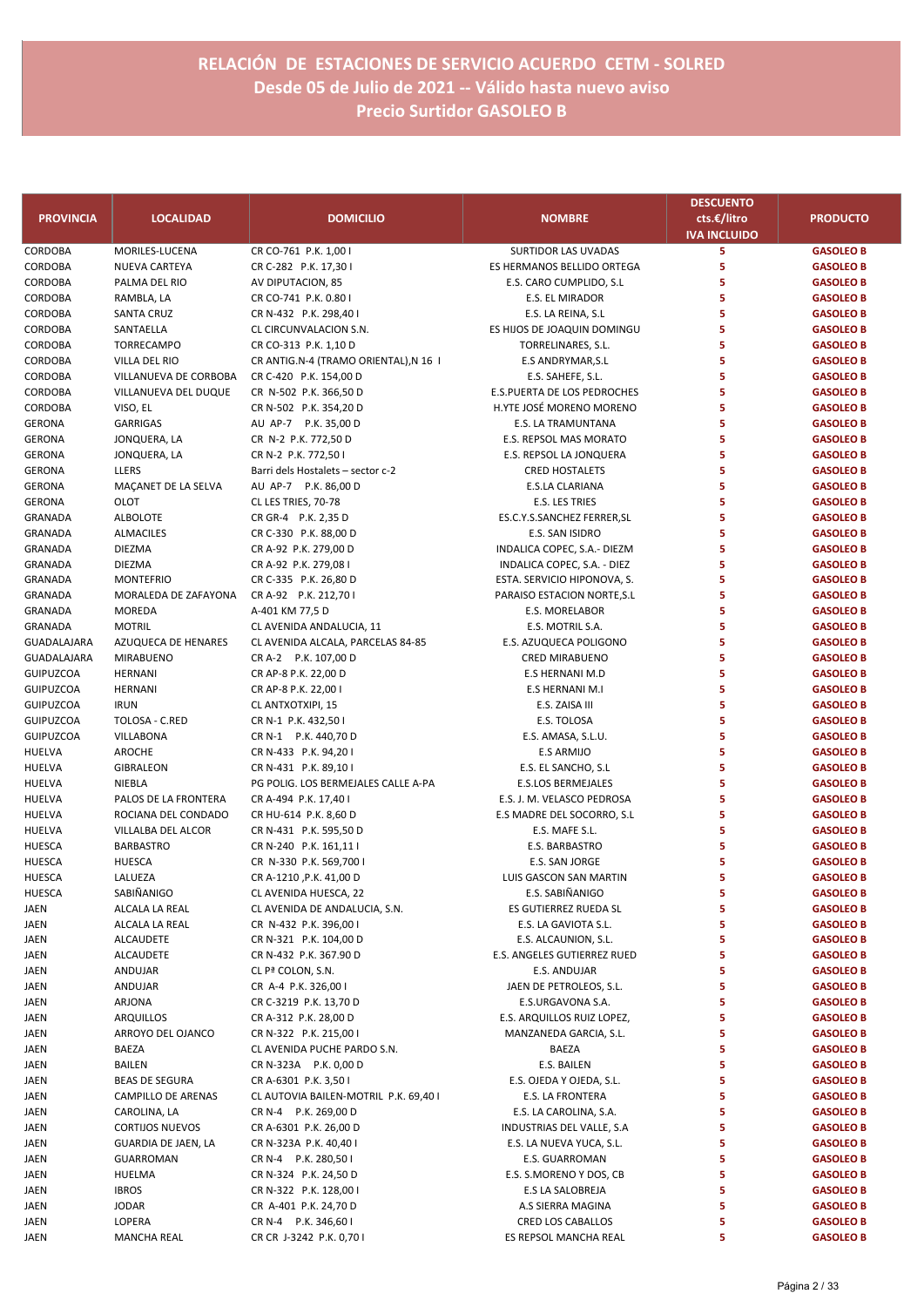|                           |                                   |                                                 |                                                            | <b>DESCUENTO</b>                   |                                      |
|---------------------------|-----------------------------------|-------------------------------------------------|------------------------------------------------------------|------------------------------------|--------------------------------------|
| <b>PROVINCIA</b>          | <b>LOCALIDAD</b>                  | <b>DOMICILIO</b>                                | <b>NOMBRE</b>                                              | cts.€/litro<br><b>IVA INCLUIDO</b> | <b>PRODUCTO</b>                      |
| CORDOBA                   | MORILES-LUCENA                    | CR CO-761 P.K. 1,00 I                           | <b>SURTIDOR LAS UVADAS</b>                                 | 5                                  | <b>GASOLEO B</b>                     |
| CORDOBA                   | NUEVA CARTEYA                     | CR C-282 P.K. 17,30 I                           | ES HERMANOS BELLIDO ORTEGA                                 | 5                                  | <b>GASOLEO B</b>                     |
| CORDOBA                   | PALMA DEL RIO                     | AV DIPUTACION, 85                               | E.S. CARO CUMPLIDO, S.L                                    | 5                                  | <b>GASOLEO B</b>                     |
| CORDOBA                   | RAMBLA, LA                        | CR CO-741 P.K. 0.80 I                           | E.S. EL MIRADOR                                            | 5                                  | <b>GASOLEO B</b>                     |
| CORDOBA                   | <b>SANTA CRUZ</b>                 | CR N-432 P.K. 298,40 I                          | E.S. LA REINA, S.L.                                        | 5                                  | <b>GASOLEO B</b>                     |
| CORDOBA                   | SANTAELLA                         | CL CIRCUNVALACION S.N.                          | ES HIJOS DE JOAQUIN DOMINGU                                | 5                                  | <b>GASOLEO B</b>                     |
| CORDOBA                   | TORRECAMPO                        | CR CO-313 P.K. 1,10 D                           | TORRELINARES, S.L.                                         | 5                                  | <b>GASOLEO B</b>                     |
| CORDOBA                   | VILLA DEL RIO                     | CR ANTIG.N-4 (TRAMO ORIENTAL),N 16 I            | E.S ANDRYMAR, S.L                                          | 5                                  | <b>GASOLEO B</b>                     |
| CORDOBA                   | VILLANUEVA DE CORBOBA             | CR C-420 P.K. 154,00 D                          | E.S. SAHEFE, S.L.                                          | 5                                  | <b>GASOLEO B</b>                     |
| CORDOBA                   | VILLANUEVA DEL DUQUE              | CR N-502 P.K. 366,50 D                          | E.S.PUERTA DE LOS PEDROCHES                                | 5                                  | <b>GASOLEO B</b>                     |
| CORDOBA                   | VISO, EL                          | CR N-502 P.K. 354,20 D                          | H.YTE JOSÉ MORENO MORENO                                   | 5                                  | <b>GASOLEO B</b>                     |
| <b>GERONA</b>             | <b>GARRIGAS</b>                   | AU AP-7 P.K. 35,00 D                            | E.S. LA TRAMUNTANA                                         | 5                                  | <b>GASOLEO B</b>                     |
| <b>GERONA</b>             | JONQUERA, LA                      | CR N-2 P.K. 772,50 D                            | E.S. REPSOL MAS MORATO                                     | 5                                  | <b>GASOLEO B</b>                     |
| <b>GERONA</b>             | JONQUERA, LA                      | CR N-2 P.K. 772,501                             | E.S. REPSOL LA JONQUERA                                    | 5                                  | <b>GASOLEO B</b>                     |
| <b>GERONA</b>             | LLERS                             | Barri dels Hostalets - sector c-2               | <b>CRED HOSTALETS</b>                                      | 5                                  | <b>GASOLEO B</b>                     |
| <b>GERONA</b>             | MAÇANET DE LA SELVA               | AU AP-7 P.K. 86,00 D                            | E.S.LA CLARIANA                                            | 5                                  | <b>GASOLEO B</b>                     |
| <b>GERONA</b>             | OLOT                              | CL LES TRIES, 70-78                             | <b>E.S. LES TRIES</b>                                      | 5                                  | <b>GASOLEO B</b>                     |
| <b>GRANADA</b>            | <b>ALBOLOTE</b>                   | CR GR-4 P.K. 2,35 D                             | ES.C.Y.S.SANCHEZ FERRER, SL                                | 5<br>5                             | <b>GASOLEO B</b>                     |
| <b>GRANADA</b>            | <b>ALMACILES</b>                  | CR C-330 P.K. 88,00 D                           | E.S. SAN ISIDRO                                            | 5                                  | <b>GASOLEO B</b>                     |
| <b>GRANADA</b>            | <b>DIEZMA</b>                     | CR A-92 P.K. 279,00 D                           | INDALICA COPEC, S.A.- DIEZM<br>INDALICA COPEC, S.A. - DIEZ | 5                                  | <b>GASOLEO B</b>                     |
| <b>GRANADA</b><br>GRANADA | <b>DIEZMA</b><br><b>MONTEFRIO</b> | CR A-92 P.K. 279,08 I<br>CR C-335 P.K. 26,80 D  |                                                            | 5                                  | <b>GASOLEO B</b>                     |
| GRANADA                   | MORALEDA DE ZAFAYONA              | CR A-92 P.K. 212,70 I                           | ESTA. SERVICIO HIPONOVA, S.<br>PARAISO ESTACION NORTE, S.L | 5                                  | <b>GASOLEO B</b><br><b>GASOLEO B</b> |
| GRANADA                   | <b>MOREDA</b>                     | A-401 KM 77,5 D                                 | <b>E.S. MORELABOR</b>                                      | 5                                  | <b>GASOLEO B</b>                     |
| GRANADA                   | <b>MOTRIL</b>                     | CL AVENIDA ANDALUCIA, 11                        | E.S. MOTRIL S.A.                                           | 5                                  | <b>GASOLEO B</b>                     |
| GUADALAJARA               | AZUQUECA DE HENARES               | CL AVENIDA ALCALA, PARCELAS 84-85               | E.S. AZUQUECA POLIGONO                                     | 5                                  | <b>GASOLEO B</b>                     |
| GUADALAJARA               | <b>MIRABUENO</b>                  | CR A-2 P.K. 107,00 D                            | <b>CRED MIRABUENO</b>                                      | 5                                  | <b>GASOLEO B</b>                     |
| <b>GUIPUZCOA</b>          | <b>HERNANI</b>                    | CR AP-8 P.K. 22,00 D                            | <b>E.S HERNANI M.D</b>                                     | 5                                  | <b>GASOLEO B</b>                     |
| <b>GUIPUZCOA</b>          | <b>HERNANI</b>                    | CR AP-8 P.K. 22,00 I                            | E.S HERNANI M.I                                            | 5                                  | <b>GASOLEO B</b>                     |
| <b>GUIPUZCOA</b>          | <b>IRUN</b>                       | CL ANTXOTXIPI, 15                               | E.S. ZAISA III                                             | 5                                  | <b>GASOLEO B</b>                     |
| <b>GUIPUZCOA</b>          | TOLOSA - C.RED                    | CR N-1 P.K. 432,501                             | E.S. TOLOSA                                                | 5                                  | <b>GASOLEO B</b>                     |
| <b>GUIPUZCOA</b>          | VILLABONA                         | CR N-1 P.K. 440,70 D                            | E.S. AMASA, S.L.U.                                         | 5                                  | <b>GASOLEO B</b>                     |
| <b>HUELVA</b>             | AROCHE                            | CR N-433 P.K. 94,201                            | <b>E.S ARMIJO</b>                                          | 5                                  | <b>GASOLEO B</b>                     |
| HUELVA                    | <b>GIBRALEON</b>                  | CR N-431 P.K. 89,10 I                           | E.S. EL SANCHO, S.L                                        | 5                                  | <b>GASOLEO B</b>                     |
| <b>HUELVA</b>             | NIEBLA                            | PG POLIG. LOS BERMEJALES CALLE A-PA             | <b>E.S.LOS BERMEJALES</b>                                  | 5                                  | <b>GASOLEO B</b>                     |
| HUELVA                    | PALOS DE LA FRONTERA              | CR A-494 P.K. 17,40 I                           | E.S. J. M. VELASCO PEDROSA                                 | 5                                  | <b>GASOLEO B</b>                     |
| <b>HUELVA</b>             | ROCIANA DEL CONDADO               | CR HU-614 P.K. 8,60 D                           | E.S MADRE DEL SOCORRO, S.L                                 | 5                                  | <b>GASOLEO B</b>                     |
| <b>HUELVA</b>             | VILLALBA DEL ALCOR                | CR N-431 P.K. 595,50 D                          | E.S. MAFE S.L.                                             | 5                                  | <b>GASOLEO B</b>                     |
| <b>HUESCA</b>             | <b>BARBASTRO</b>                  | CR N-240 P.K. 161,11 I                          | E.S. BARBASTRO                                             | 5                                  | <b>GASOLEO B</b>                     |
| <b>HUESCA</b>             | <b>HUESCA</b>                     | CR N-330 P.K. 569,700 I                         | E.S. SAN JORGE                                             | 5                                  | <b>GASOLEO B</b>                     |
| <b>HUESCA</b>             | LALUEZA                           | CR A-1210, P.K. 41,00 D                         | LUIS GASCON SAN MARTIN                                     | 5                                  | <b>GASOLEO B</b>                     |
| HUESCA                    | SABIÑANIGO                        | CL AVENIDA HUESCA, 22                           | E.S. SABIÑANIGO                                            | 5                                  | <b>GASOLEO B</b>                     |
| JAEN                      | ALCALA LA REAL                    | CL AVENIDA DE ANDALUCIA, S.N.                   | ES GUTIERREZ RUEDA SL                                      | 5                                  | <b>GASOLEO B</b>                     |
| JAEN                      | ALCALA LA REAL                    | CR N-432 P.K. 396,00 I                          | E.S. LA GAVIOTA S.L.                                       | 5                                  | <b>GASOLEO B</b>                     |
| JAEN                      | <b>ALCAUDETE</b>                  | CR N-321 P.K. 104,00 D                          | E.S. ALCAUNION, S.L.                                       | 5                                  | <b>GASOLEO B</b>                     |
| JAEN                      | <b>ALCAUDETE</b>                  | CR N-432 P.K. 367.90 D                          | E.S. ANGELES GUTIERREZ RUED                                | 5                                  | <b>GASOLEO B</b>                     |
| JAEN                      | ANDUJAR                           | CL Pª COLON, S.N.                               | E.S. ANDUJAR                                               | 5                                  | <b>GASOLEO B</b>                     |
| JAEN                      | ANDUJAR                           | CR A-4 P.K. 326,00 I                            | JAEN DE PETROLEOS, S.L.                                    | 5                                  | <b>GASOLEO B</b>                     |
| JAEN                      | ARJONA<br><b>ARQUILLOS</b>        | CR C-3219 P.K. 13,70 D<br>CR A-312 P.K. 28,00 D | E.S.URGAVONA S.A.                                          | 5<br>5                             | <b>GASOLEO B</b>                     |
| JAEN                      | ARROYO DEL OJANCO                 | CR N-322 P.K. 215,00 I                          | E.S. ARQUILLOS RUIZ LOPEZ,<br>MANZANEDA GARCIA, S.L.       | 5                                  | <b>GASOLEO B</b><br><b>GASOLEO B</b> |
| JAEN                      | BAEZA                             | CL AVENIDA PUCHE PARDO S.N.                     | BAEZA                                                      | 5                                  | <b>GASOLEO B</b>                     |
| JAEN<br>JAEN              | <b>BAILEN</b>                     | CR N-323A P.K. 0,00 D                           | E.S. BAILEN                                                | 5                                  | <b>GASOLEO B</b>                     |
| JAEN                      | <b>BEAS DE SEGURA</b>             | CR A-6301 P.K. 3,50 I                           | E.S. OJEDA Y OJEDA, S.L.                                   | 5                                  | <b>GASOLEO B</b>                     |
| JAEN                      | CAMPILLO DE ARENAS                | CL AUTOVIA BAILEN-MOTRIL P.K. 69,40 I           | E.S. LA FRONTERA                                           | 5                                  | <b>GASOLEO B</b>                     |
| JAEN                      | CAROLINA, LA                      | CR N-4 P.K. 269,00 D                            | E.S. LA CAROLINA, S.A.                                     | 5                                  | <b>GASOLEO B</b>                     |
| JAEN                      | <b>CORTIJOS NUEVOS</b>            | CR A-6301 P.K. 26,00 D                          | INDUSTRIAS DEL VALLE, S.A.                                 | 5                                  | <b>GASOLEO B</b>                     |
| JAEN                      | GUARDIA DE JAEN, LA               | CR N-323A P.K. 40,40 I                          | E.S. LA NUEVA YUCA, S.L.                                   | 5                                  | <b>GASOLEO B</b>                     |
| JAEN                      | <b>GUARROMAN</b>                  | CR N-4 P.K. 280,50 I                            | E.S. GUARROMAN                                             | 5                                  | <b>GASOLEO B</b>                     |
| JAEN                      | HUELMA                            | CR N-324 P.K. 24,50 D                           | E.S. S.MORENO Y DOS, CB                                    | 5                                  | <b>GASOLEO B</b>                     |
| JAEN                      | <b>IBROS</b>                      | CR N-322 P.K. 128,00 I                          | E.S LA SALOBREJA                                           | 5                                  | <b>GASOLEO B</b>                     |
| JAEN                      | <b>JODAR</b>                      | CR A-401 P.K. 24,70 D                           | A.S SIERRA MAGINA                                          | 5                                  | <b>GASOLEO B</b>                     |
| JAEN                      | LOPERA                            | CR N-4 P.K. 346,60 I                            | CRED LOS CABALLOS                                          | 5                                  | <b>GASOLEO B</b>                     |
| JAEN                      | <b>MANCHA REAL</b>                | CR CR J-3242 P.K. 0,70 I                        | ES REPSOL MANCHA REAL                                      | 5                                  | <b>GASOLEO B</b>                     |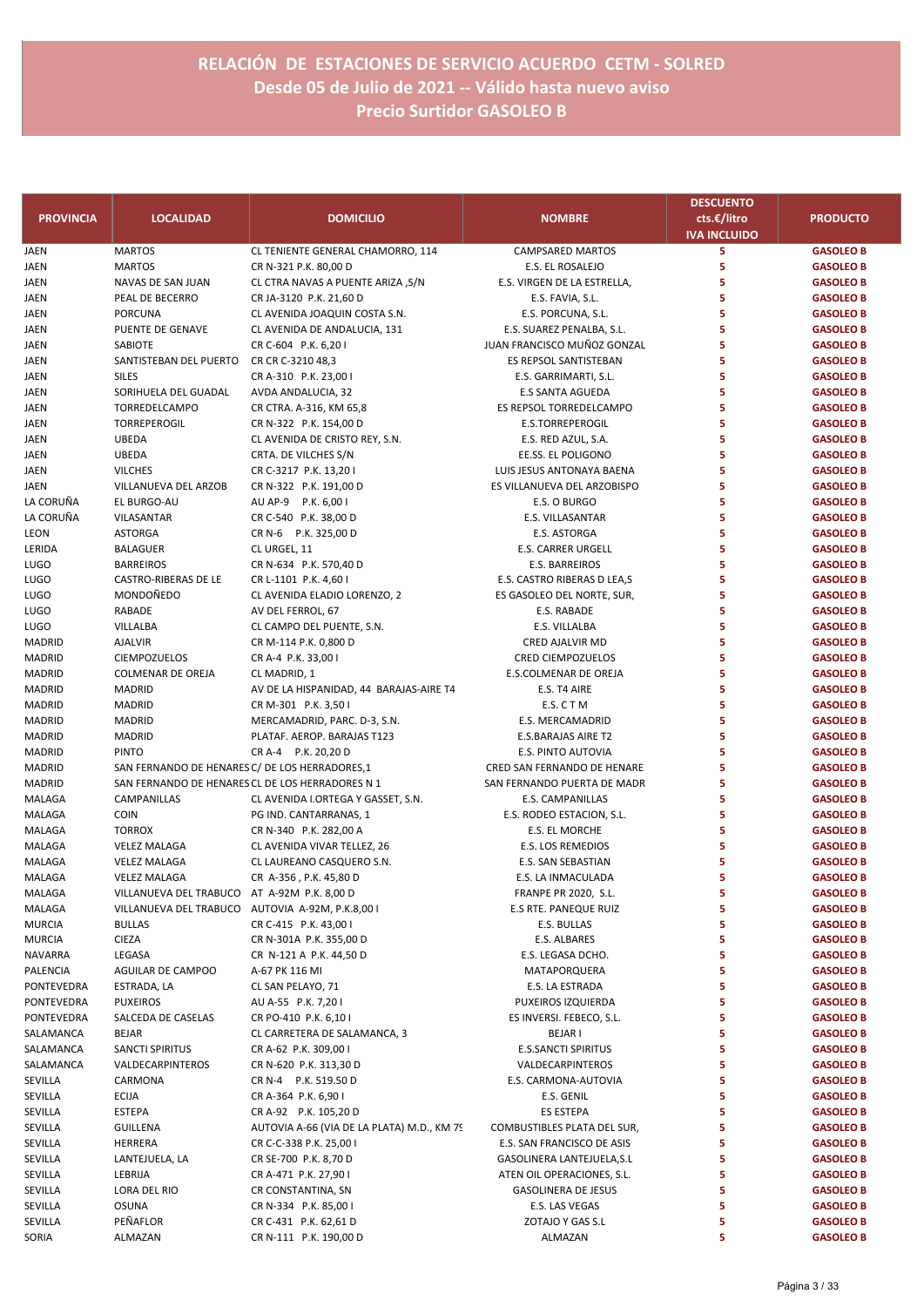| <b>PROVINCIA</b>    | <b>LOCALIDAD</b>                                | <b>DOMICILIO</b>                                         | <b>NOMBRE</b>                                            | <b>DESCUENTO</b><br>cts.€/litro | <b>PRODUCTO</b>                      |
|---------------------|-------------------------------------------------|----------------------------------------------------------|----------------------------------------------------------|---------------------------------|--------------------------------------|
|                     |                                                 |                                                          |                                                          | <b>IVA INCLUIDO</b>             |                                      |
| JAEN                | <b>MARTOS</b>                                   | CL TENIENTE GENERAL CHAMORRO, 114                        | <b>CAMPSARED MARTOS</b>                                  | 5                               | <b>GASOLEO B</b>                     |
| JAEN                | <b>MARTOS</b>                                   | CR N-321 P.K. 80,00 D                                    | E.S. EL ROSALEJO                                         | 5                               | <b>GASOLEO B</b>                     |
| JAEN                | NAVAS DE SAN JUAN<br>PEAL DE BECERRO            | CL CTRA NAVAS A PUENTE ARIZA, S/N                        | E.S. VIRGEN DE LA ESTRELLA,<br>E.S. FAVIA, S.L.          | 5<br>5                          | <b>GASOLEO B</b><br><b>GASOLEO B</b> |
| JAEN<br>JAEN        | PORCUNA                                         | CR JA-3120 P.K. 21,60 D<br>CL AVENIDA JOAQUIN COSTA S.N. | E.S. PORCUNA, S.L.                                       | 5                               | <b>GASOLEO B</b>                     |
| JAEN                | PUENTE DE GENAVE                                | CL AVENIDA DE ANDALUCIA, 131                             | E.S. SUAREZ PENALBA, S.L.                                | 5                               | <b>GASOLEO B</b>                     |
| JAEN                | SABIOTE                                         | CR C-604 P.K. 6,20 I                                     | JUAN FRANCISCO MUÑOZ GONZAL                              | 5                               | <b>GASOLEO B</b>                     |
| JAEN                | SANTISTEBAN DEL PUERTO                          | CR CR C-3210 48,3                                        | ES REPSOL SANTISTEBAN                                    | 5                               | <b>GASOLEO B</b>                     |
| JAEN                | <b>SILES</b>                                    | CR A-310 P.K. 23,00 I                                    | E.S. GARRIMARTI, S.L.                                    | 5                               | <b>GASOLEO B</b>                     |
| JAEN                | SORIHUELA DEL GUADAL                            | AVDA ANDALUCIA, 32                                       | <b>E.S SANTA AGUEDA</b>                                  | 5                               | <b>GASOLEO B</b>                     |
| JAEN                | TORREDELCAMPO                                   | CR CTRA. A-316, KM 65,8                                  | ES REPSOL TORREDELCAMPO                                  | 5                               | <b>GASOLEO B</b>                     |
| JAEN                | TORREPEROGIL                                    | CR N-322 P.K. 154,00 D                                   | <b>E.S.TORREPEROGIL</b>                                  | 5                               | <b>GASOLEO B</b>                     |
| <b>JAEN</b>         | <b>UBEDA</b>                                    | CL AVENIDA DE CRISTO REY, S.N.                           | E.S. RED AZUL, S.A.                                      | 5                               | <b>GASOLEO B</b>                     |
| JAEN                | <b>UBEDA</b>                                    | CRTA. DE VILCHES S/N                                     | EE.SS. EL POLIGONO                                       | 5                               | <b>GASOLEO B</b>                     |
| JAEN                | <b>VILCHES</b>                                  | CR C-3217 P.K. 13,201                                    | LUIS JESUS ANTONAYA BAENA                                | 5                               | <b>GASOLEO B</b>                     |
| JAEN                | VILLANUEVA DEL ARZOB                            | CR N-322 P.K. 191,00 D                                   | ES VILLANUEVA DEL ARZOBISPO                              | 5                               | <b>GASOLEO B</b>                     |
| LA CORUÑA           | EL BURGO-AU<br>VILASANTAR                       | AU AP-9 P.K. 6,00 I                                      | E.S. O BURGO                                             | 5<br>5                          | <b>GASOLEO B</b><br><b>GASOLEO B</b> |
| LA CORUÑA<br>LEON   | <b>ASTORGA</b>                                  | CR C-540 P.K. 38,00 D<br>CR N-6 P.K. 325,00 D            | E.S. VILLASANTAR<br>E.S. ASTORGA                         | 5                               | <b>GASOLEO B</b>                     |
| LERIDA              | <b>BALAGUER</b>                                 | CL URGEL, 11                                             | <b>E.S. CARRER URGELL</b>                                | 5                               | <b>GASOLEO B</b>                     |
| LUGO                | <b>BARREIROS</b>                                | CR N-634 P.K. 570,40 D                                   | <b>E.S. BARREIROS</b>                                    | 5                               | <b>GASOLEO B</b>                     |
| LUGO                | CASTRO-RIBERAS DE LE                            | CR L-1101 P.K. 4,60 I                                    | E.S. CASTRO RIBERAS D LEA,S                              | 5                               | <b>GASOLEO B</b>                     |
| LUGO                | MONDOÑEDO                                       | CL AVENIDA ELADIO LORENZO, 2                             | ES GASOLEO DEL NORTE, SUR,                               | 5                               | <b>GASOLEO B</b>                     |
| LUGO                | RABADE                                          | AV DEL FERROL, 67                                        | E.S. RABADE                                              | 5                               | <b>GASOLEO B</b>                     |
| LUGO                | VILLALBA                                        | CL CAMPO DEL PUENTE, S.N.                                | E.S. VILLALBA                                            | 5                               | <b>GASOLEO B</b>                     |
| MADRID              | <b>AJALVIR</b>                                  | CR M-114 P.K. 0,800 D                                    | CRED AJALVIR MD                                          | 5                               | <b>GASOLEO B</b>                     |
| MADRID              | <b>CIEMPOZUELOS</b>                             | CR A-4 P.K. 33,00 I                                      | <b>CRED CIEMPOZUELOS</b>                                 | 5                               | <b>GASOLEO B</b>                     |
| MADRID              | <b>COLMENAR DE OREJA</b>                        | CL MADRID, 1                                             | E.S.COLMENAR DE OREJA                                    | 5                               | <b>GASOLEO B</b>                     |
| MADRID              | <b>MADRID</b>                                   | AV DE LA HISPANIDAD, 44 BARAJAS-AIRE T4                  | E.S. T4 AIRE                                             | 5                               | <b>GASOLEO B</b>                     |
| MADRID              | <b>MADRID</b>                                   | CR M-301 P.K. 3,50 I                                     | E.S. CTM                                                 | 5                               | <b>GASOLEO B</b>                     |
| MADRID              | <b>MADRID</b>                                   | MERCAMADRID, PARC. D-3, S.N.                             | E.S. MERCAMADRID                                         | 5<br>5                          | <b>GASOLEO B</b>                     |
| MADRID<br>MADRID    | <b>MADRID</b><br><b>PINTO</b>                   | PLATAF. AEROP. BARAJAS T123<br>CR A-4 P.K. 20,20 D       | E.S.BARAJAS AIRE T2<br>E.S. PINTO AUTOVIA                | 5                               | <b>GASOLEO B</b><br><b>GASOLEO B</b> |
| MADRID              | SAN FERNANDO DE HENARES C/ DE LOS HERRADORES,1  |                                                          | CRED SAN FERNANDO DE HENARE                              | 5                               | <b>GASOLEO B</b>                     |
| MADRID              |                                                 | SAN FERNANDO DE HENARES CL DE LOS HERRADORES N 1         | SAN FERNANDO PUERTA DE MADR                              | 5                               | <b>GASOLEO B</b>                     |
| MALAGA              | CAMPANILLAS                                     | CL AVENIDA I.ORTEGA Y GASSET, S.N.                       | E.S. CAMPANILLAS                                         | 5                               | <b>GASOLEO B</b>                     |
| MALAGA              | <b>COIN</b>                                     | PG IND. CANTARRANAS, 1                                   | E.S. RODEO ESTACION, S.L.                                | 5                               | <b>GASOLEO B</b>                     |
| MALAGA              | <b>TORROX</b>                                   | CR N-340 P.K. 282,00 A                                   | E.S. EL MORCHE                                           | 5                               | <b>GASOLEO B</b>                     |
| MALAGA              | <b>VELEZ MALAGA</b>                             | CL AVENIDA VIVAR TELLEZ, 26                              | E.S. LOS REMEDIOS                                        | 5                               | <b>GASOLEO B</b>                     |
| MALAGA              | <b>VELEZ MALAGA</b>                             | CL LAUREANO CASQUERO S.N.                                | E.S. SAN SEBASTIAN                                       | 5                               | <b>GASOLEO B</b>                     |
| MALAGA              | <b>VELEZ MALAGA</b>                             | CR A-356, P.K. 45,80 D                                   | E.S. LA INMACULADA                                       | 5                               | <b>GASOLEO B</b>                     |
| MALAGA              | VILLANUEVA DEL TRABUCO AT A-92M P.K. 8,00 D     |                                                          | FRANPE PR 2020, S.L.                                     | 5                               | <b>GASOLEO B</b>                     |
| MALAGA              | VILLANUEVA DEL TRABUCO AUTOVIA A-92M, P.K.8,001 |                                                          | E.S RTE. PANEQUE RUIZ                                    | 5                               | <b>GASOLEO B</b>                     |
| MURCIA              | <b>BULLAS</b>                                   | CR C-415 P.K. 43,00 I                                    | E.S. BULLAS                                              | 5                               | <b>GASOLEO B</b>                     |
| MURCIA              | <b>CIEZA</b>                                    | CR N-301A P.K. 355,00 D                                  | E.S. ALBARES                                             | 5<br>5                          | <b>GASOLEO B</b>                     |
| NAVARRA<br>PALENCIA | LEGASA<br>AGUILAR DE CAMPOO                     | CR N-121 A P.K. 44,50 D<br>A-67 PK 116 MI                | E.S. LEGASA DCHO.<br>MATAPORQUERA                        | 5                               | <b>GASOLEO B</b><br><b>GASOLEO B</b> |
| PONTEVEDRA          | ESTRADA, LA                                     | CL SAN PELAYO, 71                                        | E.S. LA ESTRADA                                          | 5                               | <b>GASOLEO B</b>                     |
| PONTEVEDRA          | <b>PUXEIROS</b>                                 | AU A-55 P.K. 7,201                                       | PUXEIROS IZQUIERDA                                       | 5                               | <b>GASOLEO B</b>                     |
| PONTEVEDRA          | SALCEDA DE CASELAS                              | CR PO-410 P.K. 6,10 I                                    | ES INVERSI. FEBECO, S.L.                                 | 5                               | <b>GASOLEO B</b>                     |
| SALAMANCA           | <b>BEJAR</b>                                    | CL CARRETERA DE SALAMANCA, 3                             | <b>BEJAR I</b>                                           | 5                               | <b>GASOLEO B</b>                     |
| SALAMANCA           | <b>SANCTI SPIRITUS</b>                          | CR A-62 P.K. 309,00 I                                    | <b>E.S.SANCTI SPIRITUS</b>                               | 5                               | <b>GASOLEO B</b>                     |
| SALAMANCA           | VALDECARPINTEROS                                | CR N-620 P.K. 313,30 D                                   | VALDECARPINTEROS                                         | 5                               | <b>GASOLEO B</b>                     |
| SEVILLA             | CARMONA                                         | CR N-4 P.K. 519.50 D                                     | E.S. CARMONA-AUTOVIA                                     | 5                               | <b>GASOLEO B</b>                     |
| SEVILLA             | ECIJA                                           | CR A-364 P.K. 6,90 I                                     | E.S. GENIL                                               | 5                               | <b>GASOLEO B</b>                     |
| SEVILLA             | ESTEPA                                          | CR A-92 P.K. 105,20 D                                    | ES ESTEPA                                                | 5                               | <b>GASOLEO B</b>                     |
| SEVILLA             | GUILLENA                                        | AUTOVIA A-66 (VIA DE LA PLATA) M.D., KM 79               | COMBUSTIBLES PLATA DEL SUR,                              | 5                               | <b>GASOLEO B</b>                     |
| SEVILLA             | HERRERA                                         | CR C-C-338 P.K. 25,00 I                                  | E.S. SAN FRANCISCO DE ASIS                               | 5                               | <b>GASOLEO B</b>                     |
| SEVILLA             | LANTEJUELA, LA                                  | CR SE-700 P.K. 8,70 D                                    | GASOLINERA LANTEJUELA,S.L                                | 5                               | <b>GASOLEO B</b>                     |
| SEVILLA<br>SEVILLA  | LEBRIJA<br>LORA DEL RIO                         | CR A-471 P.K. 27,901<br>CR CONSTANTINA, SN               | ATEN OIL OPERACIONES, S.L.<br><b>GASOLINERA DE JESUS</b> | 5<br>5                          | <b>GASOLEO B</b><br><b>GASOLEO B</b> |
| SEVILLA             | <b>OSUNA</b>                                    | CR N-334 P.K. 85,00 I                                    | E.S. LAS VEGAS                                           | 5                               | <b>GASOLEO B</b>                     |
| SEVILLA             | PEÑAFLOR                                        | CR C-431 P.K. 62,61 D                                    | ZOTAJO Y GAS S.L                                         | 5                               | <b>GASOLEO B</b>                     |
| SORIA               | ALMAZAN                                         | CR N-111 P.K. 190,00 D                                   | ALMAZAN                                                  | 5                               | <b>GASOLEO B</b>                     |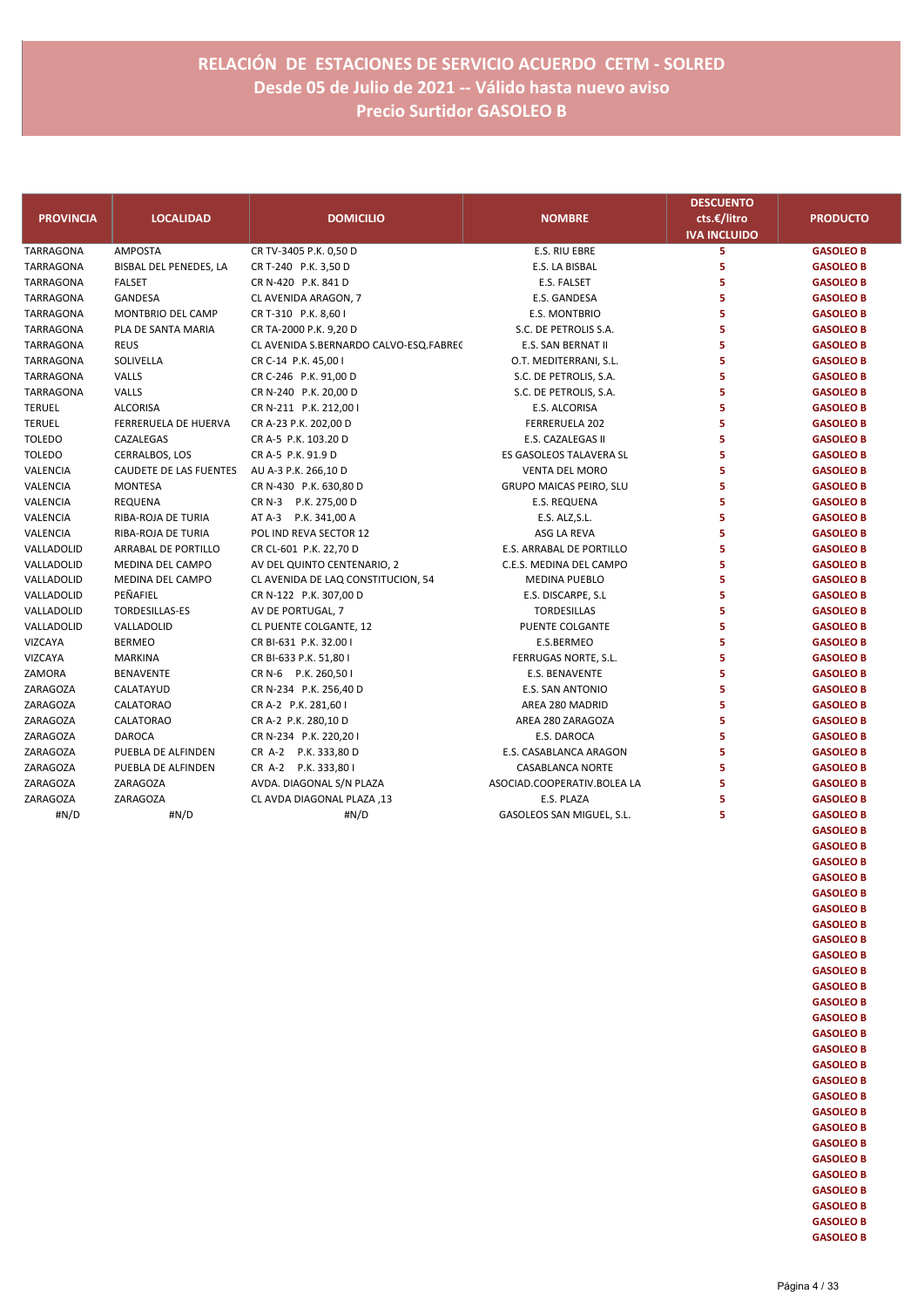|                  |                        |                                        |                                | <b>DESCUENTO</b>    |                  |
|------------------|------------------------|----------------------------------------|--------------------------------|---------------------|------------------|
| <b>PROVINCIA</b> | <b>LOCALIDAD</b>       | <b>DOMICILIO</b>                       | <b>NOMBRE</b>                  | cts.€/litro         | <b>PRODUCTO</b>  |
|                  |                        |                                        |                                | <b>IVA INCLUIDO</b> |                  |
| <b>TARRAGONA</b> | <b>AMPOSTA</b>         | CR TV-3405 P.K. 0,50 D                 | <b>E.S. RIU EBRE</b>           | 5                   | <b>GASOLEO B</b> |
| TARRAGONA        | BISBAL DEL PENEDES, LA | CR T-240 P.K. 3,50 D                   | E.S. LA BISBAL                 | 5                   | <b>GASOLEO B</b> |
| TARRAGONA        | <b>FALSET</b>          | CR N-420 P.K. 841 D                    | E.S. FALSET                    | 5                   | <b>GASOLEO B</b> |
| TARRAGONA        | GANDESA                | CL AVENIDA ARAGON, 7                   | E.S. GANDESA                   | 5                   | <b>GASOLEO B</b> |
| <b>TARRAGONA</b> | MONTBRIO DEL CAMP      | CR T-310 P.K. 8,60 I                   | E.S. MONTBRIO                  | 5                   | <b>GASOLEO B</b> |
| <b>TARRAGONA</b> | PLA DE SANTA MARIA     | CR TA-2000 P.K. 9,20 D                 | S.C. DE PETROLIS S.A.          | 5                   | <b>GASOLEO B</b> |
| TARRAGONA        | <b>REUS</b>            | CL AVENIDA S.BERNARDO CALVO-ESQ.FABREC | E.S. SAN BERNAT II             | 5                   | <b>GASOLEO B</b> |
| TARRAGONA        | SOLIVELLA              | CR C-14 P.K. 45,00 I                   | O.T. MEDITERRANI, S.L.         | 5                   | <b>GASOLEO B</b> |
| <b>TARRAGONA</b> | VALLS                  | CR C-246 P.K. 91,00 D                  | S.C. DE PETROLIS, S.A.         | 5                   | <b>GASOLEO B</b> |
| TARRAGONA        | VALLS                  | CR N-240 P.K. 20,00 D                  | S.C. DE PETROLIS, S.A.         | 5                   | <b>GASOLEO B</b> |
| <b>TERUEL</b>    | <b>ALCORISA</b>        | CR N-211 P.K. 212,00 I                 | E.S. ALCORISA                  | 5                   | <b>GASOLEO B</b> |
| <b>TERUEL</b>    | FERRERUELA DE HUERVA   | CR A-23 P.K. 202,00 D                  | FERRERUELA 202                 | 5                   | <b>GASOLEO B</b> |
| <b>TOLEDO</b>    | CAZALEGAS              | CR A-5 P.K. 103.20 D                   | E.S. CAZALEGAS II              | 5                   | <b>GASOLEO B</b> |
| <b>TOLEDO</b>    | CERRALBOS, LOS         | CR A-5 P.K. 91.9 D                     | ES GASOLEOS TALAVERA SL        | 5                   | <b>GASOLEO B</b> |
| VALENCIA         | CAUDETE DE LAS FUENTES | AU A-3 P.K. 266,10 D                   | <b>VENTA DEL MORO</b>          | 5                   | <b>GASOLEO B</b> |
| VALENCIA         | <b>MONTESA</b>         | CR N-430 P.K. 630,80 D                 | <b>GRUPO MAICAS PEIRO, SLU</b> | 5                   | <b>GASOLEO B</b> |
| VALENCIA         | <b>REQUENA</b>         | CR N-3 P.K. 275,00 D                   | E.S. REQUENA                   | 5                   | <b>GASOLEO B</b> |
| VALENCIA         | RIBA-ROJA DE TURIA     | AT A-3 P.K. 341,00 A                   | E.S. ALZ, S.L.                 | 5                   | <b>GASOLEO B</b> |
| VALENCIA         | RIBA-ROJA DE TURIA     | POL IND REVA SECTOR 12                 | ASG LA REVA                    | 5                   | <b>GASOLEO B</b> |
| VALLADOLID       | ARRABAL DE PORTILLO    | CR CL-601 P.K. 22,70 D                 | E.S. ARRABAL DE PORTILLO       | 5                   | <b>GASOLEO B</b> |
| VALLADOLID       | MEDINA DEL CAMPO       | AV DEL QUINTO CENTENARIO, 2            | C.E.S. MEDINA DEL CAMPO        | 5                   | <b>GASOLEO B</b> |
| VALLADOLID       | MEDINA DEL CAMPO       | CL AVENIDA DE LAQ CONSTITUCION, 54     | <b>MEDINA PUEBLO</b>           | 5                   | <b>GASOLEO B</b> |
| VALLADOLID       | PEÑAFIEL               | CR N-122 P.K. 307,00 D                 | E.S. DISCARPE, S.L             | 5                   | <b>GASOLEO B</b> |
| VALLADOLID       | TORDESILLAS-ES         | AV DE PORTUGAL, 7                      | <b>TORDESILLAS</b>             | 5                   | <b>GASOLEO B</b> |
| VALLADOLID       | VALLADOLID             | CL PUENTE COLGANTE, 12                 | PUENTE COLGANTE                | 5                   | <b>GASOLEO B</b> |
| VIZCAYA          | <b>BERMEO</b>          | CR BI-631 P.K. 32.00 I                 | E.S.BERMEO                     | 5                   | <b>GASOLEO B</b> |
| VIZCAYA          | <b>MARKINA</b>         | CR BI-633 P.K. 51,80 I                 | FERRUGAS NORTE, S.L.           | 5                   | <b>GASOLEO B</b> |
| ZAMORA           | <b>BENAVENTE</b>       | CR N-6 P.K. 260,50 I                   | E.S. BENAVENTE                 | 5                   | <b>GASOLEO B</b> |
| ZARAGOZA         | CALATAYUD              | CR N-234 P.K. 256,40 D                 | E.S. SAN ANTONIO               | 5                   | <b>GASOLEO B</b> |
| ZARAGOZA         | CALATORAO              | CR A-2 P.K. 281,60 I                   | AREA 280 MADRID                | 5                   | <b>GASOLEO B</b> |
| ZARAGOZA         | CALATORAO              | CR A-2 P.K. 280,10 D                   | AREA 280 ZARAGOZA              | 5                   | <b>GASOLEO B</b> |
| ZARAGOZA         | <b>DAROCA</b>          | CR N-234 P.K. 220,201                  | E.S. DAROCA                    | 5                   | <b>GASOLEO B</b> |
| ZARAGOZA         | PUEBLA DE ALFINDEN     | CR A-2 P.K. 333,80 D                   | E.S. CASABLANCA ARAGON         | 5                   | <b>GASOLEO B</b> |
| <b>ZARAGOZA</b>  | PUEBLA DE ALFINDEN     | CR A-2 P.K. 333,801                    | <b>CASABLANCA NORTE</b>        | 5                   | <b>GASOLEO B</b> |
| ZARAGOZA         | ZARAGOZA               | AVDA. DIAGONAL S/N PLAZA               | ASOCIAD.COOPERATIV.BOLEA LA    | 5                   | <b>GASOLEO B</b> |
| ZARAGOZA         | ZARAGOZA               | CL AVDA DIAGONAL PLAZA, 13             | E.S. PLAZA                     | 5                   | <b>GASOLEO B</b> |
| #N/D             | #N/D                   | #N/D                                   | GASOLEOS SAN MIGUEL, S.L.      | 5                   | <b>GASOLEO B</b> |
|                  |                        |                                        |                                |                     | <b>GASOLEO B</b> |
|                  |                        |                                        |                                |                     | <b>GASOLEO B</b> |
|                  |                        |                                        |                                |                     | <b>GASOLEO B</b> |
|                  |                        |                                        |                                |                     | <b>GASOLEO B</b> |
|                  |                        |                                        |                                |                     | <b>GASOLEO B</b> |
|                  |                        |                                        |                                |                     | <b>GASOLEO B</b> |
|                  |                        |                                        |                                |                     | <b>GASOLEO B</b> |
|                  |                        |                                        |                                |                     | <b>GASOLEO B</b> |
|                  |                        |                                        |                                |                     | <b>GASOLEO B</b> |

**GASOLEO B GASOLEO B GASOLEO B GASOLEO B GASOLEO B GASOLEO B GASOLEO B GASOLEO B GASOLEO B GASOLEO B GASOLEO B GASOLEO B GASOLEO B GASOLEO B GASOLEO B GASOLEO B GASOLEO B GASOLEO B**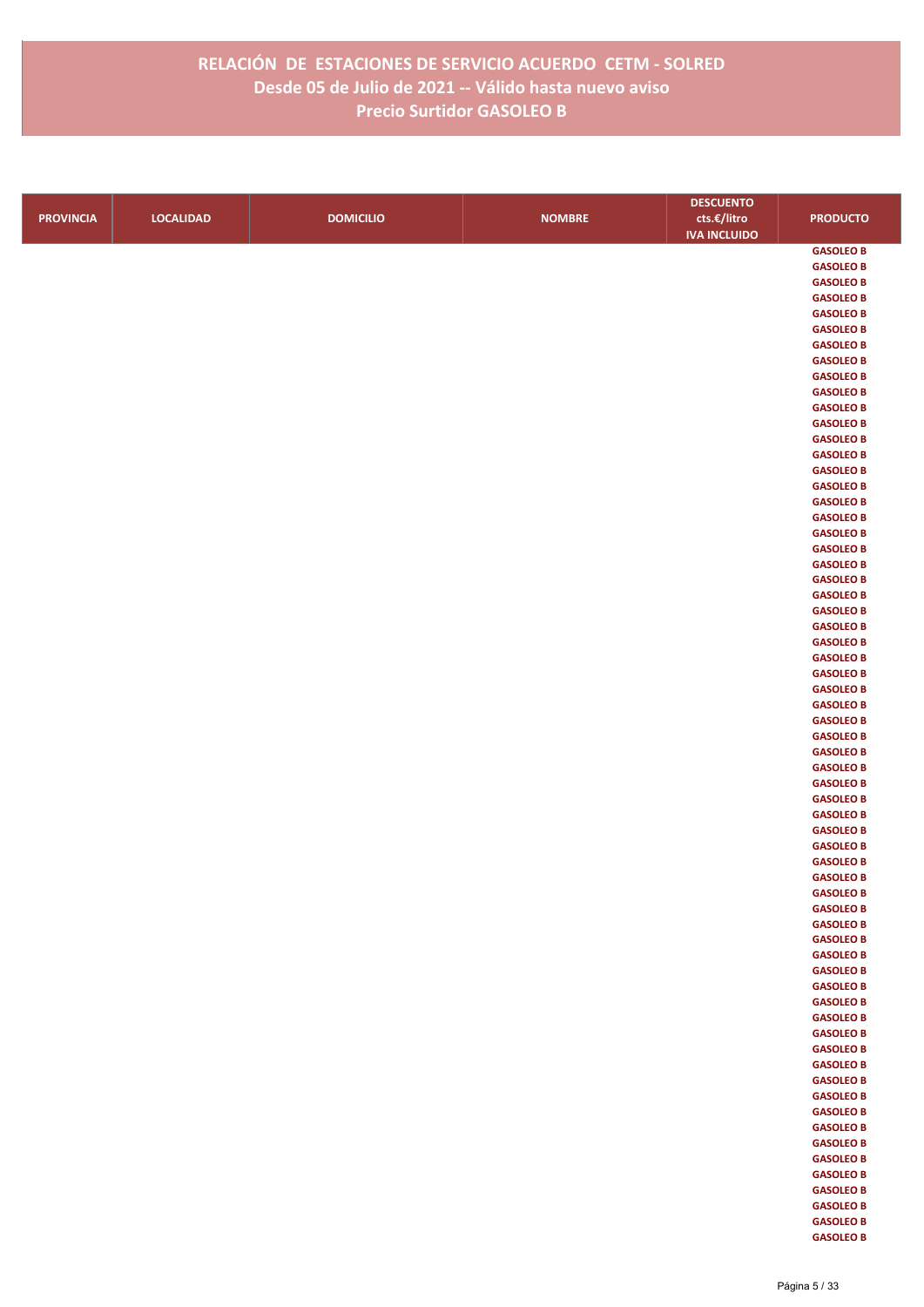|                  |                  |                  |               | <b>DESCUENTO</b>    |                                      |
|------------------|------------------|------------------|---------------|---------------------|--------------------------------------|
| <b>PROVINCIA</b> | <b>LOCALIDAD</b> | <b>DOMICILIO</b> | <b>NOMBRE</b> | cts.€/litro         | <b>PRODUCTO</b>                      |
|                  |                  |                  |               | <b>IVA INCLUIDO</b> |                                      |
|                  |                  |                  |               |                     | <b>GASOLEO B</b>                     |
|                  |                  |                  |               |                     | <b>GASOLEO B</b>                     |
|                  |                  |                  |               |                     | <b>GASOLEO B</b>                     |
|                  |                  |                  |               |                     | <b>GASOLEO B</b>                     |
|                  |                  |                  |               |                     | <b>GASOLEO B</b>                     |
|                  |                  |                  |               |                     | <b>GASOLEO B</b>                     |
|                  |                  |                  |               |                     | <b>GASOLEO B</b>                     |
|                  |                  |                  |               |                     | <b>GASOLEO B</b>                     |
|                  |                  |                  |               |                     | <b>GASOLEO B</b>                     |
|                  |                  |                  |               |                     | <b>GASOLEO B</b>                     |
|                  |                  |                  |               |                     | <b>GASOLEO B</b>                     |
|                  |                  |                  |               |                     | <b>GASOLEO B</b>                     |
|                  |                  |                  |               |                     | <b>GASOLEO B</b>                     |
|                  |                  |                  |               |                     | <b>GASOLEO B</b><br><b>GASOLEO B</b> |
|                  |                  |                  |               |                     | <b>GASOLEO B</b>                     |
|                  |                  |                  |               |                     | <b>GASOLEO B</b>                     |
|                  |                  |                  |               |                     | <b>GASOLEO B</b>                     |
|                  |                  |                  |               |                     | <b>GASOLEO B</b>                     |
|                  |                  |                  |               |                     | <b>GASOLEO B</b>                     |
|                  |                  |                  |               |                     | <b>GASOLEO B</b>                     |
|                  |                  |                  |               |                     | <b>GASOLEO B</b>                     |
|                  |                  |                  |               |                     | <b>GASOLEO B</b>                     |
|                  |                  |                  |               |                     | <b>GASOLEO B</b>                     |
|                  |                  |                  |               |                     | <b>GASOLEO B</b>                     |
|                  |                  |                  |               |                     | <b>GASOLEO B</b>                     |
|                  |                  |                  |               |                     | <b>GASOLEO B</b>                     |
|                  |                  |                  |               |                     | <b>GASOLEO B</b>                     |
|                  |                  |                  |               |                     | <b>GASOLEO B</b>                     |
|                  |                  |                  |               |                     | <b>GASOLEO B</b>                     |
|                  |                  |                  |               |                     | <b>GASOLEO B</b>                     |
|                  |                  |                  |               |                     | <b>GASOLEO B</b>                     |
|                  |                  |                  |               |                     | <b>GASOLEO B</b><br><b>GASOLEO B</b> |
|                  |                  |                  |               |                     | <b>GASOLEO B</b>                     |
|                  |                  |                  |               |                     | <b>GASOLEO B</b>                     |
|                  |                  |                  |               |                     | <b>GASOLEO B</b>                     |
|                  |                  |                  |               |                     | <b>GASOLEO B</b>                     |
|                  |                  |                  |               |                     | <b>GASOLEO B</b>                     |
|                  |                  |                  |               |                     | <b>GASOLEO B</b>                     |
|                  |                  |                  |               |                     | <b>GASOLEO B</b>                     |
|                  |                  |                  |               |                     | <b>GASOLEO B</b>                     |
|                  |                  |                  |               |                     | <b>GASOLEO B</b>                     |
|                  |                  |                  |               |                     | <b>GASOLEO B</b>                     |
|                  |                  |                  |               |                     | <b>GASOLEO B</b>                     |
|                  |                  |                  |               |                     | <b>GASOLEO B</b>                     |
|                  |                  |                  |               |                     | <b>GASOLEO B</b>                     |
|                  |                  |                  |               |                     | <b>GASOLEO B</b>                     |
|                  |                  |                  |               |                     | <b>GASOLEO B</b>                     |
|                  |                  |                  |               |                     | <b>GASOLEO B</b>                     |
|                  |                  |                  |               |                     | <b>GASOLEO B</b><br><b>GASOLEO B</b> |
|                  |                  |                  |               |                     | <b>GASOLEO B</b>                     |
|                  |                  |                  |               |                     | <b>GASOLEO B</b>                     |
|                  |                  |                  |               |                     | <b>GASOLEO B</b>                     |
|                  |                  |                  |               |                     | <b>GASOLEO B</b>                     |
|                  |                  |                  |               |                     | <b>GASOLEO B</b>                     |
|                  |                  |                  |               |                     | <b>GASOLEO B</b>                     |
|                  |                  |                  |               |                     | <b>GASOLEO B</b>                     |
|                  |                  |                  |               |                     | <b>GASOLEO B</b>                     |
|                  |                  |                  |               |                     | <b>GASOLEO B</b>                     |
|                  |                  |                  |               |                     | <b>GASOLEO B</b>                     |
|                  |                  |                  |               |                     | <b>GASOLEO B</b>                     |
|                  |                  |                  |               |                     | <b>GASOLEO B</b>                     |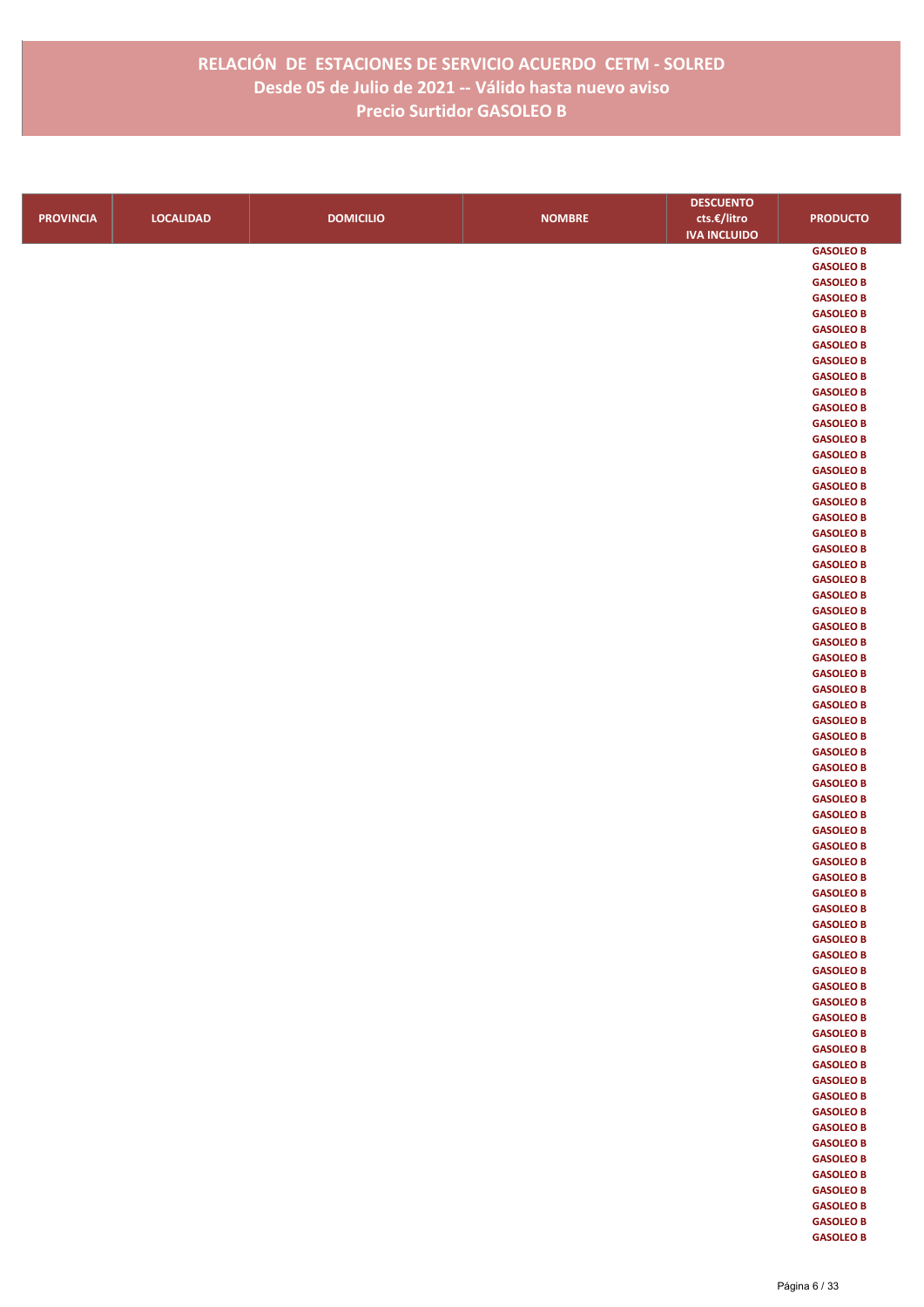|                  |                  |                  |               | <b>DESCUENTO</b>    |                                      |
|------------------|------------------|------------------|---------------|---------------------|--------------------------------------|
| <b>PROVINCIA</b> | <b>LOCALIDAD</b> | <b>DOMICILIO</b> | <b>NOMBRE</b> | cts.€/litro         | <b>PRODUCTO</b>                      |
|                  |                  |                  |               | <b>IVA INCLUIDO</b> |                                      |
|                  |                  |                  |               |                     | <b>GASOLEO B</b>                     |
|                  |                  |                  |               |                     | <b>GASOLEO B</b>                     |
|                  |                  |                  |               |                     | <b>GASOLEO B</b>                     |
|                  |                  |                  |               |                     | <b>GASOLEO B</b>                     |
|                  |                  |                  |               |                     | <b>GASOLEO B</b>                     |
|                  |                  |                  |               |                     | <b>GASOLEO B</b>                     |
|                  |                  |                  |               |                     | <b>GASOLEO B</b>                     |
|                  |                  |                  |               |                     | <b>GASOLEO B</b><br><b>GASOLEO B</b> |
|                  |                  |                  |               |                     | <b>GASOLEO B</b>                     |
|                  |                  |                  |               |                     | <b>GASOLEO B</b>                     |
|                  |                  |                  |               |                     | <b>GASOLEO B</b>                     |
|                  |                  |                  |               |                     | <b>GASOLEO B</b>                     |
|                  |                  |                  |               |                     | <b>GASOLEO B</b>                     |
|                  |                  |                  |               |                     | <b>GASOLEO B</b>                     |
|                  |                  |                  |               |                     | <b>GASOLEO B</b>                     |
|                  |                  |                  |               |                     | <b>GASOLEO B</b>                     |
|                  |                  |                  |               |                     | <b>GASOLEO B</b>                     |
|                  |                  |                  |               |                     | <b>GASOLEO B</b>                     |
|                  |                  |                  |               |                     | <b>GASOLEO B</b>                     |
|                  |                  |                  |               |                     | <b>GASOLEO B</b><br><b>GASOLEO B</b> |
|                  |                  |                  |               |                     | <b>GASOLEO B</b>                     |
|                  |                  |                  |               |                     | <b>GASOLEO B</b>                     |
|                  |                  |                  |               |                     | <b>GASOLEO B</b>                     |
|                  |                  |                  |               |                     | <b>GASOLEO B</b>                     |
|                  |                  |                  |               |                     | <b>GASOLEO B</b>                     |
|                  |                  |                  |               |                     | <b>GASOLEO B</b>                     |
|                  |                  |                  |               |                     | <b>GASOLEO B</b>                     |
|                  |                  |                  |               |                     | <b>GASOLEO B</b>                     |
|                  |                  |                  |               |                     | <b>GASOLEO B</b>                     |
|                  |                  |                  |               |                     | <b>GASOLEO B</b>                     |
|                  |                  |                  |               |                     | <b>GASOLEO B</b>                     |
|                  |                  |                  |               |                     | <b>GASOLEO B</b>                     |
|                  |                  |                  |               |                     | <b>GASOLEO B</b><br><b>GASOLEO B</b> |
|                  |                  |                  |               |                     | <b>GASOLEO B</b>                     |
|                  |                  |                  |               |                     | <b>GASOLEO B</b>                     |
|                  |                  |                  |               |                     | <b>GASOLEO B</b>                     |
|                  |                  |                  |               |                     | <b>GASOLEO B</b>                     |
|                  |                  |                  |               |                     | <b>GASOLEO B</b>                     |
|                  |                  |                  |               |                     | <b>GASOLEO B</b>                     |
|                  |                  |                  |               |                     | <b>GASOLEO B</b>                     |
|                  |                  |                  |               |                     | <b>GASOLEO B</b>                     |
|                  |                  |                  |               |                     | <b>GASOLEO B</b>                     |
|                  |                  |                  |               |                     | <b>GASOLEO B</b>                     |
|                  |                  |                  |               |                     | <b>GASOLEO B</b><br><b>GASOLEO B</b> |
|                  |                  |                  |               |                     | <b>GASOLEO B</b>                     |
|                  |                  |                  |               |                     | <b>GASOLEO B</b>                     |
|                  |                  |                  |               |                     | <b>GASOLEO B</b>                     |
|                  |                  |                  |               |                     | <b>GASOLEO B</b>                     |
|                  |                  |                  |               |                     | <b>GASOLEO B</b>                     |
|                  |                  |                  |               |                     | <b>GASOLEO B</b>                     |
|                  |                  |                  |               |                     | <b>GASOLEO B</b>                     |
|                  |                  |                  |               |                     | <b>GASOLEO B</b>                     |
|                  |                  |                  |               |                     | <b>GASOLEO B</b>                     |
|                  |                  |                  |               |                     | <b>GASOLEO B</b>                     |
|                  |                  |                  |               |                     | <b>GASOLEO B</b>                     |
|                  |                  |                  |               |                     | <b>GASOLEO B</b><br><b>GASOLEO B</b> |
|                  |                  |                  |               |                     | <b>GASOLEO B</b>                     |
|                  |                  |                  |               |                     | <b>GASOLEO B</b>                     |
|                  |                  |                  |               |                     | <b>GASOLEO B</b>                     |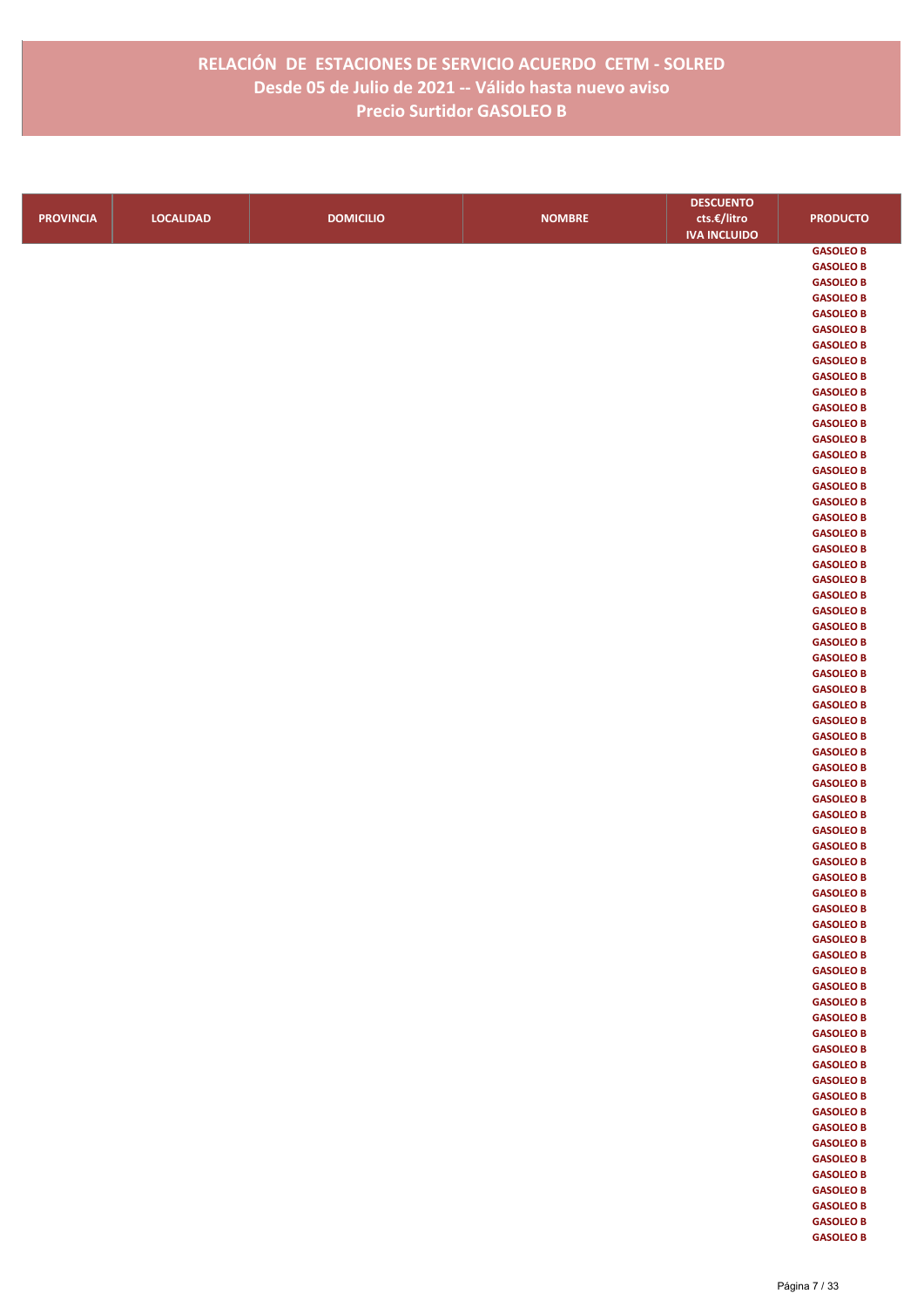|                  |                  |                  |               | <b>DESCUENTO</b>    |                                      |
|------------------|------------------|------------------|---------------|---------------------|--------------------------------------|
| <b>PROVINCIA</b> | <b>LOCALIDAD</b> | <b>DOMICILIO</b> | <b>NOMBRE</b> | cts.€/litro         | <b>PRODUCTO</b>                      |
|                  |                  |                  |               | <b>IVA INCLUIDO</b> |                                      |
|                  |                  |                  |               |                     | <b>GASOLEO B</b>                     |
|                  |                  |                  |               |                     | <b>GASOLEO B</b>                     |
|                  |                  |                  |               |                     | <b>GASOLEO B</b>                     |
|                  |                  |                  |               |                     | <b>GASOLEO B</b>                     |
|                  |                  |                  |               |                     | <b>GASOLEO B</b>                     |
|                  |                  |                  |               |                     | <b>GASOLEO B</b>                     |
|                  |                  |                  |               |                     | <b>GASOLEO B</b>                     |
|                  |                  |                  |               |                     | <b>GASOLEO B</b>                     |
|                  |                  |                  |               |                     | <b>GASOLEO B</b>                     |
|                  |                  |                  |               |                     | <b>GASOLEO B</b>                     |
|                  |                  |                  |               |                     | <b>GASOLEO B</b>                     |
|                  |                  |                  |               |                     | <b>GASOLEO B</b>                     |
|                  |                  |                  |               |                     | <b>GASOLEO B</b>                     |
|                  |                  |                  |               |                     | <b>GASOLEO B</b><br><b>GASOLEO B</b> |
|                  |                  |                  |               |                     | <b>GASOLEO B</b>                     |
|                  |                  |                  |               |                     | <b>GASOLEO B</b>                     |
|                  |                  |                  |               |                     | <b>GASOLEO B</b>                     |
|                  |                  |                  |               |                     | <b>GASOLEO B</b>                     |
|                  |                  |                  |               |                     | <b>GASOLEO B</b>                     |
|                  |                  |                  |               |                     | <b>GASOLEO B</b>                     |
|                  |                  |                  |               |                     | <b>GASOLEO B</b>                     |
|                  |                  |                  |               |                     | <b>GASOLEO B</b>                     |
|                  |                  |                  |               |                     | <b>GASOLEO B</b>                     |
|                  |                  |                  |               |                     | <b>GASOLEO B</b>                     |
|                  |                  |                  |               |                     | <b>GASOLEO B</b>                     |
|                  |                  |                  |               |                     | <b>GASOLEO B</b>                     |
|                  |                  |                  |               |                     | <b>GASOLEO B</b>                     |
|                  |                  |                  |               |                     | <b>GASOLEO B</b>                     |
|                  |                  |                  |               |                     | <b>GASOLEO B</b>                     |
|                  |                  |                  |               |                     | <b>GASOLEO B</b>                     |
|                  |                  |                  |               |                     | <b>GASOLEO B</b>                     |
|                  |                  |                  |               |                     | <b>GASOLEO B</b><br><b>GASOLEO B</b> |
|                  |                  |                  |               |                     | <b>GASOLEO B</b>                     |
|                  |                  |                  |               |                     | <b>GASOLEO B</b>                     |
|                  |                  |                  |               |                     | <b>GASOLEO B</b>                     |
|                  |                  |                  |               |                     | <b>GASOLEO B</b>                     |
|                  |                  |                  |               |                     | <b>GASOLEO B</b>                     |
|                  |                  |                  |               |                     | <b>GASOLEO B</b>                     |
|                  |                  |                  |               |                     | <b>GASOLEO B</b>                     |
|                  |                  |                  |               |                     | <b>GASOLEO B</b>                     |
|                  |                  |                  |               |                     | <b>GASOLEO B</b>                     |
|                  |                  |                  |               |                     | <b>GASOLEO B</b>                     |
|                  |                  |                  |               |                     | <b>GASOLEO B</b>                     |
|                  |                  |                  |               |                     | <b>GASOLEO B</b>                     |
|                  |                  |                  |               |                     | <b>GASOLEO B</b>                     |
|                  |                  |                  |               |                     | <b>GASOLEO B</b>                     |
|                  |                  |                  |               |                     | <b>GASOLEO B</b>                     |
|                  |                  |                  |               |                     | <b>GASOLEO B</b>                     |
|                  |                  |                  |               |                     | <b>GASOLEO B</b><br><b>GASOLEO B</b> |
|                  |                  |                  |               |                     | <b>GASOLEO B</b>                     |
|                  |                  |                  |               |                     | <b>GASOLEO B</b>                     |
|                  |                  |                  |               |                     | <b>GASOLEO B</b>                     |
|                  |                  |                  |               |                     | <b>GASOLEO B</b>                     |
|                  |                  |                  |               |                     | <b>GASOLEO B</b>                     |
|                  |                  |                  |               |                     | <b>GASOLEO B</b>                     |
|                  |                  |                  |               |                     | <b>GASOLEO B</b>                     |
|                  |                  |                  |               |                     | <b>GASOLEO B</b>                     |
|                  |                  |                  |               |                     | <b>GASOLEO B</b>                     |
|                  |                  |                  |               |                     | <b>GASOLEO B</b>                     |
|                  |                  |                  |               |                     | <b>GASOLEO B</b>                     |
|                  |                  |                  |               |                     | <b>GASOLEO B</b>                     |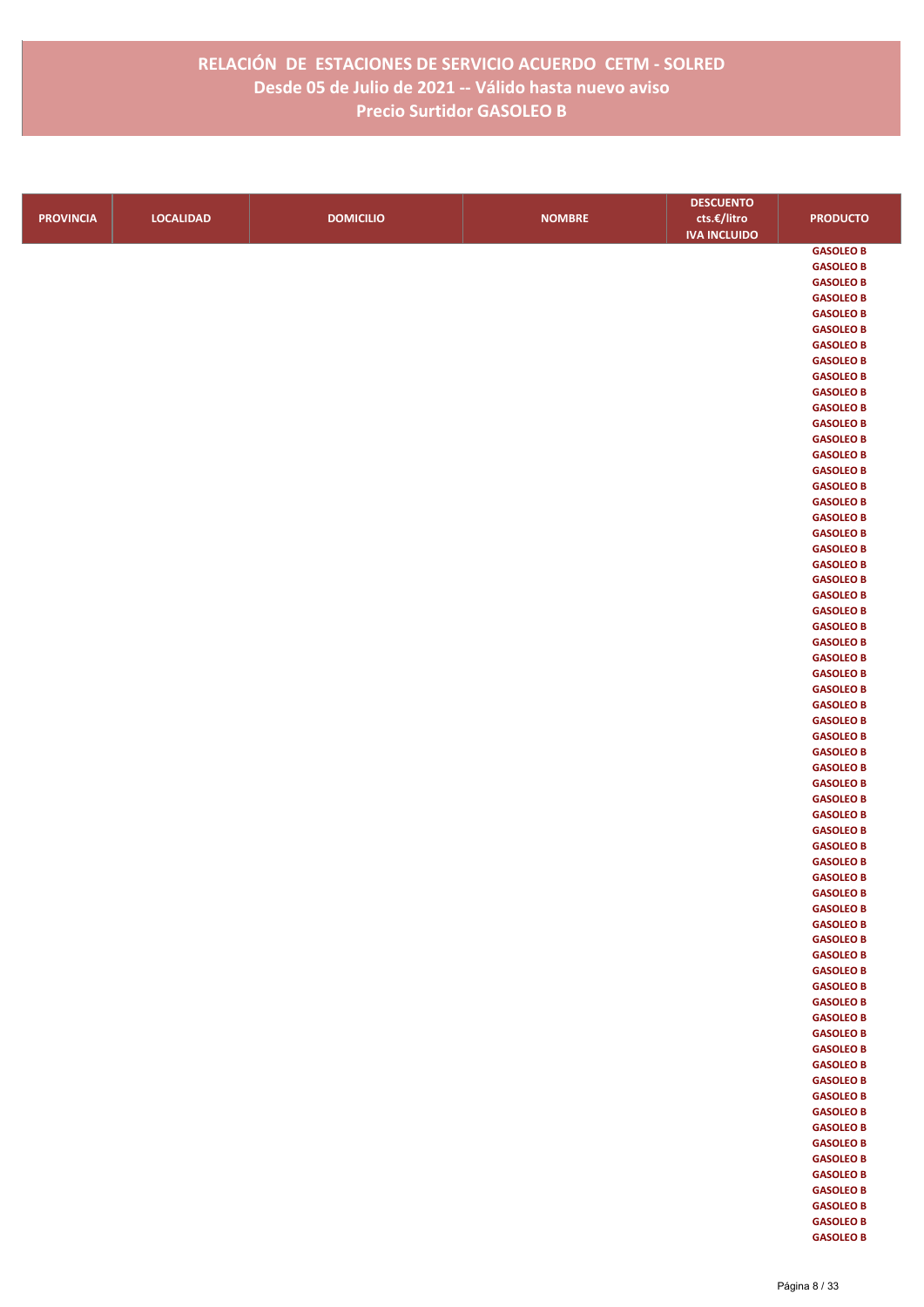|                  |                  |                  |               | <b>DESCUENTO</b>    |                                      |
|------------------|------------------|------------------|---------------|---------------------|--------------------------------------|
| <b>PROVINCIA</b> | <b>LOCALIDAD</b> | <b>DOMICILIO</b> | <b>NOMBRE</b> | cts.€/litro         | <b>PRODUCTO</b>                      |
|                  |                  |                  |               | <b>IVA INCLUIDO</b> |                                      |
|                  |                  |                  |               |                     | <b>GASOLEO B</b>                     |
|                  |                  |                  |               |                     | <b>GASOLEO B</b>                     |
|                  |                  |                  |               |                     | <b>GASOLEO B</b>                     |
|                  |                  |                  |               |                     | <b>GASOLEO B</b>                     |
|                  |                  |                  |               |                     | <b>GASOLEO B</b>                     |
|                  |                  |                  |               |                     | <b>GASOLEO B</b>                     |
|                  |                  |                  |               |                     | <b>GASOLEO B</b>                     |
|                  |                  |                  |               |                     | <b>GASOLEO B</b><br><b>GASOLEO B</b> |
|                  |                  |                  |               |                     | <b>GASOLEO B</b>                     |
|                  |                  |                  |               |                     | <b>GASOLEO B</b>                     |
|                  |                  |                  |               |                     | <b>GASOLEO B</b>                     |
|                  |                  |                  |               |                     | <b>GASOLEO B</b>                     |
|                  |                  |                  |               |                     | <b>GASOLEO B</b>                     |
|                  |                  |                  |               |                     | <b>GASOLEO B</b>                     |
|                  |                  |                  |               |                     | <b>GASOLEO B</b>                     |
|                  |                  |                  |               |                     | <b>GASOLEO B</b>                     |
|                  |                  |                  |               |                     | <b>GASOLEO B</b>                     |
|                  |                  |                  |               |                     | <b>GASOLEO B</b>                     |
|                  |                  |                  |               |                     | <b>GASOLEO B</b>                     |
|                  |                  |                  |               |                     | <b>GASOLEO B</b><br><b>GASOLEO B</b> |
|                  |                  |                  |               |                     | <b>GASOLEO B</b>                     |
|                  |                  |                  |               |                     | <b>GASOLEO B</b>                     |
|                  |                  |                  |               |                     | <b>GASOLEO B</b>                     |
|                  |                  |                  |               |                     | <b>GASOLEO B</b>                     |
|                  |                  |                  |               |                     | <b>GASOLEO B</b>                     |
|                  |                  |                  |               |                     | <b>GASOLEO B</b>                     |
|                  |                  |                  |               |                     | <b>GASOLEO B</b>                     |
|                  |                  |                  |               |                     | <b>GASOLEO B</b>                     |
|                  |                  |                  |               |                     | <b>GASOLEO B</b>                     |
|                  |                  |                  |               |                     | <b>GASOLEO B</b>                     |
|                  |                  |                  |               |                     | <b>GASOLEO B</b>                     |
|                  |                  |                  |               |                     | <b>GASOLEO B</b>                     |
|                  |                  |                  |               |                     | <b>GASOLEO B</b><br><b>GASOLEO B</b> |
|                  |                  |                  |               |                     | <b>GASOLEO B</b>                     |
|                  |                  |                  |               |                     | <b>GASOLEO B</b>                     |
|                  |                  |                  |               |                     | <b>GASOLEO B</b>                     |
|                  |                  |                  |               |                     | <b>GASOLEO B</b>                     |
|                  |                  |                  |               |                     | <b>GASOLEO B</b>                     |
|                  |                  |                  |               |                     | <b>GASOLEO B</b>                     |
|                  |                  |                  |               |                     | <b>GASOLEO B</b>                     |
|                  |                  |                  |               |                     | <b>GASOLEO B</b>                     |
|                  |                  |                  |               |                     | <b>GASOLEO B</b>                     |
|                  |                  |                  |               |                     | <b>GASOLEO B</b>                     |
|                  |                  |                  |               |                     | <b>GASOLEO B</b><br><b>GASOLEO B</b> |
|                  |                  |                  |               |                     | <b>GASOLEO B</b>                     |
|                  |                  |                  |               |                     | <b>GASOLEO B</b>                     |
|                  |                  |                  |               |                     | <b>GASOLEO B</b>                     |
|                  |                  |                  |               |                     | <b>GASOLEO B</b>                     |
|                  |                  |                  |               |                     | <b>GASOLEO B</b>                     |
|                  |                  |                  |               |                     | <b>GASOLEO B</b>                     |
|                  |                  |                  |               |                     | <b>GASOLEO B</b>                     |
|                  |                  |                  |               |                     | <b>GASOLEO B</b>                     |
|                  |                  |                  |               |                     | <b>GASOLEO B</b>                     |
|                  |                  |                  |               |                     | <b>GASOLEO B</b>                     |
|                  |                  |                  |               |                     | <b>GASOLEO B</b>                     |
|                  |                  |                  |               |                     | <b>GASOLEO B</b><br><b>GASOLEO B</b> |
|                  |                  |                  |               |                     | <b>GASOLEO B</b>                     |
|                  |                  |                  |               |                     | <b>GASOLEO B</b>                     |
|                  |                  |                  |               |                     | <b>GASOLEO B</b>                     |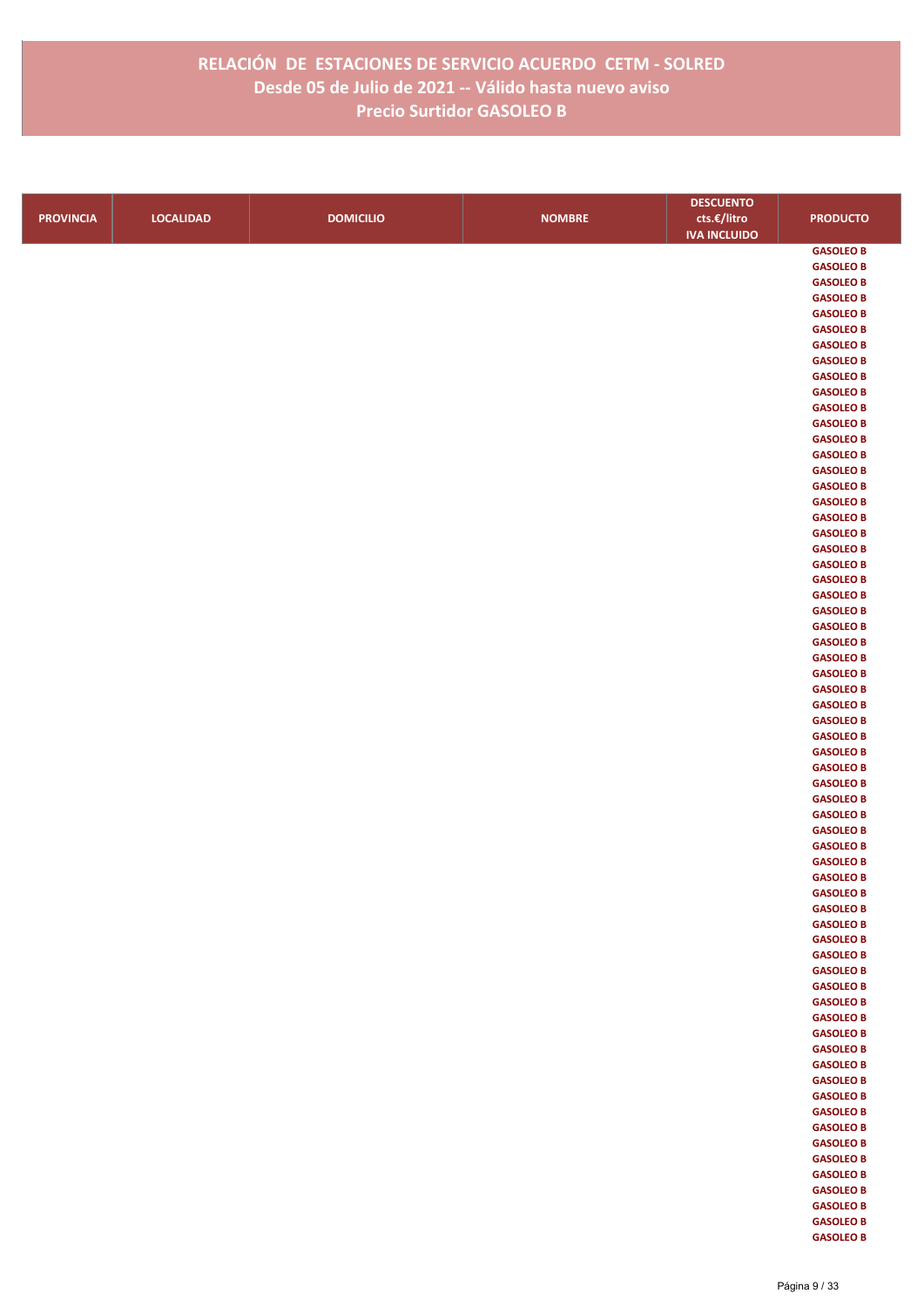|                  |                  |                  |               | <b>DESCUENTO</b>    |                  |
|------------------|------------------|------------------|---------------|---------------------|------------------|
| <b>PROVINCIA</b> | <b>LOCALIDAD</b> | <b>DOMICILIO</b> | <b>NOMBRE</b> | cts.€/litro         | <b>PRODUCTO</b>  |
|                  |                  |                  |               | <b>IVA INCLUIDO</b> |                  |
|                  |                  |                  |               |                     | <b>GASOLEO B</b> |
|                  |                  |                  |               |                     | <b>GASOLEO B</b> |
|                  |                  |                  |               |                     | <b>GASOLEO B</b> |
|                  |                  |                  |               |                     | <b>GASOLEO B</b> |
|                  |                  |                  |               |                     | <b>GASOLEO B</b> |
|                  |                  |                  |               |                     | <b>GASOLEO B</b> |
|                  |                  |                  |               |                     | <b>GASOLEO B</b> |
|                  |                  |                  |               |                     | <b>GASOLEO B</b> |
|                  |                  |                  |               |                     | <b>GASOLEO B</b> |
|                  |                  |                  |               |                     | <b>GASOLEO B</b> |
|                  |                  |                  |               |                     | <b>GASOLEO B</b> |
|                  |                  |                  |               |                     | <b>GASOLEO B</b> |
|                  |                  |                  |               |                     | <b>GASOLEO B</b> |
|                  |                  |                  |               |                     | <b>GASOLEO B</b> |
|                  |                  |                  |               |                     | <b>GASOLEO B</b> |
|                  |                  |                  |               |                     | <b>GASOLEO B</b> |
|                  |                  |                  |               |                     | <b>GASOLEO B</b> |
|                  |                  |                  |               |                     | <b>GASOLEO B</b> |
|                  |                  |                  |               |                     | <b>GASOLEO B</b> |
|                  |                  |                  |               |                     | <b>GASOLEO B</b> |
|                  |                  |                  |               |                     | <b>GASOLEO B</b> |
|                  |                  |                  |               |                     | <b>GASOLEO B</b> |
|                  |                  |                  |               |                     | <b>GASOLEO B</b> |
|                  |                  |                  |               |                     | <b>GASOLEO B</b> |
|                  |                  |                  |               |                     | <b>GASOLEO B</b> |
|                  |                  |                  |               |                     | <b>GASOLEO B</b> |
|                  |                  |                  |               |                     | <b>GASOLEO B</b> |
|                  |                  |                  |               |                     | <b>GASOLEO B</b> |
|                  |                  |                  |               |                     | <b>GASOLEO B</b> |
|                  |                  |                  |               |                     | <b>GASOLEO B</b> |
|                  |                  |                  |               |                     | <b>GASOLEO B</b> |
|                  |                  |                  |               |                     | <b>GASOLEO B</b> |
|                  |                  |                  |               |                     | <b>GASOLEO B</b> |
|                  |                  |                  |               |                     | <b>GASOLEO B</b> |
|                  |                  |                  |               |                     | <b>GASOLEO B</b> |
|                  |                  |                  |               |                     | <b>GASOLEO B</b> |
|                  |                  |                  |               |                     | <b>GASOLEO B</b> |
|                  |                  |                  |               |                     | <b>GASOLEO B</b> |
|                  |                  |                  |               |                     | <b>GASOLEO B</b> |
|                  |                  |                  |               |                     | <b>GASOLEO B</b> |
|                  |                  |                  |               |                     | <b>GASOLEO B</b> |
|                  |                  |                  |               |                     | <b>GASOLEO B</b> |
|                  |                  |                  |               |                     | <b>GASOLEO B</b> |
|                  |                  |                  |               |                     | <b>GASOLEO B</b> |
|                  |                  |                  |               |                     | <b>GASOLEO B</b> |
|                  |                  |                  |               |                     | <b>GASOLEO B</b> |
|                  |                  |                  |               |                     | <b>GASOLEO B</b> |
|                  |                  |                  |               |                     | <b>GASOLEO B</b> |
|                  |                  |                  |               |                     | <b>GASOLEO B</b> |
|                  |                  |                  |               |                     | <b>GASOLEO B</b> |
|                  |                  |                  |               |                     | <b>GASOLEO B</b> |
|                  |                  |                  |               |                     | <b>GASOLEO B</b> |
|                  |                  |                  |               |                     | <b>GASOLEO B</b> |
|                  |                  |                  |               |                     | <b>GASOLEO B</b> |
|                  |                  |                  |               |                     | <b>GASOLEO B</b> |
|                  |                  |                  |               |                     | <b>GASOLEO B</b> |
|                  |                  |                  |               |                     | <b>GASOLEO B</b> |
|                  |                  |                  |               |                     | <b>GASOLEO B</b> |
|                  |                  |                  |               |                     | <b>GASOLEO B</b> |
|                  |                  |                  |               |                     | <b>GASOLEO B</b> |
|                  |                  |                  |               |                     | <b>GASOLEO B</b> |
|                  |                  |                  |               |                     | <b>GASOLEO B</b> |
|                  |                  |                  |               |                     | <b>GASOLEO B</b> |
|                  |                  |                  |               |                     | <b>GASOLEO B</b> |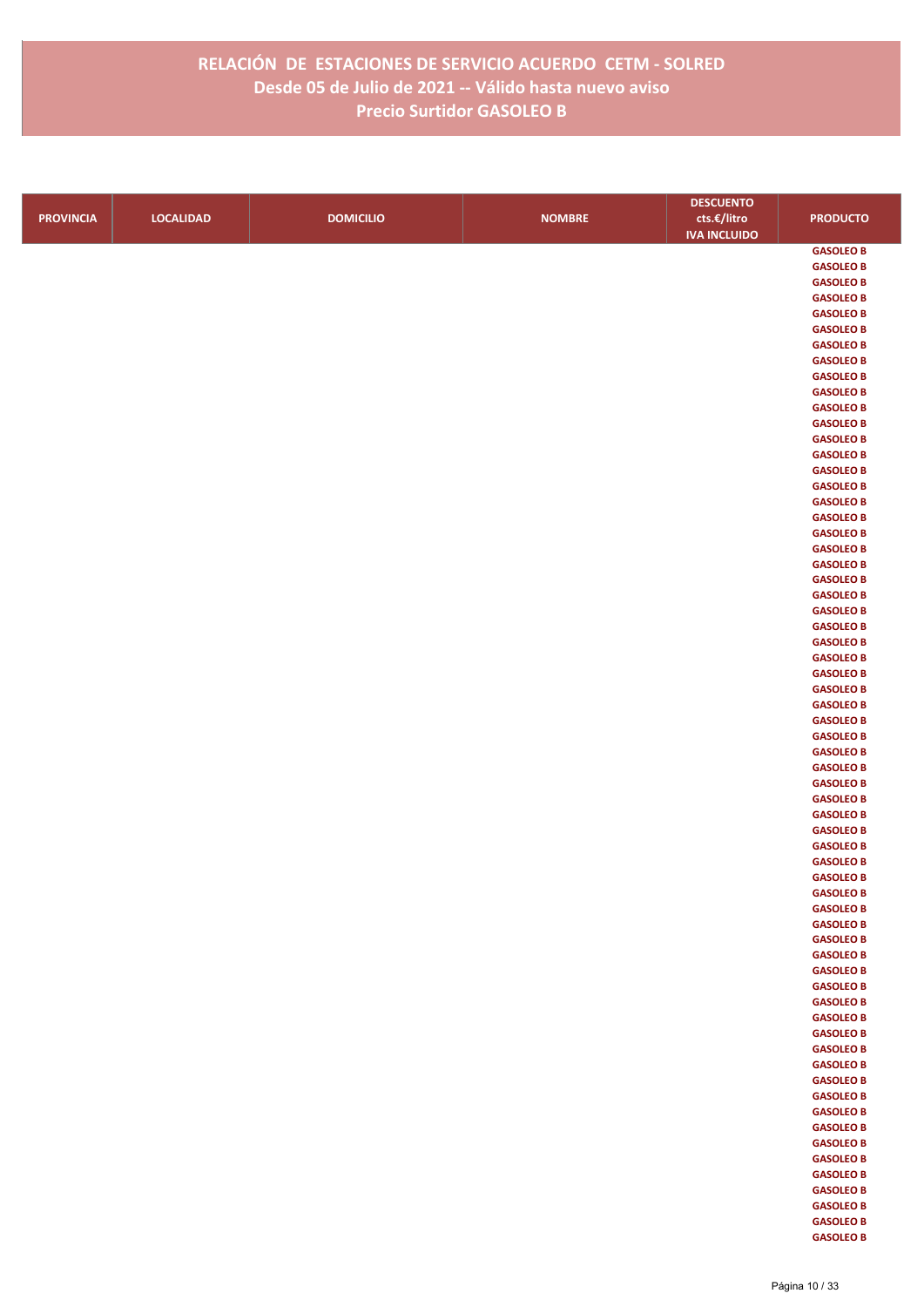|                  |                  |                  |               | <b>DESCUENTO</b>    |                                      |
|------------------|------------------|------------------|---------------|---------------------|--------------------------------------|
| <b>PROVINCIA</b> | <b>LOCALIDAD</b> | <b>DOMICILIO</b> | <b>NOMBRE</b> | cts.€/litro         | <b>PRODUCTO</b>                      |
|                  |                  |                  |               | <b>IVA INCLUIDO</b> |                                      |
|                  |                  |                  |               |                     | <b>GASOLEO B</b>                     |
|                  |                  |                  |               |                     | <b>GASOLEO B</b>                     |
|                  |                  |                  |               |                     | <b>GASOLEO B</b>                     |
|                  |                  |                  |               |                     | <b>GASOLEO B</b>                     |
|                  |                  |                  |               |                     | <b>GASOLEO B</b>                     |
|                  |                  |                  |               |                     | <b>GASOLEO B</b>                     |
|                  |                  |                  |               |                     | <b>GASOLEO B</b>                     |
|                  |                  |                  |               |                     | <b>GASOLEO B</b>                     |
|                  |                  |                  |               |                     | <b>GASOLEO B</b>                     |
|                  |                  |                  |               |                     | <b>GASOLEO B</b>                     |
|                  |                  |                  |               |                     | <b>GASOLEO B</b>                     |
|                  |                  |                  |               |                     | <b>GASOLEO B</b><br><b>GASOLEO B</b> |
|                  |                  |                  |               |                     | <b>GASOLEO B</b>                     |
|                  |                  |                  |               |                     | <b>GASOLEO B</b>                     |
|                  |                  |                  |               |                     | <b>GASOLEO B</b>                     |
|                  |                  |                  |               |                     | <b>GASOLEO B</b>                     |
|                  |                  |                  |               |                     | <b>GASOLEO B</b>                     |
|                  |                  |                  |               |                     | <b>GASOLEO B</b>                     |
|                  |                  |                  |               |                     | <b>GASOLEO B</b>                     |
|                  |                  |                  |               |                     | <b>GASOLEO B</b>                     |
|                  |                  |                  |               |                     | <b>GASOLEO B</b>                     |
|                  |                  |                  |               |                     | <b>GASOLEO B</b>                     |
|                  |                  |                  |               |                     | <b>GASOLEO B</b>                     |
|                  |                  |                  |               |                     | <b>GASOLEO B</b>                     |
|                  |                  |                  |               |                     | <b>GASOLEO B</b>                     |
|                  |                  |                  |               |                     | <b>GASOLEO B</b>                     |
|                  |                  |                  |               |                     | <b>GASOLEO B</b>                     |
|                  |                  |                  |               |                     | <b>GASOLEO B</b>                     |
|                  |                  |                  |               |                     | <b>GASOLEO B</b>                     |
|                  |                  |                  |               |                     | <b>GASOLEO B</b>                     |
|                  |                  |                  |               |                     | <b>GASOLEO B</b>                     |
|                  |                  |                  |               |                     | <b>GASOLEO B</b>                     |
|                  |                  |                  |               |                     | <b>GASOLEO B</b>                     |
|                  |                  |                  |               |                     | <b>GASOLEO B</b><br><b>GASOLEO B</b> |
|                  |                  |                  |               |                     | <b>GASOLEO B</b>                     |
|                  |                  |                  |               |                     | <b>GASOLEO B</b>                     |
|                  |                  |                  |               |                     | <b>GASOLEO B</b>                     |
|                  |                  |                  |               |                     | <b>GASOLEO B</b>                     |
|                  |                  |                  |               |                     | <b>GASOLEO B</b>                     |
|                  |                  |                  |               |                     | <b>GASOLEO B</b>                     |
|                  |                  |                  |               |                     | <b>GASOLEO B</b>                     |
|                  |                  |                  |               |                     | <b>GASOLEO B</b>                     |
|                  |                  |                  |               |                     | <b>GASOLEO B</b>                     |
|                  |                  |                  |               |                     | <b>GASOLEO B</b>                     |
|                  |                  |                  |               |                     | <b>GASOLEO B</b>                     |
|                  |                  |                  |               |                     | <b>GASOLEO B</b>                     |
|                  |                  |                  |               |                     | <b>GASOLEO B</b>                     |
|                  |                  |                  |               |                     | <b>GASOLEO B</b>                     |
|                  |                  |                  |               |                     | <b>GASOLEO B</b>                     |
|                  |                  |                  |               |                     | <b>GASOLEO B</b>                     |
|                  |                  |                  |               |                     | <b>GASOLEO B</b>                     |
|                  |                  |                  |               |                     | <b>GASOLEO B</b>                     |
|                  |                  |                  |               |                     | <b>GASOLEO B</b>                     |
|                  |                  |                  |               |                     | <b>GASOLEO B</b>                     |
|                  |                  |                  |               |                     | <b>GASOLEO B</b><br><b>GASOLEO B</b> |
|                  |                  |                  |               |                     | <b>GASOLEO B</b>                     |
|                  |                  |                  |               |                     | <b>GASOLEO B</b>                     |
|                  |                  |                  |               |                     | <b>GASOLEO B</b>                     |
|                  |                  |                  |               |                     | <b>GASOLEO B</b>                     |
|                  |                  |                  |               |                     | <b>GASOLEO B</b>                     |
|                  |                  |                  |               |                     | <b>GASOLEO B</b>                     |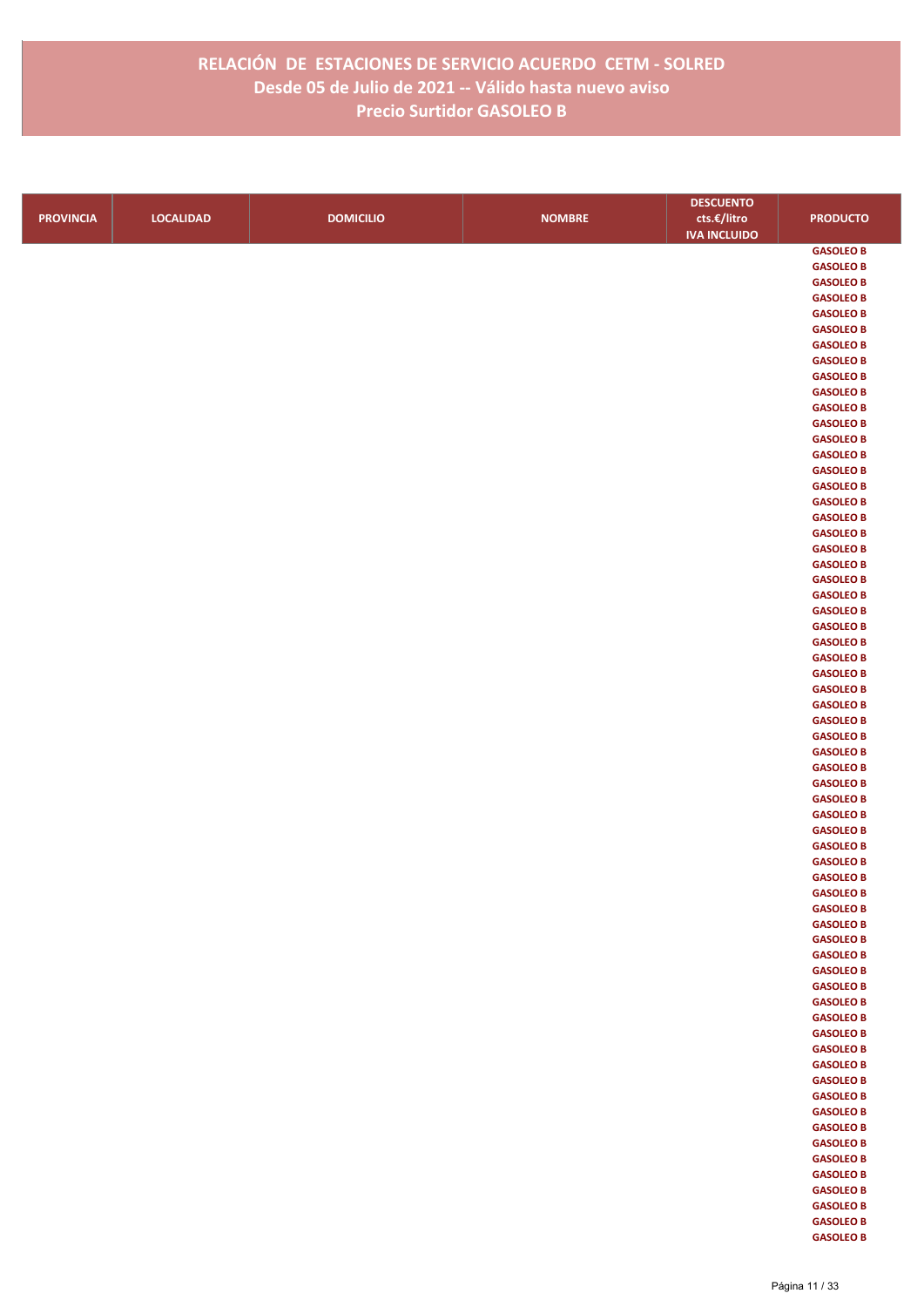|                  |                  |                  |               | <b>DESCUENTO</b>    |                                      |
|------------------|------------------|------------------|---------------|---------------------|--------------------------------------|
| <b>PROVINCIA</b> | <b>LOCALIDAD</b> | <b>DOMICILIO</b> | <b>NOMBRE</b> | cts.€/litro         | <b>PRODUCTO</b>                      |
|                  |                  |                  |               | <b>IVA INCLUIDO</b> |                                      |
|                  |                  |                  |               |                     | <b>GASOLEO B</b>                     |
|                  |                  |                  |               |                     | <b>GASOLEO B</b>                     |
|                  |                  |                  |               |                     | <b>GASOLEO B</b>                     |
|                  |                  |                  |               |                     | <b>GASOLEO B</b>                     |
|                  |                  |                  |               |                     | <b>GASOLEO B</b>                     |
|                  |                  |                  |               |                     | <b>GASOLEO B</b>                     |
|                  |                  |                  |               |                     | <b>GASOLEO B</b>                     |
|                  |                  |                  |               |                     | <b>GASOLEO B</b>                     |
|                  |                  |                  |               |                     | <b>GASOLEO B</b>                     |
|                  |                  |                  |               |                     | <b>GASOLEO B</b>                     |
|                  |                  |                  |               |                     | <b>GASOLEO B</b><br><b>GASOLEO B</b> |
|                  |                  |                  |               |                     | <b>GASOLEO B</b>                     |
|                  |                  |                  |               |                     | <b>GASOLEO B</b>                     |
|                  |                  |                  |               |                     | <b>GASOLEO B</b>                     |
|                  |                  |                  |               |                     | <b>GASOLEO B</b>                     |
|                  |                  |                  |               |                     | <b>GASOLEO B</b>                     |
|                  |                  |                  |               |                     | <b>GASOLEO B</b>                     |
|                  |                  |                  |               |                     | <b>GASOLEO B</b>                     |
|                  |                  |                  |               |                     | <b>GASOLEO B</b>                     |
|                  |                  |                  |               |                     | <b>GASOLEO B</b>                     |
|                  |                  |                  |               |                     | <b>GASOLEO B</b>                     |
|                  |                  |                  |               |                     | <b>GASOLEO B</b>                     |
|                  |                  |                  |               |                     | <b>GASOLEO B</b>                     |
|                  |                  |                  |               |                     | <b>GASOLEO B</b>                     |
|                  |                  |                  |               |                     | <b>GASOLEO B</b>                     |
|                  |                  |                  |               |                     | <b>GASOLEO B</b>                     |
|                  |                  |                  |               |                     | <b>GASOLEO B</b><br><b>GASOLEO B</b> |
|                  |                  |                  |               |                     | <b>GASOLEO B</b>                     |
|                  |                  |                  |               |                     | <b>GASOLEO B</b>                     |
|                  |                  |                  |               |                     | <b>GASOLEO B</b>                     |
|                  |                  |                  |               |                     | <b>GASOLEO B</b>                     |
|                  |                  |                  |               |                     | <b>GASOLEO B</b>                     |
|                  |                  |                  |               |                     | <b>GASOLEO B</b>                     |
|                  |                  |                  |               |                     | <b>GASOLEO B</b>                     |
|                  |                  |                  |               |                     | <b>GASOLEO B</b>                     |
|                  |                  |                  |               |                     | <b>GASOLEO B</b>                     |
|                  |                  |                  |               |                     | <b>GASOLEO B</b>                     |
|                  |                  |                  |               |                     | <b>GASOLEO B</b>                     |
|                  |                  |                  |               |                     | <b>GASOLEO B</b>                     |
|                  |                  |                  |               |                     | <b>GASOLEO B</b>                     |
|                  |                  |                  |               |                     | <b>GASOLEO B</b>                     |
|                  |                  |                  |               |                     | <b>GASOLEO B</b><br><b>GASOLEO B</b> |
|                  |                  |                  |               |                     | <b>GASOLEO B</b>                     |
|                  |                  |                  |               |                     | <b>GASOLEO B</b>                     |
|                  |                  |                  |               |                     | <b>GASOLEO B</b>                     |
|                  |                  |                  |               |                     | <b>GASOLEO B</b>                     |
|                  |                  |                  |               |                     | <b>GASOLEO B</b>                     |
|                  |                  |                  |               |                     | <b>GASOLEO B</b>                     |
|                  |                  |                  |               |                     | <b>GASOLEO B</b>                     |
|                  |                  |                  |               |                     | <b>GASOLEO B</b>                     |
|                  |                  |                  |               |                     | <b>GASOLEO B</b>                     |
|                  |                  |                  |               |                     | <b>GASOLEO B</b>                     |
|                  |                  |                  |               |                     | <b>GASOLEO B</b>                     |
|                  |                  |                  |               |                     | <b>GASOLEO B</b>                     |
|                  |                  |                  |               |                     | <b>GASOLEO B</b>                     |
|                  |                  |                  |               |                     | <b>GASOLEO B</b>                     |
|                  |                  |                  |               |                     | <b>GASOLEO B</b>                     |
|                  |                  |                  |               |                     | <b>GASOLEO B</b><br><b>GASOLEO B</b> |
|                  |                  |                  |               |                     | <b>GASOLEO B</b>                     |
|                  |                  |                  |               |                     | <b>GASOLEO B</b>                     |
|                  |                  |                  |               |                     |                                      |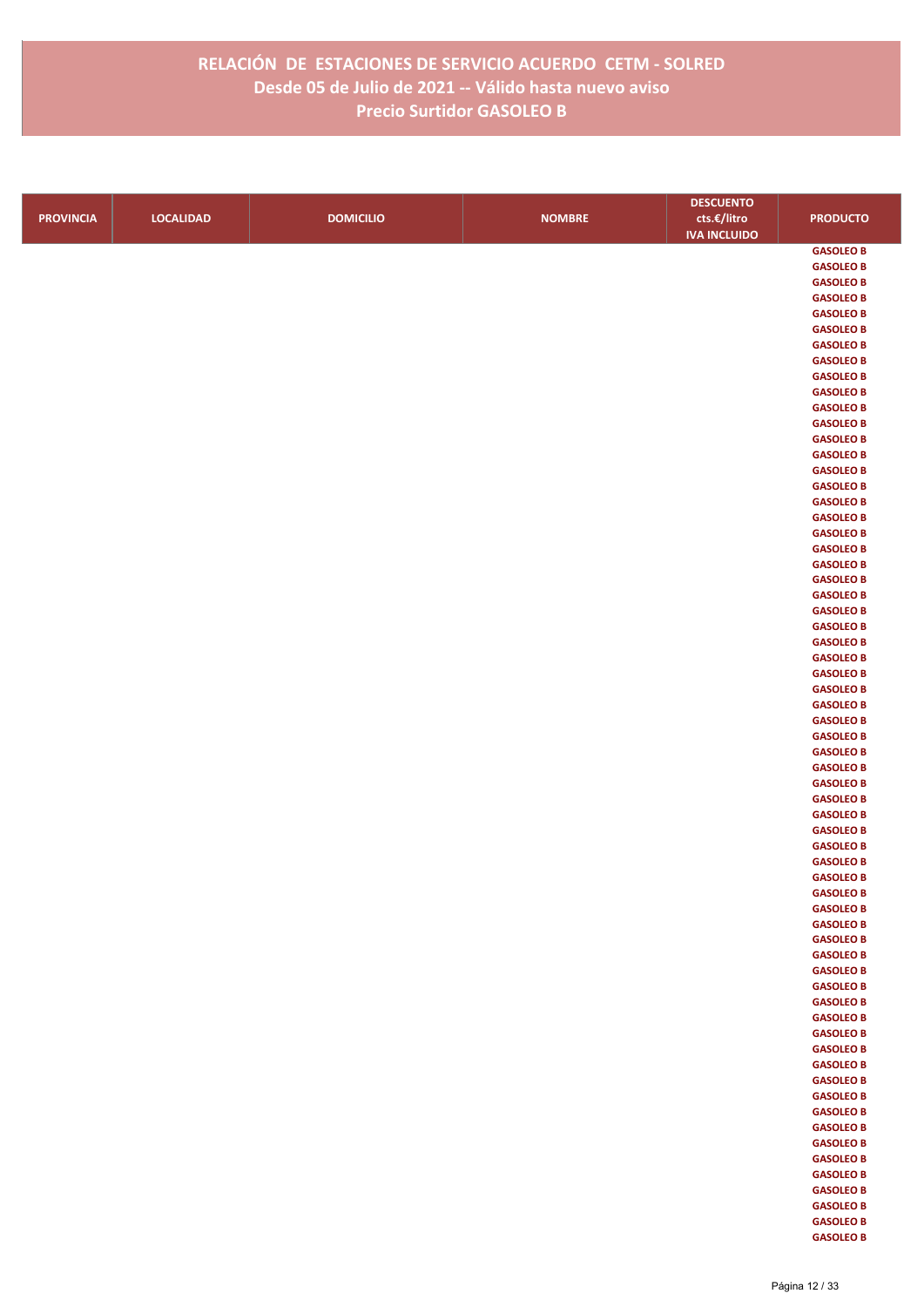|                  |                  |                  |               | <b>DESCUENTO</b>    |                                      |
|------------------|------------------|------------------|---------------|---------------------|--------------------------------------|
| <b>PROVINCIA</b> | <b>LOCALIDAD</b> | <b>DOMICILIO</b> | <b>NOMBRE</b> | cts.€/litro         | <b>PRODUCTO</b>                      |
|                  |                  |                  |               | <b>IVA INCLUIDO</b> |                                      |
|                  |                  |                  |               |                     | <b>GASOLEO B</b>                     |
|                  |                  |                  |               |                     | <b>GASOLEO B</b>                     |
|                  |                  |                  |               |                     | <b>GASOLEO B</b>                     |
|                  |                  |                  |               |                     | <b>GASOLEO B</b>                     |
|                  |                  |                  |               |                     | <b>GASOLEO B</b>                     |
|                  |                  |                  |               |                     | <b>GASOLEO B</b>                     |
|                  |                  |                  |               |                     | <b>GASOLEO B</b>                     |
|                  |                  |                  |               |                     | <b>GASOLEO B</b>                     |
|                  |                  |                  |               |                     | <b>GASOLEO B</b>                     |
|                  |                  |                  |               |                     | <b>GASOLEO B</b>                     |
|                  |                  |                  |               |                     | <b>GASOLEO B</b>                     |
|                  |                  |                  |               |                     | <b>GASOLEO B</b><br><b>GASOLEO B</b> |
|                  |                  |                  |               |                     | <b>GASOLEO B</b>                     |
|                  |                  |                  |               |                     | <b>GASOLEO B</b>                     |
|                  |                  |                  |               |                     | <b>GASOLEO B</b>                     |
|                  |                  |                  |               |                     | <b>GASOLEO B</b>                     |
|                  |                  |                  |               |                     | <b>GASOLEO B</b>                     |
|                  |                  |                  |               |                     | <b>GASOLEO B</b>                     |
|                  |                  |                  |               |                     | <b>GASOLEO B</b>                     |
|                  |                  |                  |               |                     | <b>GASOLEO B</b>                     |
|                  |                  |                  |               |                     | <b>GASOLEO B</b>                     |
|                  |                  |                  |               |                     | <b>GASOLEO B</b>                     |
|                  |                  |                  |               |                     | <b>GASOLEO B</b>                     |
|                  |                  |                  |               |                     | <b>GASOLEO B</b>                     |
|                  |                  |                  |               |                     | <b>GASOLEO B</b>                     |
|                  |                  |                  |               |                     | <b>GASOLEO B</b>                     |
|                  |                  |                  |               |                     | <b>GASOLEO B</b>                     |
|                  |                  |                  |               |                     | <b>GASOLEO B</b>                     |
|                  |                  |                  |               |                     | <b>GASOLEO B</b>                     |
|                  |                  |                  |               |                     | <b>GASOLEO B</b>                     |
|                  |                  |                  |               |                     | <b>GASOLEO B</b>                     |
|                  |                  |                  |               |                     | <b>GASOLEO B</b>                     |
|                  |                  |                  |               |                     | <b>GASOLEO B</b>                     |
|                  |                  |                  |               |                     | <b>GASOLEO B</b><br><b>GASOLEO B</b> |
|                  |                  |                  |               |                     | <b>GASOLEO B</b>                     |
|                  |                  |                  |               |                     | <b>GASOLEO B</b>                     |
|                  |                  |                  |               |                     | <b>GASOLEO B</b>                     |
|                  |                  |                  |               |                     | <b>GASOLEO B</b>                     |
|                  |                  |                  |               |                     | <b>GASOLEO B</b>                     |
|                  |                  |                  |               |                     | <b>GASOLEO B</b>                     |
|                  |                  |                  |               |                     | <b>GASOLEO B</b>                     |
|                  |                  |                  |               |                     | <b>GASOLEO B</b>                     |
|                  |                  |                  |               |                     | <b>GASOLEO B</b>                     |
|                  |                  |                  |               |                     | <b>GASOLEO B</b>                     |
|                  |                  |                  |               |                     | <b>GASOLEO B</b>                     |
|                  |                  |                  |               |                     | <b>GASOLEO B</b>                     |
|                  |                  |                  |               |                     | <b>GASOLEO B</b>                     |
|                  |                  |                  |               |                     | <b>GASOLEO B</b>                     |
|                  |                  |                  |               |                     | <b>GASOLEO B</b>                     |
|                  |                  |                  |               |                     | <b>GASOLEO B</b>                     |
|                  |                  |                  |               |                     | <b>GASOLEO B</b>                     |
|                  |                  |                  |               |                     | <b>GASOLEO B</b>                     |
|                  |                  |                  |               |                     | <b>GASOLEO B</b>                     |
|                  |                  |                  |               |                     | <b>GASOLEO B</b>                     |
|                  |                  |                  |               |                     | <b>GASOLEO B</b><br><b>GASOLEO B</b> |
|                  |                  |                  |               |                     | <b>GASOLEO B</b>                     |
|                  |                  |                  |               |                     | <b>GASOLEO B</b>                     |
|                  |                  |                  |               |                     | <b>GASOLEO B</b>                     |
|                  |                  |                  |               |                     | <b>GASOLEO B</b>                     |
|                  |                  |                  |               |                     | <b>GASOLEO B</b>                     |
|                  |                  |                  |               |                     | <b>GASOLEO B</b>                     |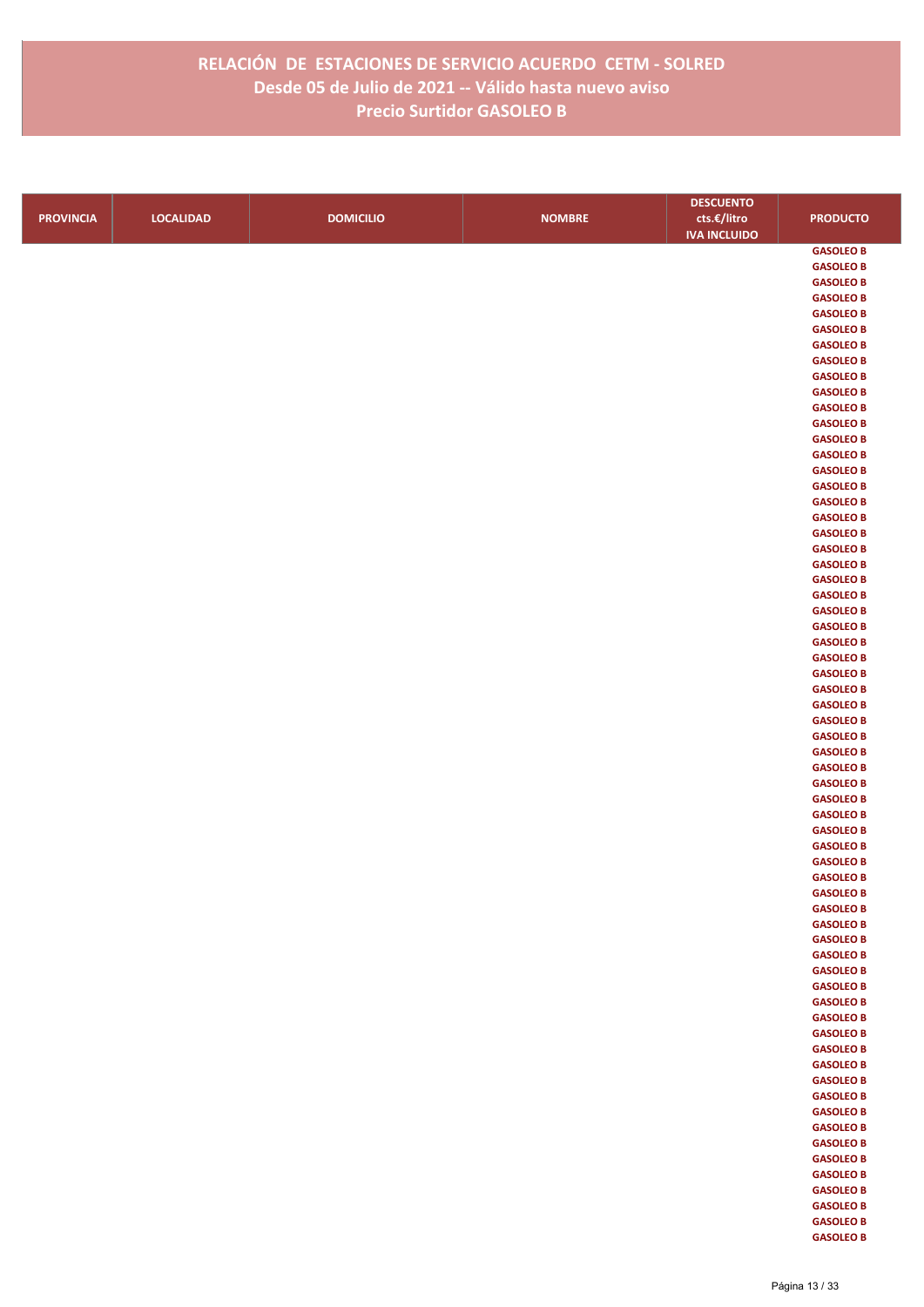|                  |                  |                  |               | <b>DESCUENTO</b>    |                  |
|------------------|------------------|------------------|---------------|---------------------|------------------|
| <b>PROVINCIA</b> | <b>LOCALIDAD</b> | <b>DOMICILIO</b> | <b>NOMBRE</b> | cts.€/litro         | <b>PRODUCTO</b>  |
|                  |                  |                  |               | <b>IVA INCLUIDO</b> |                  |
|                  |                  |                  |               |                     | <b>GASOLEO B</b> |
|                  |                  |                  |               |                     | <b>GASOLEO B</b> |
|                  |                  |                  |               |                     | <b>GASOLEO B</b> |
|                  |                  |                  |               |                     | <b>GASOLEO B</b> |
|                  |                  |                  |               |                     | <b>GASOLEO B</b> |
|                  |                  |                  |               |                     | <b>GASOLEO B</b> |
|                  |                  |                  |               |                     | <b>GASOLEO B</b> |
|                  |                  |                  |               |                     | <b>GASOLEO B</b> |
|                  |                  |                  |               |                     | <b>GASOLEO B</b> |
|                  |                  |                  |               |                     | <b>GASOLEO B</b> |
|                  |                  |                  |               |                     | <b>GASOLEO B</b> |
|                  |                  |                  |               |                     | <b>GASOLEO B</b> |
|                  |                  |                  |               |                     | <b>GASOLEO B</b> |
|                  |                  |                  |               |                     | <b>GASOLEO B</b> |
|                  |                  |                  |               |                     | <b>GASOLEO B</b> |
|                  |                  |                  |               |                     | <b>GASOLEO B</b> |
|                  |                  |                  |               |                     | <b>GASOLEO B</b> |
|                  |                  |                  |               |                     | <b>GASOLEO B</b> |
|                  |                  |                  |               |                     | <b>GASOLEO B</b> |
|                  |                  |                  |               |                     | <b>GASOLEO B</b> |
|                  |                  |                  |               |                     | <b>GASOLEO B</b> |
|                  |                  |                  |               |                     | <b>GASOLEO B</b> |
|                  |                  |                  |               |                     | <b>GASOLEO B</b> |
|                  |                  |                  |               |                     | <b>GASOLEO B</b> |
|                  |                  |                  |               |                     | <b>GASOLEO B</b> |
|                  |                  |                  |               |                     | <b>GASOLEO B</b> |
|                  |                  |                  |               |                     | <b>GASOLEO B</b> |
|                  |                  |                  |               |                     | <b>GASOLEO B</b> |
|                  |                  |                  |               |                     | <b>GASOLEO B</b> |
|                  |                  |                  |               |                     | <b>GASOLEO B</b> |
|                  |                  |                  |               |                     | <b>GASOLEO B</b> |
|                  |                  |                  |               |                     | <b>GASOLEO B</b> |
|                  |                  |                  |               |                     | <b>GASOLEO B</b> |
|                  |                  |                  |               |                     | <b>GASOLEO B</b> |
|                  |                  |                  |               |                     | <b>GASOLEO B</b> |
|                  |                  |                  |               |                     | <b>GASOLEO B</b> |
|                  |                  |                  |               |                     | <b>GASOLEO B</b> |
|                  |                  |                  |               |                     | <b>GASOLEO B</b> |
|                  |                  |                  |               |                     | <b>GASOLEO B</b> |
|                  |                  |                  |               |                     | <b>GASOLEO B</b> |
|                  |                  |                  |               |                     | <b>GASOLEO B</b> |
|                  |                  |                  |               |                     | <b>GASOLEO B</b> |
|                  |                  |                  |               |                     | <b>GASOLEO B</b> |
|                  |                  |                  |               |                     | <b>GASOLEO B</b> |
|                  |                  |                  |               |                     | <b>GASOLEO B</b> |
|                  |                  |                  |               |                     | <b>GASOLEO B</b> |
|                  |                  |                  |               |                     | <b>GASOLEO B</b> |
|                  |                  |                  |               |                     | <b>GASOLEO B</b> |
|                  |                  |                  |               |                     | <b>GASOLEO B</b> |
|                  |                  |                  |               |                     | <b>GASOLEO B</b> |
|                  |                  |                  |               |                     | <b>GASOLEO B</b> |
|                  |                  |                  |               |                     | <b>GASOLEO B</b> |
|                  |                  |                  |               |                     | <b>GASOLEO B</b> |
|                  |                  |                  |               |                     | <b>GASOLEO B</b> |
|                  |                  |                  |               |                     | <b>GASOLEO B</b> |
|                  |                  |                  |               |                     | <b>GASOLEO B</b> |
|                  |                  |                  |               |                     | <b>GASOLEO B</b> |
|                  |                  |                  |               |                     | <b>GASOLEO B</b> |
|                  |                  |                  |               |                     | <b>GASOLEO B</b> |
|                  |                  |                  |               |                     | <b>GASOLEO B</b> |
|                  |                  |                  |               |                     | <b>GASOLEO B</b> |
|                  |                  |                  |               |                     | <b>GASOLEO B</b> |
|                  |                  |                  |               |                     | <b>GASOLEO B</b> |
|                  |                  |                  |               |                     | <b>GASOLEO B</b> |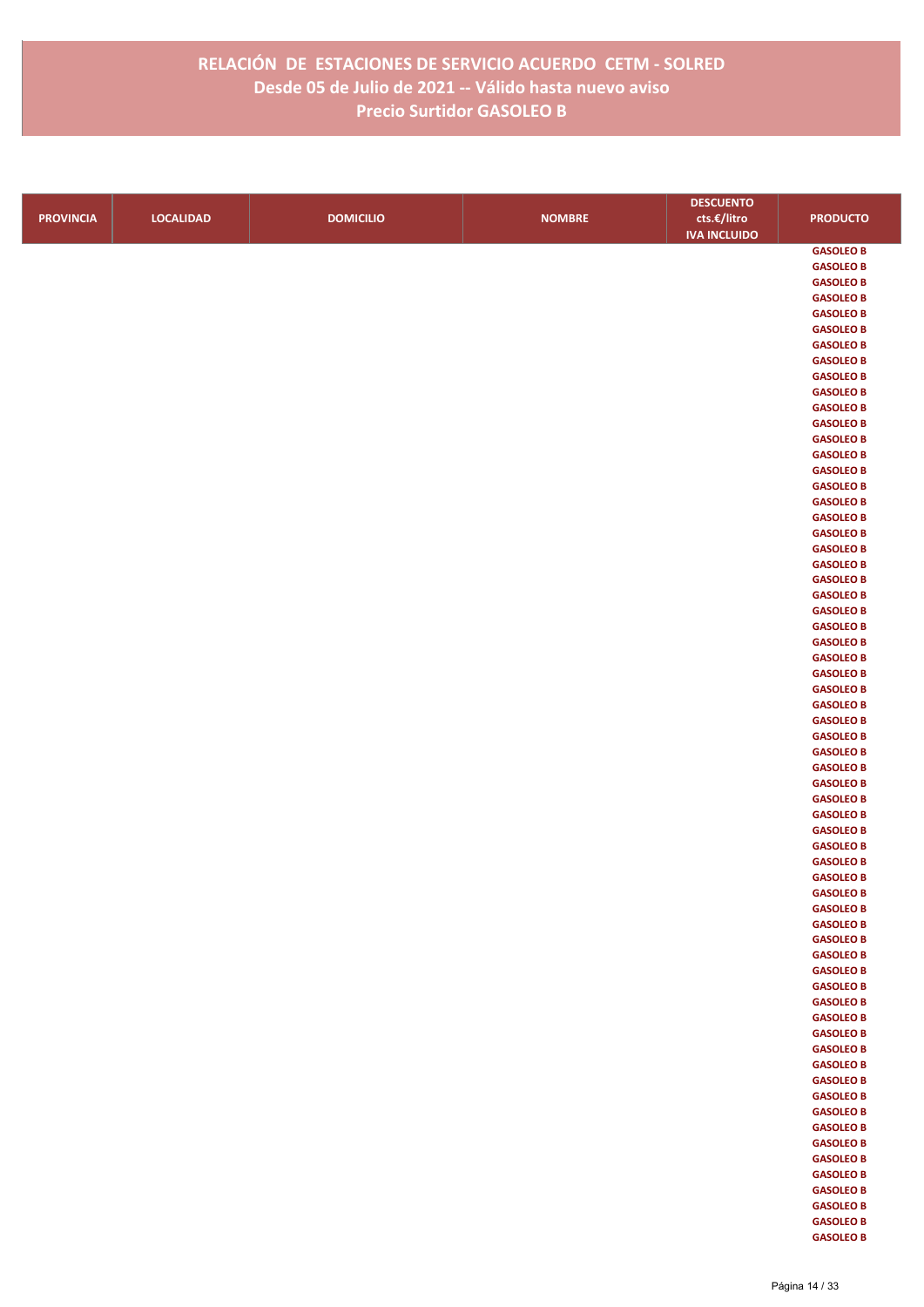|                  |                  |                  |               | <b>DESCUENTO</b>    |                  |
|------------------|------------------|------------------|---------------|---------------------|------------------|
| <b>PROVINCIA</b> | <b>LOCALIDAD</b> | <b>DOMICILIO</b> | <b>NOMBRE</b> | cts.€/litro         | <b>PRODUCTO</b>  |
|                  |                  |                  |               | <b>IVA INCLUIDO</b> |                  |
|                  |                  |                  |               |                     | <b>GASOLEO B</b> |
|                  |                  |                  |               |                     | <b>GASOLEO B</b> |
|                  |                  |                  |               |                     | <b>GASOLEO B</b> |
|                  |                  |                  |               |                     | <b>GASOLEO B</b> |
|                  |                  |                  |               |                     | <b>GASOLEO B</b> |
|                  |                  |                  |               |                     | <b>GASOLEO B</b> |
|                  |                  |                  |               |                     | <b>GASOLEO B</b> |
|                  |                  |                  |               |                     | <b>GASOLEO B</b> |
|                  |                  |                  |               |                     | <b>GASOLEO B</b> |
|                  |                  |                  |               |                     | <b>GASOLEO B</b> |
|                  |                  |                  |               |                     | <b>GASOLEO B</b> |
|                  |                  |                  |               |                     | <b>GASOLEO B</b> |
|                  |                  |                  |               |                     | <b>GASOLEO B</b> |
|                  |                  |                  |               |                     | <b>GASOLEO B</b> |
|                  |                  |                  |               |                     | <b>GASOLEO B</b> |
|                  |                  |                  |               |                     | <b>GASOLEO B</b> |
|                  |                  |                  |               |                     | <b>GASOLEO B</b> |
|                  |                  |                  |               |                     | <b>GASOLEO B</b> |
|                  |                  |                  |               |                     | <b>GASOLEO B</b> |
|                  |                  |                  |               |                     | <b>GASOLEO B</b> |
|                  |                  |                  |               |                     | <b>GASOLEO B</b> |
|                  |                  |                  |               |                     | <b>GASOLEO B</b> |
|                  |                  |                  |               |                     | <b>GASOLEO B</b> |
|                  |                  |                  |               |                     | <b>GASOLEO B</b> |
|                  |                  |                  |               |                     | <b>GASOLEO B</b> |
|                  |                  |                  |               |                     | <b>GASOLEO B</b> |
|                  |                  |                  |               |                     | <b>GASOLEO B</b> |
|                  |                  |                  |               |                     | <b>GASOLEO B</b> |
|                  |                  |                  |               |                     | <b>GASOLEO B</b> |
|                  |                  |                  |               |                     | <b>GASOLEO B</b> |
|                  |                  |                  |               |                     | <b>GASOLEO B</b> |
|                  |                  |                  |               |                     | <b>GASOLEO B</b> |
|                  |                  |                  |               |                     | <b>GASOLEO B</b> |
|                  |                  |                  |               |                     | <b>GASOLEO B</b> |
|                  |                  |                  |               |                     | <b>GASOLEO B</b> |
|                  |                  |                  |               |                     | <b>GASOLEO B</b> |
|                  |                  |                  |               |                     | <b>GASOLEO B</b> |
|                  |                  |                  |               |                     | <b>GASOLEO B</b> |
|                  |                  |                  |               |                     | <b>GASOLEO B</b> |
|                  |                  |                  |               |                     | <b>GASOLEO B</b> |
|                  |                  |                  |               |                     | <b>GASOLEO B</b> |
|                  |                  |                  |               |                     | <b>GASOLEO B</b> |
|                  |                  |                  |               |                     | <b>GASOLEO B</b> |
|                  |                  |                  |               |                     | <b>GASOLEO B</b> |
|                  |                  |                  |               |                     | <b>GASOLEO B</b> |
|                  |                  |                  |               |                     | <b>GASOLEO B</b> |
|                  |                  |                  |               |                     | <b>GASOLEO B</b> |
|                  |                  |                  |               |                     | <b>GASOLEO B</b> |
|                  |                  |                  |               |                     | <b>GASOLEO B</b> |
|                  |                  |                  |               |                     | <b>GASOLEO B</b> |
|                  |                  |                  |               |                     | <b>GASOLEO B</b> |
|                  |                  |                  |               |                     | <b>GASOLEO B</b> |
|                  |                  |                  |               |                     | <b>GASOLEO B</b> |
|                  |                  |                  |               |                     | <b>GASOLEO B</b> |
|                  |                  |                  |               |                     | <b>GASOLEO B</b> |
|                  |                  |                  |               |                     | <b>GASOLEO B</b> |
|                  |                  |                  |               |                     | <b>GASOLEO B</b> |
|                  |                  |                  |               |                     | <b>GASOLEO B</b> |
|                  |                  |                  |               |                     | <b>GASOLEO B</b> |
|                  |                  |                  |               |                     | <b>GASOLEO B</b> |
|                  |                  |                  |               |                     | <b>GASOLEO B</b> |
|                  |                  |                  |               |                     | <b>GASOLEO B</b> |
|                  |                  |                  |               |                     | <b>GASOLEO B</b> |
|                  |                  |                  |               |                     | <b>GASOLEO B</b> |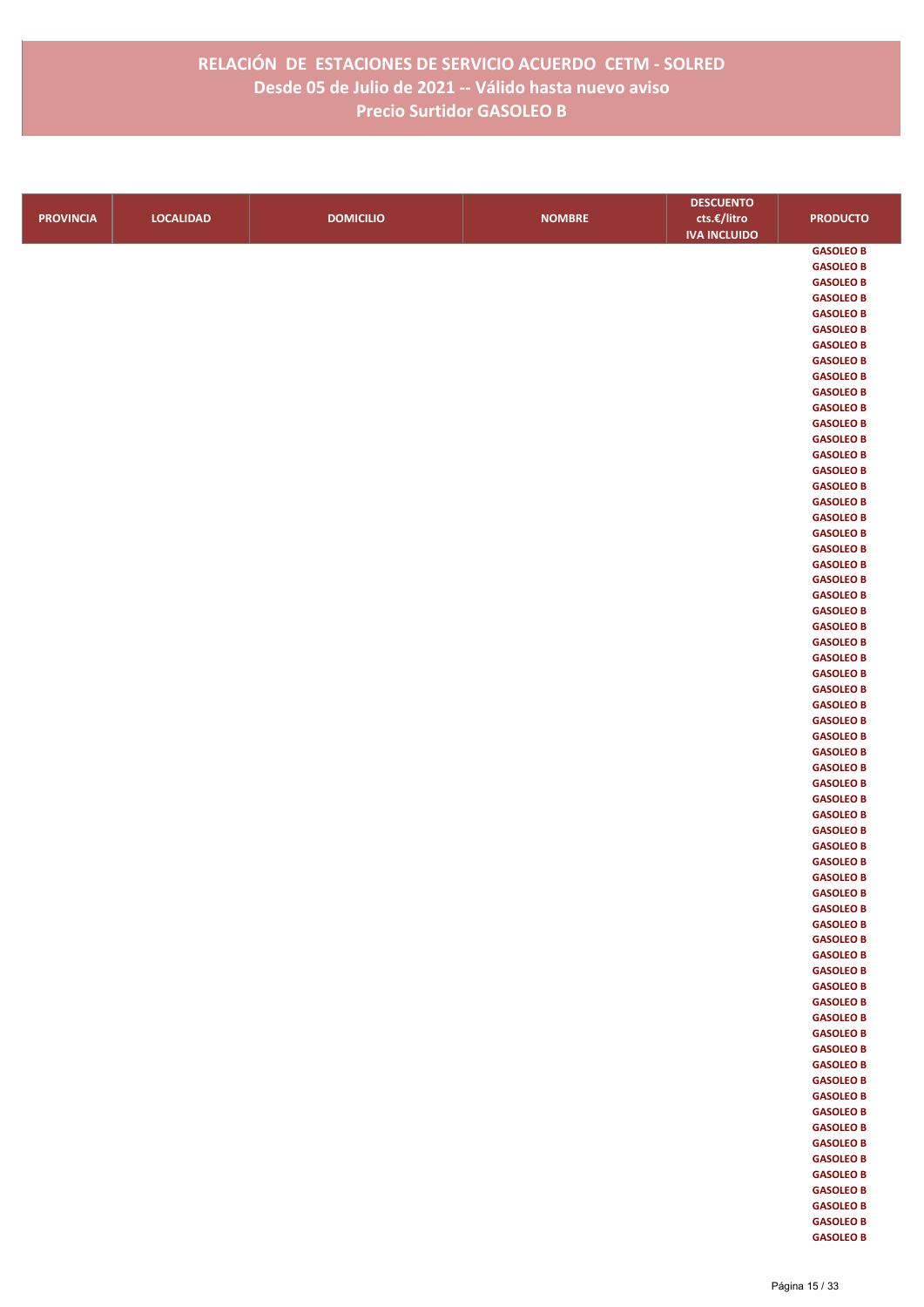|                  |                  |                  |               | <b>DESCUENTO</b>    |                                      |
|------------------|------------------|------------------|---------------|---------------------|--------------------------------------|
| <b>PROVINCIA</b> | <b>LOCALIDAD</b> | <b>DOMICILIO</b> | <b>NOMBRE</b> | cts.€/litro         | <b>PRODUCTO</b>                      |
|                  |                  |                  |               | <b>IVA INCLUIDO</b> |                                      |
|                  |                  |                  |               |                     | <b>GASOLEO B</b>                     |
|                  |                  |                  |               |                     | <b>GASOLEO B</b>                     |
|                  |                  |                  |               |                     | <b>GASOLEO B</b>                     |
|                  |                  |                  |               |                     | <b>GASOLEO B</b>                     |
|                  |                  |                  |               |                     | <b>GASOLEO B</b>                     |
|                  |                  |                  |               |                     | <b>GASOLEO B</b>                     |
|                  |                  |                  |               |                     | <b>GASOLEO B</b>                     |
|                  |                  |                  |               |                     | <b>GASOLEO B</b>                     |
|                  |                  |                  |               |                     | <b>GASOLEO B</b>                     |
|                  |                  |                  |               |                     | <b>GASOLEO B</b>                     |
|                  |                  |                  |               |                     | <b>GASOLEO B</b>                     |
|                  |                  |                  |               |                     | <b>GASOLEO B</b><br><b>GASOLEO B</b> |
|                  |                  |                  |               |                     | <b>GASOLEO B</b>                     |
|                  |                  |                  |               |                     | <b>GASOLEO B</b>                     |
|                  |                  |                  |               |                     | <b>GASOLEO B</b>                     |
|                  |                  |                  |               |                     | <b>GASOLEO B</b>                     |
|                  |                  |                  |               |                     | <b>GASOLEO B</b>                     |
|                  |                  |                  |               |                     | <b>GASOLEO B</b>                     |
|                  |                  |                  |               |                     | <b>GASOLEO B</b>                     |
|                  |                  |                  |               |                     | <b>GASOLEO B</b>                     |
|                  |                  |                  |               |                     | <b>GASOLEO B</b>                     |
|                  |                  |                  |               |                     | <b>GASOLEO B</b>                     |
|                  |                  |                  |               |                     | <b>GASOLEO B</b>                     |
|                  |                  |                  |               |                     | <b>GASOLEO B</b>                     |
|                  |                  |                  |               |                     | <b>GASOLEO B</b>                     |
|                  |                  |                  |               |                     | <b>GASOLEO B</b>                     |
|                  |                  |                  |               |                     | <b>GASOLEO B</b>                     |
|                  |                  |                  |               |                     | <b>GASOLEO B</b>                     |
|                  |                  |                  |               |                     | <b>GASOLEO B</b>                     |
|                  |                  |                  |               |                     | <b>GASOLEO B</b>                     |
|                  |                  |                  |               |                     | <b>GASOLEO B</b>                     |
|                  |                  |                  |               |                     | <b>GASOLEO B</b>                     |
|                  |                  |                  |               |                     | <b>GASOLEO B</b>                     |
|                  |                  |                  |               |                     | <b>GASOLEO B</b><br><b>GASOLEO B</b> |
|                  |                  |                  |               |                     | <b>GASOLEO B</b>                     |
|                  |                  |                  |               |                     | <b>GASOLEO B</b>                     |
|                  |                  |                  |               |                     | <b>GASOLEO B</b>                     |
|                  |                  |                  |               |                     | <b>GASOLEO B</b>                     |
|                  |                  |                  |               |                     | <b>GASOLEO B</b>                     |
|                  |                  |                  |               |                     | <b>GASOLEO B</b>                     |
|                  |                  |                  |               |                     | <b>GASOLEO B</b>                     |
|                  |                  |                  |               |                     | <b>GASOLEO B</b>                     |
|                  |                  |                  |               |                     | <b>GASOLEO B</b>                     |
|                  |                  |                  |               |                     | <b>GASOLEO B</b>                     |
|                  |                  |                  |               |                     | <b>GASOLEO B</b>                     |
|                  |                  |                  |               |                     | <b>GASOLEO B</b>                     |
|                  |                  |                  |               |                     | <b>GASOLEO B</b>                     |
|                  |                  |                  |               |                     | <b>GASOLEO B</b>                     |
|                  |                  |                  |               |                     | <b>GASOLEO B</b>                     |
|                  |                  |                  |               |                     | <b>GASOLEO B</b>                     |
|                  |                  |                  |               |                     | <b>GASOLEO B</b>                     |
|                  |                  |                  |               |                     | <b>GASOLEO B</b>                     |
|                  |                  |                  |               |                     | <b>GASOLEO B</b>                     |
|                  |                  |                  |               |                     | <b>GASOLEO B</b>                     |
|                  |                  |                  |               |                     | <b>GASOLEO B</b><br><b>GASOLEO B</b> |
|                  |                  |                  |               |                     | <b>GASOLEO B</b>                     |
|                  |                  |                  |               |                     | <b>GASOLEO B</b>                     |
|                  |                  |                  |               |                     | <b>GASOLEO B</b>                     |
|                  |                  |                  |               |                     | <b>GASOLEO B</b>                     |
|                  |                  |                  |               |                     | <b>GASOLEO B</b>                     |
|                  |                  |                  |               |                     | <b>GASOLEO B</b>                     |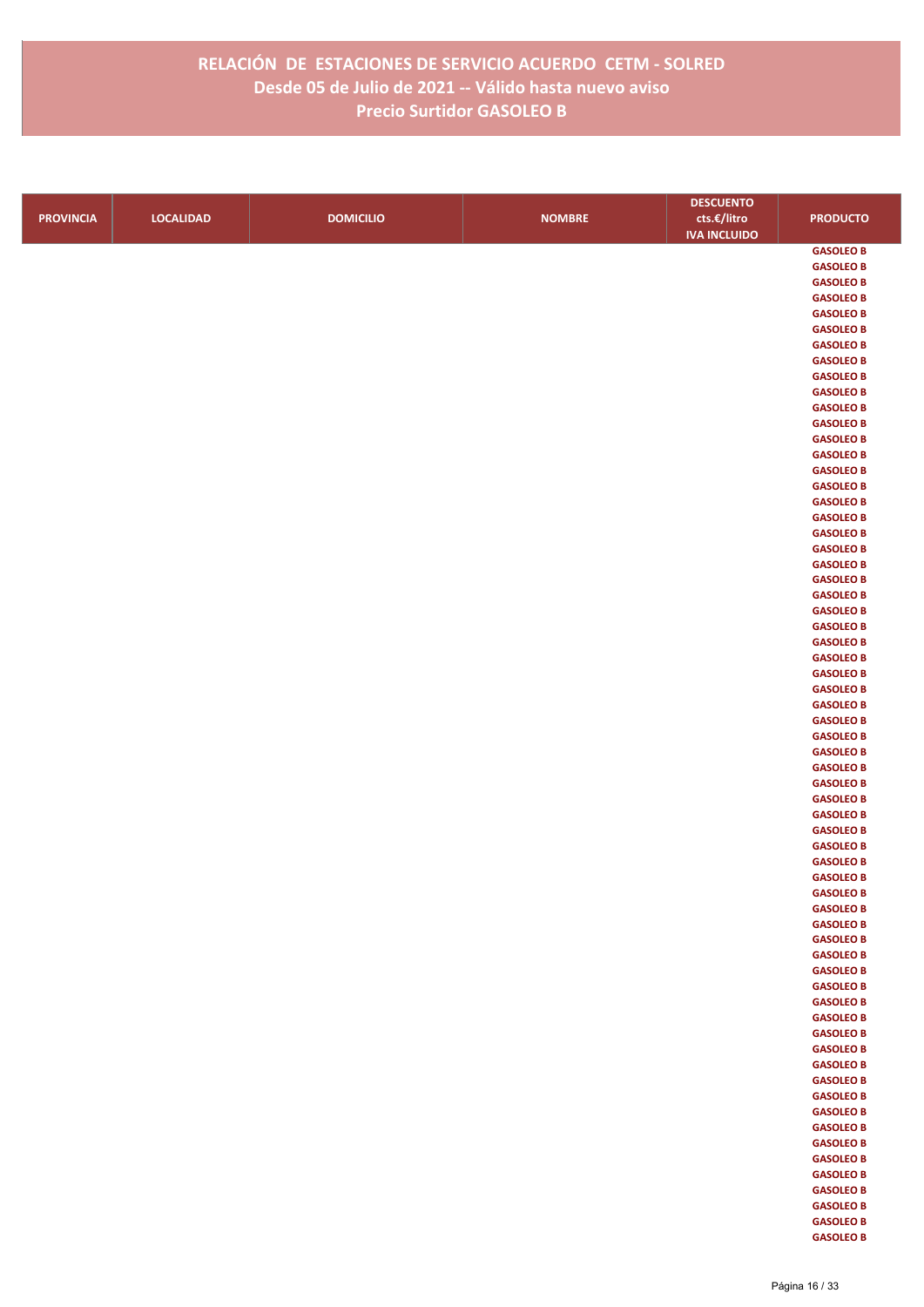|                  |                  |                  |               | <b>DESCUENTO</b>    |                  |
|------------------|------------------|------------------|---------------|---------------------|------------------|
| <b>PROVINCIA</b> | <b>LOCALIDAD</b> | <b>DOMICILIO</b> | <b>NOMBRE</b> | cts.€/litro         | <b>PRODUCTO</b>  |
|                  |                  |                  |               | <b>IVA INCLUIDO</b> |                  |
|                  |                  |                  |               |                     | <b>GASOLEO B</b> |
|                  |                  |                  |               |                     | <b>GASOLEO B</b> |
|                  |                  |                  |               |                     | <b>GASOLEO B</b> |
|                  |                  |                  |               |                     | <b>GASOLEO B</b> |
|                  |                  |                  |               |                     | <b>GASOLEO B</b> |
|                  |                  |                  |               |                     | <b>GASOLEO B</b> |
|                  |                  |                  |               |                     | <b>GASOLEO B</b> |
|                  |                  |                  |               |                     | <b>GASOLEO B</b> |
|                  |                  |                  |               |                     | <b>GASOLEO B</b> |
|                  |                  |                  |               |                     | <b>GASOLEO B</b> |
|                  |                  |                  |               |                     | <b>GASOLEO B</b> |
|                  |                  |                  |               |                     | <b>GASOLEO B</b> |
|                  |                  |                  |               |                     | <b>GASOLEO B</b> |
|                  |                  |                  |               |                     | <b>GASOLEO B</b> |
|                  |                  |                  |               |                     | <b>GASOLEO B</b> |
|                  |                  |                  |               |                     | <b>GASOLEO B</b> |
|                  |                  |                  |               |                     | <b>GASOLEO B</b> |
|                  |                  |                  |               |                     | <b>GASOLEO B</b> |
|                  |                  |                  |               |                     | <b>GASOLEO B</b> |
|                  |                  |                  |               |                     | <b>GASOLEO B</b> |
|                  |                  |                  |               |                     | <b>GASOLEO B</b> |
|                  |                  |                  |               |                     | <b>GASOLEO B</b> |
|                  |                  |                  |               |                     | <b>GASOLEO B</b> |
|                  |                  |                  |               |                     | <b>GASOLEO B</b> |
|                  |                  |                  |               |                     | <b>GASOLEO B</b> |
|                  |                  |                  |               |                     | <b>GASOLEO B</b> |
|                  |                  |                  |               |                     | <b>GASOLEO B</b> |
|                  |                  |                  |               |                     | <b>GASOLEO B</b> |
|                  |                  |                  |               |                     | <b>GASOLEO B</b> |
|                  |                  |                  |               |                     | <b>GASOLEO B</b> |
|                  |                  |                  |               |                     | <b>GASOLEO B</b> |
|                  |                  |                  |               |                     | <b>GASOLEO B</b> |
|                  |                  |                  |               |                     | <b>GASOLEO B</b> |
|                  |                  |                  |               |                     | <b>GASOLEO B</b> |
|                  |                  |                  |               |                     | <b>GASOLEO B</b> |
|                  |                  |                  |               |                     | <b>GASOLEO B</b> |
|                  |                  |                  |               |                     | <b>GASOLEO B</b> |
|                  |                  |                  |               |                     | <b>GASOLEO B</b> |
|                  |                  |                  |               |                     | <b>GASOLEO B</b> |
|                  |                  |                  |               |                     | <b>GASOLEO B</b> |
|                  |                  |                  |               |                     | <b>GASOLEO B</b> |
|                  |                  |                  |               |                     | <b>GASOLEO B</b> |
|                  |                  |                  |               |                     | <b>GASOLEO B</b> |
|                  |                  |                  |               |                     | <b>GASOLEO B</b> |
|                  |                  |                  |               |                     | <b>GASOLEO B</b> |
|                  |                  |                  |               |                     | <b>GASOLEO B</b> |
|                  |                  |                  |               |                     | <b>GASOLEO B</b> |
|                  |                  |                  |               |                     | <b>GASOLEO B</b> |
|                  |                  |                  |               |                     | <b>GASOLEO B</b> |
|                  |                  |                  |               |                     | <b>GASOLEO B</b> |
|                  |                  |                  |               |                     | <b>GASOLEO B</b> |
|                  |                  |                  |               |                     | <b>GASOLEO B</b> |
|                  |                  |                  |               |                     | <b>GASOLEO B</b> |
|                  |                  |                  |               |                     | <b>GASOLEO B</b> |
|                  |                  |                  |               |                     | <b>GASOLEO B</b> |
|                  |                  |                  |               |                     | <b>GASOLEO B</b> |
|                  |                  |                  |               |                     | <b>GASOLEO B</b> |
|                  |                  |                  |               |                     | <b>GASOLEO B</b> |
|                  |                  |                  |               |                     | <b>GASOLEO B</b> |
|                  |                  |                  |               |                     | <b>GASOLEO B</b> |
|                  |                  |                  |               |                     | <b>GASOLEO B</b> |
|                  |                  |                  |               |                     | <b>GASOLEO B</b> |
|                  |                  |                  |               |                     | <b>GASOLEO B</b> |
|                  |                  |                  |               |                     | <b>GASOLEO B</b> |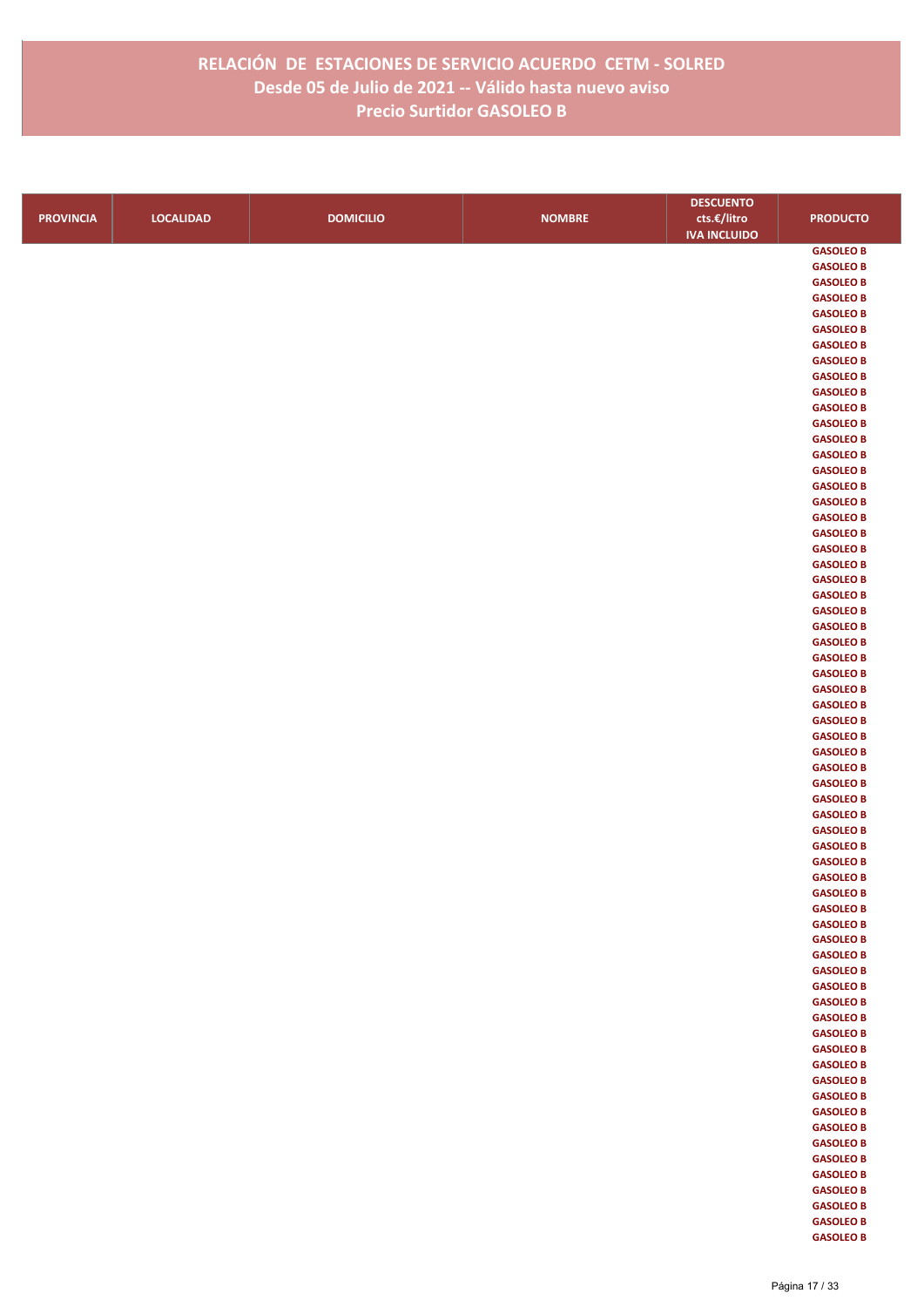|                  |                  |                  |               | <b>DESCUENTO</b>    |                                      |
|------------------|------------------|------------------|---------------|---------------------|--------------------------------------|
| <b>PROVINCIA</b> | <b>LOCALIDAD</b> | <b>DOMICILIO</b> | <b>NOMBRE</b> | cts.€/litro         | <b>PRODUCTO</b>                      |
|                  |                  |                  |               | <b>IVA INCLUIDO</b> |                                      |
|                  |                  |                  |               |                     | <b>GASOLEO B</b>                     |
|                  |                  |                  |               |                     | <b>GASOLEO B</b>                     |
|                  |                  |                  |               |                     | <b>GASOLEO B</b>                     |
|                  |                  |                  |               |                     | <b>GASOLEO B</b>                     |
|                  |                  |                  |               |                     | <b>GASOLEO B</b>                     |
|                  |                  |                  |               |                     | <b>GASOLEO B</b>                     |
|                  |                  |                  |               |                     | <b>GASOLEO B</b>                     |
|                  |                  |                  |               |                     | <b>GASOLEO B</b>                     |
|                  |                  |                  |               |                     | <b>GASOLEO B</b>                     |
|                  |                  |                  |               |                     | <b>GASOLEO B</b><br><b>GASOLEO B</b> |
|                  |                  |                  |               |                     | <b>GASOLEO B</b>                     |
|                  |                  |                  |               |                     | <b>GASOLEO B</b>                     |
|                  |                  |                  |               |                     | <b>GASOLEO B</b>                     |
|                  |                  |                  |               |                     | <b>GASOLEO B</b>                     |
|                  |                  |                  |               |                     | <b>GASOLEO B</b>                     |
|                  |                  |                  |               |                     | <b>GASOLEO B</b>                     |
|                  |                  |                  |               |                     | <b>GASOLEO B</b>                     |
|                  |                  |                  |               |                     | <b>GASOLEO B</b>                     |
|                  |                  |                  |               |                     | <b>GASOLEO B</b>                     |
|                  |                  |                  |               |                     | <b>GASOLEO B</b>                     |
|                  |                  |                  |               |                     | <b>GASOLEO B</b>                     |
|                  |                  |                  |               |                     | <b>GASOLEO B</b>                     |
|                  |                  |                  |               |                     | <b>GASOLEO B</b>                     |
|                  |                  |                  |               |                     | <b>GASOLEO B</b>                     |
|                  |                  |                  |               |                     | <b>GASOLEO B</b>                     |
|                  |                  |                  |               |                     | <b>GASOLEO B</b>                     |
|                  |                  |                  |               |                     | <b>GASOLEO B</b><br><b>GASOLEO B</b> |
|                  |                  |                  |               |                     | <b>GASOLEO B</b>                     |
|                  |                  |                  |               |                     | <b>GASOLEO B</b>                     |
|                  |                  |                  |               |                     | <b>GASOLEO B</b>                     |
|                  |                  |                  |               |                     | <b>GASOLEO B</b>                     |
|                  |                  |                  |               |                     | <b>GASOLEO B</b>                     |
|                  |                  |                  |               |                     | <b>GASOLEO B</b>                     |
|                  |                  |                  |               |                     | <b>GASOLEO B</b>                     |
|                  |                  |                  |               |                     | <b>GASOLEO B</b>                     |
|                  |                  |                  |               |                     | <b>GASOLEO B</b>                     |
|                  |                  |                  |               |                     | <b>GASOLEO B</b>                     |
|                  |                  |                  |               |                     | <b>GASOLEO B</b>                     |
|                  |                  |                  |               |                     | <b>GASOLEO B</b>                     |
|                  |                  |                  |               |                     | <b>GASOLEO B</b>                     |
|                  |                  |                  |               |                     | <b>GASOLEO B</b><br><b>GASOLEO B</b> |
|                  |                  |                  |               |                     | <b>GASOLEO B</b>                     |
|                  |                  |                  |               |                     | <b>GASOLEO B</b>                     |
|                  |                  |                  |               |                     | <b>GASOLEO B</b>                     |
|                  |                  |                  |               |                     | <b>GASOLEO B</b>                     |
|                  |                  |                  |               |                     | <b>GASOLEO B</b>                     |
|                  |                  |                  |               |                     | <b>GASOLEO B</b>                     |
|                  |                  |                  |               |                     | <b>GASOLEO B</b>                     |
|                  |                  |                  |               |                     | <b>GASOLEO B</b>                     |
|                  |                  |                  |               |                     | <b>GASOLEO B</b>                     |
|                  |                  |                  |               |                     | <b>GASOLEO B</b>                     |
|                  |                  |                  |               |                     | <b>GASOLEO B</b>                     |
|                  |                  |                  |               |                     | <b>GASOLEO B</b>                     |
|                  |                  |                  |               |                     | <b>GASOLEO B</b>                     |
|                  |                  |                  |               |                     | <b>GASOLEO B</b>                     |
|                  |                  |                  |               |                     | <b>GASOLEO B</b>                     |
|                  |                  |                  |               |                     | <b>GASOLEO B</b><br><b>GASOLEO B</b> |
|                  |                  |                  |               |                     | <b>GASOLEO B</b>                     |
|                  |                  |                  |               |                     | <b>GASOLEO B</b>                     |
|                  |                  |                  |               |                     | <b>GASOLEO B</b>                     |
|                  |                  |                  |               |                     |                                      |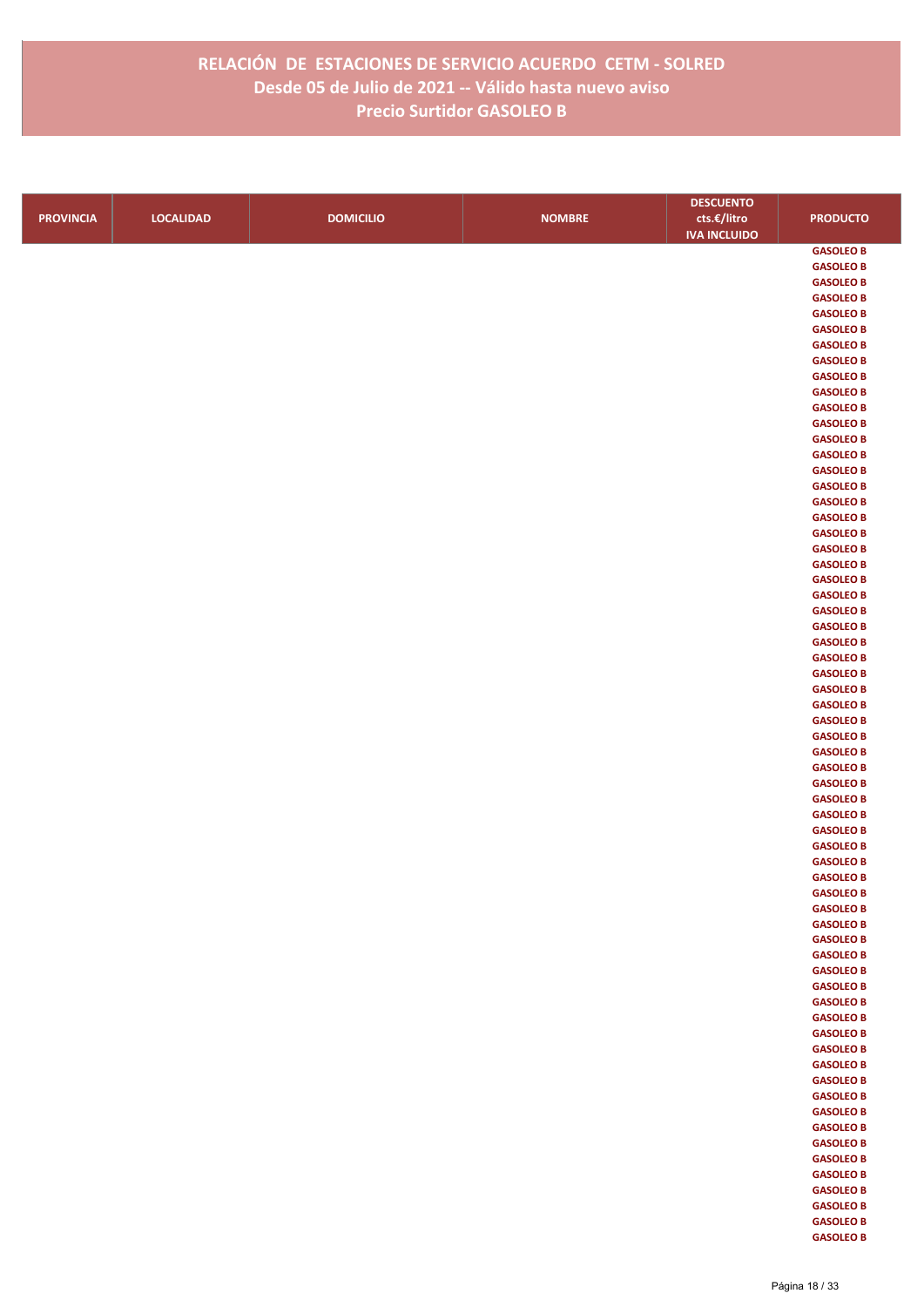|                  |                  |                  |               | <b>DESCUENTO</b>    |                                      |
|------------------|------------------|------------------|---------------|---------------------|--------------------------------------|
| <b>PROVINCIA</b> | <b>LOCALIDAD</b> | <b>DOMICILIO</b> | <b>NOMBRE</b> | cts.€/litro         | <b>PRODUCTO</b>                      |
|                  |                  |                  |               | <b>IVA INCLUIDO</b> |                                      |
|                  |                  |                  |               |                     | <b>GASOLEO B</b>                     |
|                  |                  |                  |               |                     | <b>GASOLEO B</b>                     |
|                  |                  |                  |               |                     | <b>GASOLEO B</b>                     |
|                  |                  |                  |               |                     | <b>GASOLEO B</b>                     |
|                  |                  |                  |               |                     | <b>GASOLEO B</b>                     |
|                  |                  |                  |               |                     | <b>GASOLEO B</b>                     |
|                  |                  |                  |               |                     | <b>GASOLEO B</b>                     |
|                  |                  |                  |               |                     | <b>GASOLEO B</b>                     |
|                  |                  |                  |               |                     | <b>GASOLEO B</b>                     |
|                  |                  |                  |               |                     | <b>GASOLEO B</b><br><b>GASOLEO B</b> |
|                  |                  |                  |               |                     | <b>GASOLEO B</b>                     |
|                  |                  |                  |               |                     | <b>GASOLEO B</b>                     |
|                  |                  |                  |               |                     | <b>GASOLEO B</b>                     |
|                  |                  |                  |               |                     | <b>GASOLEO B</b>                     |
|                  |                  |                  |               |                     | <b>GASOLEO B</b>                     |
|                  |                  |                  |               |                     | <b>GASOLEO B</b>                     |
|                  |                  |                  |               |                     | <b>GASOLEO B</b>                     |
|                  |                  |                  |               |                     | <b>GASOLEO B</b>                     |
|                  |                  |                  |               |                     | <b>GASOLEO B</b>                     |
|                  |                  |                  |               |                     | <b>GASOLEO B</b>                     |
|                  |                  |                  |               |                     | <b>GASOLEO B</b>                     |
|                  |                  |                  |               |                     | <b>GASOLEO B</b>                     |
|                  |                  |                  |               |                     | <b>GASOLEO B</b>                     |
|                  |                  |                  |               |                     | <b>GASOLEO B</b>                     |
|                  |                  |                  |               |                     | <b>GASOLEO B</b>                     |
|                  |                  |                  |               |                     | <b>GASOLEO B</b>                     |
|                  |                  |                  |               |                     | <b>GASOLEO B</b><br><b>GASOLEO B</b> |
|                  |                  |                  |               |                     | <b>GASOLEO B</b>                     |
|                  |                  |                  |               |                     | <b>GASOLEO B</b>                     |
|                  |                  |                  |               |                     | <b>GASOLEO B</b>                     |
|                  |                  |                  |               |                     | <b>GASOLEO B</b>                     |
|                  |                  |                  |               |                     | <b>GASOLEO B</b>                     |
|                  |                  |                  |               |                     | <b>GASOLEO B</b>                     |
|                  |                  |                  |               |                     | <b>GASOLEO B</b>                     |
|                  |                  |                  |               |                     | <b>GASOLEO B</b>                     |
|                  |                  |                  |               |                     | <b>GASOLEO B</b>                     |
|                  |                  |                  |               |                     | <b>GASOLEO B</b>                     |
|                  |                  |                  |               |                     | <b>GASOLEO B</b>                     |
|                  |                  |                  |               |                     | <b>GASOLEO B</b>                     |
|                  |                  |                  |               |                     | <b>GASOLEO B</b>                     |
|                  |                  |                  |               |                     | <b>GASOLEO B</b><br><b>GASOLEO B</b> |
|                  |                  |                  |               |                     | <b>GASOLEO B</b>                     |
|                  |                  |                  |               |                     | <b>GASOLEO B</b>                     |
|                  |                  |                  |               |                     | <b>GASOLEO B</b>                     |
|                  |                  |                  |               |                     | <b>GASOLEO B</b>                     |
|                  |                  |                  |               |                     | <b>GASOLEO B</b>                     |
|                  |                  |                  |               |                     | <b>GASOLEO B</b>                     |
|                  |                  |                  |               |                     | <b>GASOLEO B</b>                     |
|                  |                  |                  |               |                     | <b>GASOLEO B</b>                     |
|                  |                  |                  |               |                     | <b>GASOLEO B</b>                     |
|                  |                  |                  |               |                     | <b>GASOLEO B</b>                     |
|                  |                  |                  |               |                     | <b>GASOLEO B</b>                     |
|                  |                  |                  |               |                     | <b>GASOLEO B</b>                     |
|                  |                  |                  |               |                     | <b>GASOLEO B</b>                     |
|                  |                  |                  |               |                     | <b>GASOLEO B</b>                     |
|                  |                  |                  |               |                     | <b>GASOLEO B</b>                     |
|                  |                  |                  |               |                     | <b>GASOLEO B</b><br><b>GASOLEO B</b> |
|                  |                  |                  |               |                     | <b>GASOLEO B</b>                     |
|                  |                  |                  |               |                     | <b>GASOLEO B</b>                     |
|                  |                  |                  |               |                     | <b>GASOLEO B</b>                     |
|                  |                  |                  |               |                     |                                      |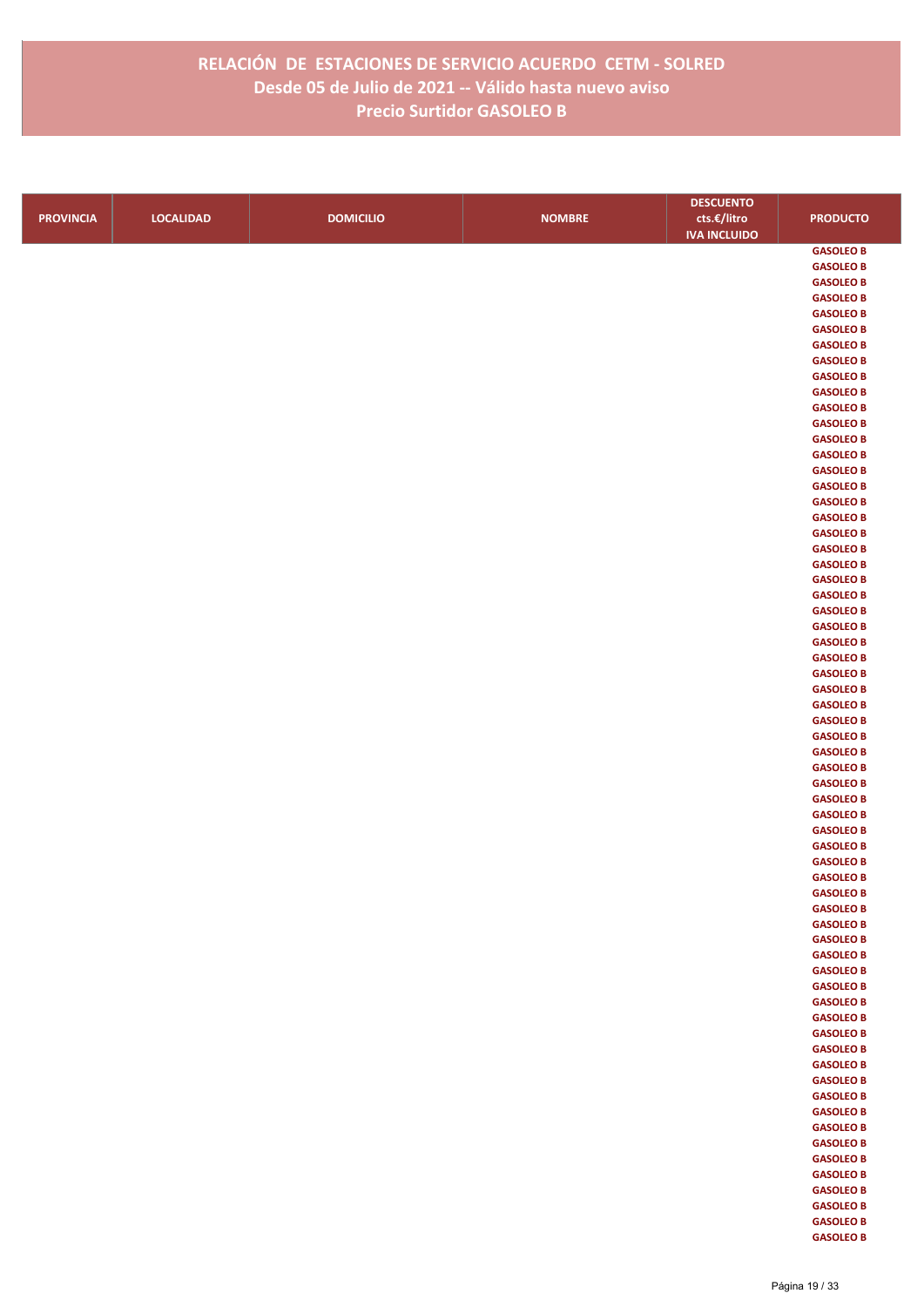|                  |                  |                  |               | <b>DESCUENTO</b>    |                                      |
|------------------|------------------|------------------|---------------|---------------------|--------------------------------------|
| <b>PROVINCIA</b> | <b>LOCALIDAD</b> | <b>DOMICILIO</b> | <b>NOMBRE</b> | cts.€/litro         | <b>PRODUCTO</b>                      |
|                  |                  |                  |               | <b>IVA INCLUIDO</b> |                                      |
|                  |                  |                  |               |                     | <b>GASOLEO B</b>                     |
|                  |                  |                  |               |                     | <b>GASOLEO B</b>                     |
|                  |                  |                  |               |                     | <b>GASOLEO B</b>                     |
|                  |                  |                  |               |                     | <b>GASOLEO B</b>                     |
|                  |                  |                  |               |                     | <b>GASOLEO B</b>                     |
|                  |                  |                  |               |                     | <b>GASOLEO B</b>                     |
|                  |                  |                  |               |                     | <b>GASOLEO B</b>                     |
|                  |                  |                  |               |                     | <b>GASOLEO B</b>                     |
|                  |                  |                  |               |                     | <b>GASOLEO B</b>                     |
|                  |                  |                  |               |                     | <b>GASOLEO B</b>                     |
|                  |                  |                  |               |                     | <b>GASOLEO B</b>                     |
|                  |                  |                  |               |                     | <b>GASOLEO B</b><br><b>GASOLEO B</b> |
|                  |                  |                  |               |                     | <b>GASOLEO B</b>                     |
|                  |                  |                  |               |                     | <b>GASOLEO B</b>                     |
|                  |                  |                  |               |                     | <b>GASOLEO B</b>                     |
|                  |                  |                  |               |                     | <b>GASOLEO B</b>                     |
|                  |                  |                  |               |                     | <b>GASOLEO B</b>                     |
|                  |                  |                  |               |                     | <b>GASOLEO B</b>                     |
|                  |                  |                  |               |                     | <b>GASOLEO B</b>                     |
|                  |                  |                  |               |                     | <b>GASOLEO B</b>                     |
|                  |                  |                  |               |                     | <b>GASOLEO B</b>                     |
|                  |                  |                  |               |                     | <b>GASOLEO B</b>                     |
|                  |                  |                  |               |                     | <b>GASOLEO B</b>                     |
|                  |                  |                  |               |                     | <b>GASOLEO B</b>                     |
|                  |                  |                  |               |                     | <b>GASOLEO B</b>                     |
|                  |                  |                  |               |                     | <b>GASOLEO B</b>                     |
|                  |                  |                  |               |                     | <b>GASOLEO B</b>                     |
|                  |                  |                  |               |                     | <b>GASOLEO B</b>                     |
|                  |                  |                  |               |                     | <b>GASOLEO B</b>                     |
|                  |                  |                  |               |                     | <b>GASOLEO B</b>                     |
|                  |                  |                  |               |                     | <b>GASOLEO B</b>                     |
|                  |                  |                  |               |                     | <b>GASOLEO B</b>                     |
|                  |                  |                  |               |                     | <b>GASOLEO B</b>                     |
|                  |                  |                  |               |                     | <b>GASOLEO B</b><br><b>GASOLEO B</b> |
|                  |                  |                  |               |                     | <b>GASOLEO B</b>                     |
|                  |                  |                  |               |                     | <b>GASOLEO B</b>                     |
|                  |                  |                  |               |                     | <b>GASOLEO B</b>                     |
|                  |                  |                  |               |                     | <b>GASOLEO B</b>                     |
|                  |                  |                  |               |                     | <b>GASOLEO B</b>                     |
|                  |                  |                  |               |                     | <b>GASOLEO B</b>                     |
|                  |                  |                  |               |                     | <b>GASOLEO B</b>                     |
|                  |                  |                  |               |                     | <b>GASOLEO B</b>                     |
|                  |                  |                  |               |                     | <b>GASOLEO B</b>                     |
|                  |                  |                  |               |                     | <b>GASOLEO B</b>                     |
|                  |                  |                  |               |                     | <b>GASOLEO B</b>                     |
|                  |                  |                  |               |                     | <b>GASOLEO B</b>                     |
|                  |                  |                  |               |                     | <b>GASOLEO B</b>                     |
|                  |                  |                  |               |                     | <b>GASOLEO B</b>                     |
|                  |                  |                  |               |                     | <b>GASOLEO B</b>                     |
|                  |                  |                  |               |                     | <b>GASOLEO B</b>                     |
|                  |                  |                  |               |                     | <b>GASOLEO B</b>                     |
|                  |                  |                  |               |                     | <b>GASOLEO B</b>                     |
|                  |                  |                  |               |                     | <b>GASOLEO B</b>                     |
|                  |                  |                  |               |                     | <b>GASOLEO B</b>                     |
|                  |                  |                  |               |                     | <b>GASOLEO B</b><br><b>GASOLEO B</b> |
|                  |                  |                  |               |                     | <b>GASOLEO B</b>                     |
|                  |                  |                  |               |                     | <b>GASOLEO B</b>                     |
|                  |                  |                  |               |                     | <b>GASOLEO B</b>                     |
|                  |                  |                  |               |                     | <b>GASOLEO B</b>                     |
|                  |                  |                  |               |                     | <b>GASOLEO B</b>                     |
|                  |                  |                  |               |                     | <b>GASOLEO B</b>                     |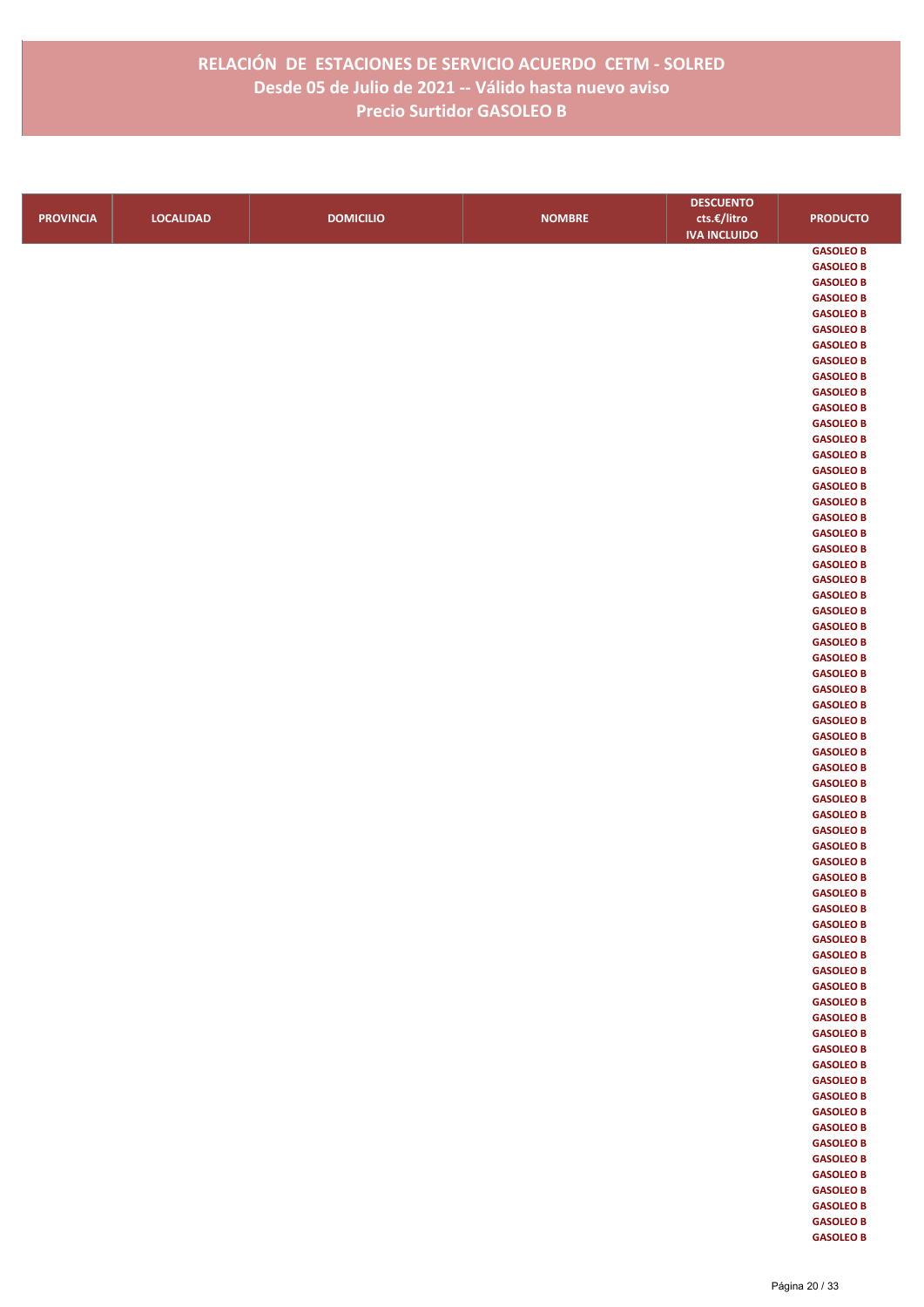|                  |                  |                  |               | <b>DESCUENTO</b>    |                  |
|------------------|------------------|------------------|---------------|---------------------|------------------|
| <b>PROVINCIA</b> | <b>LOCALIDAD</b> | <b>DOMICILIO</b> | <b>NOMBRE</b> | cts.€/litro         | <b>PRODUCTO</b>  |
|                  |                  |                  |               | <b>IVA INCLUIDO</b> |                  |
|                  |                  |                  |               |                     | <b>GASOLEO B</b> |
|                  |                  |                  |               |                     | <b>GASOLEO B</b> |
|                  |                  |                  |               |                     | <b>GASOLEO B</b> |
|                  |                  |                  |               |                     | <b>GASOLEO B</b> |
|                  |                  |                  |               |                     | <b>GASOLEO B</b> |
|                  |                  |                  |               |                     | <b>GASOLEO B</b> |
|                  |                  |                  |               |                     | <b>GASOLEO B</b> |
|                  |                  |                  |               |                     | <b>GASOLEO B</b> |
|                  |                  |                  |               |                     | <b>GASOLEO B</b> |
|                  |                  |                  |               |                     | <b>GASOLEO B</b> |
|                  |                  |                  |               |                     | <b>GASOLEO B</b> |
|                  |                  |                  |               |                     | <b>GASOLEO B</b> |
|                  |                  |                  |               |                     | <b>GASOLEO B</b> |
|                  |                  |                  |               |                     | <b>GASOLEO B</b> |
|                  |                  |                  |               |                     | <b>GASOLEO B</b> |
|                  |                  |                  |               |                     | <b>GASOLEO B</b> |
|                  |                  |                  |               |                     | <b>GASOLEO B</b> |
|                  |                  |                  |               |                     | <b>GASOLEO B</b> |
|                  |                  |                  |               |                     | <b>GASOLEO B</b> |
|                  |                  |                  |               |                     | <b>GASOLEO B</b> |
|                  |                  |                  |               |                     | <b>GASOLEO B</b> |
|                  |                  |                  |               |                     | <b>GASOLEO B</b> |
|                  |                  |                  |               |                     | <b>GASOLEO B</b> |
|                  |                  |                  |               |                     | <b>GASOLEO B</b> |
|                  |                  |                  |               |                     | <b>GASOLEO B</b> |
|                  |                  |                  |               |                     | <b>GASOLEO B</b> |
|                  |                  |                  |               |                     | <b>GASOLEO B</b> |
|                  |                  |                  |               |                     | <b>GASOLEO B</b> |
|                  |                  |                  |               |                     | <b>GASOLEO B</b> |
|                  |                  |                  |               |                     | <b>GASOLEO B</b> |
|                  |                  |                  |               |                     | <b>GASOLEO B</b> |
|                  |                  |                  |               |                     | <b>GASOLEO B</b> |
|                  |                  |                  |               |                     | <b>GASOLEO B</b> |
|                  |                  |                  |               |                     | <b>GASOLEO B</b> |
|                  |                  |                  |               |                     | <b>GASOLEO B</b> |
|                  |                  |                  |               |                     | <b>GASOLEO B</b> |
|                  |                  |                  |               |                     | <b>GASOLEO B</b> |
|                  |                  |                  |               |                     | <b>GASOLEO B</b> |
|                  |                  |                  |               |                     | <b>GASOLEO B</b> |
|                  |                  |                  |               |                     | <b>GASOLEO B</b> |
|                  |                  |                  |               |                     | <b>GASOLEO B</b> |
|                  |                  |                  |               |                     | <b>GASOLEO B</b> |
|                  |                  |                  |               |                     | <b>GASOLEO B</b> |
|                  |                  |                  |               |                     | <b>GASOLEO B</b> |
|                  |                  |                  |               |                     | <b>GASOLEO B</b> |
|                  |                  |                  |               |                     | <b>GASOLEO B</b> |
|                  |                  |                  |               |                     | <b>GASOLEO B</b> |
|                  |                  |                  |               |                     | <b>GASOLEO B</b> |
|                  |                  |                  |               |                     | <b>GASOLEO B</b> |
|                  |                  |                  |               |                     | <b>GASOLEO B</b> |
|                  |                  |                  |               |                     | <b>GASOLEO B</b> |
|                  |                  |                  |               |                     | <b>GASOLEO B</b> |
|                  |                  |                  |               |                     | <b>GASOLEO B</b> |
|                  |                  |                  |               |                     | <b>GASOLEO B</b> |
|                  |                  |                  |               |                     | <b>GASOLEO B</b> |
|                  |                  |                  |               |                     | <b>GASOLEO B</b> |
|                  |                  |                  |               |                     | <b>GASOLEO B</b> |
|                  |                  |                  |               |                     | <b>GASOLEO B</b> |
|                  |                  |                  |               |                     | <b>GASOLEO B</b> |
|                  |                  |                  |               |                     | <b>GASOLEO B</b> |
|                  |                  |                  |               |                     | <b>GASOLEO B</b> |
|                  |                  |                  |               |                     | <b>GASOLEO B</b> |
|                  |                  |                  |               |                     | <b>GASOLEO B</b> |
|                  |                  |                  |               |                     | <b>GASOLEO B</b> |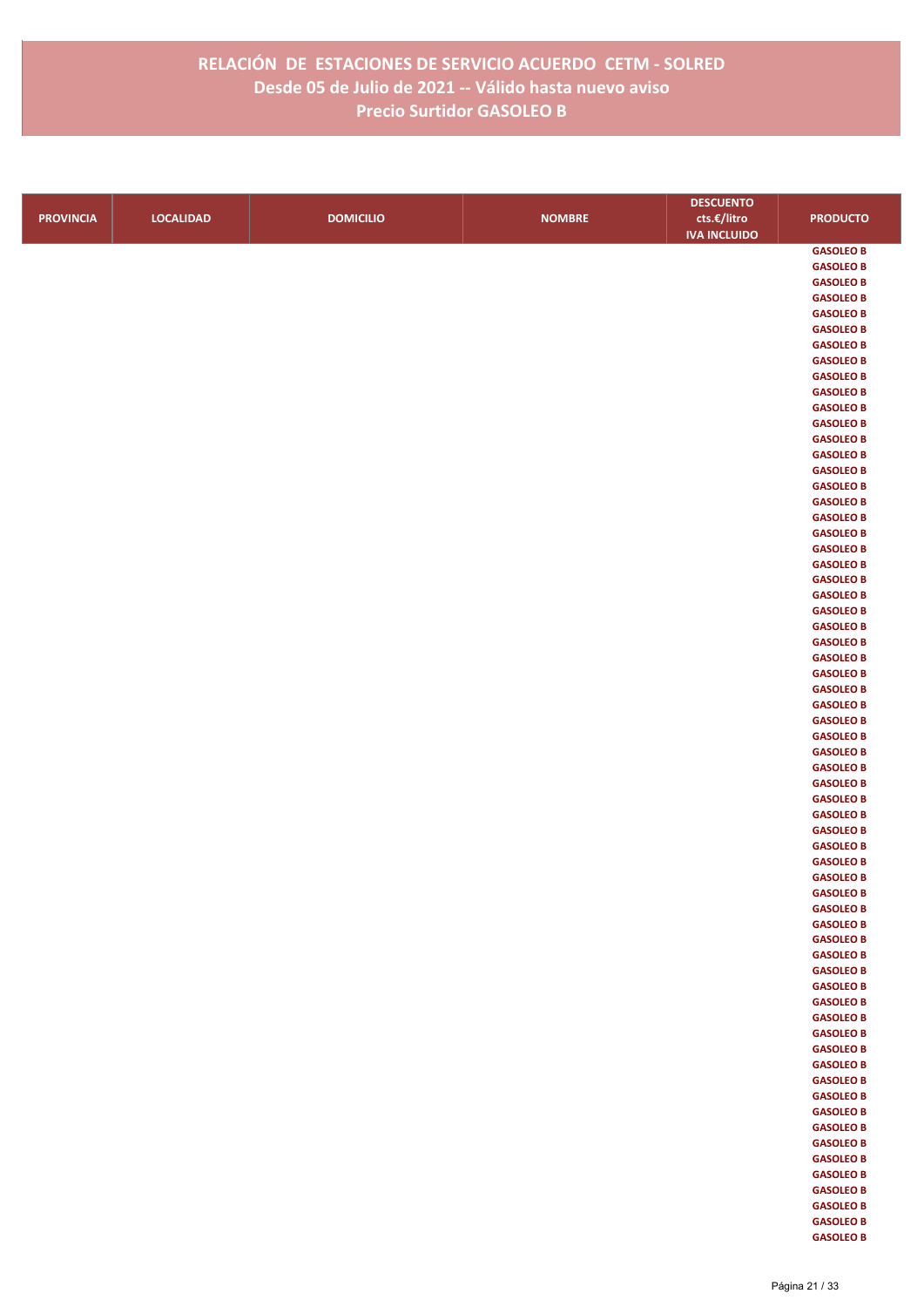|                  |                  |                  |               | <b>DESCUENTO</b>    |                  |
|------------------|------------------|------------------|---------------|---------------------|------------------|
| <b>PROVINCIA</b> | <b>LOCALIDAD</b> | <b>DOMICILIO</b> | <b>NOMBRE</b> | cts.€/litro         | <b>PRODUCTO</b>  |
|                  |                  |                  |               | <b>IVA INCLUIDO</b> |                  |
|                  |                  |                  |               |                     | <b>GASOLEO B</b> |
|                  |                  |                  |               |                     | <b>GASOLEO B</b> |
|                  |                  |                  |               |                     | <b>GASOLEO B</b> |
|                  |                  |                  |               |                     | <b>GASOLEO B</b> |
|                  |                  |                  |               |                     | <b>GASOLEO B</b> |
|                  |                  |                  |               |                     | <b>GASOLEO B</b> |
|                  |                  |                  |               |                     | <b>GASOLEO B</b> |
|                  |                  |                  |               |                     | <b>GASOLEO B</b> |
|                  |                  |                  |               |                     | <b>GASOLEO B</b> |
|                  |                  |                  |               |                     | <b>GASOLEO B</b> |
|                  |                  |                  |               |                     | <b>GASOLEO B</b> |
|                  |                  |                  |               |                     | <b>GASOLEO B</b> |
|                  |                  |                  |               |                     | <b>GASOLEO B</b> |
|                  |                  |                  |               |                     | <b>GASOLEO B</b> |
|                  |                  |                  |               |                     | <b>GASOLEO B</b> |
|                  |                  |                  |               |                     | <b>GASOLEO B</b> |
|                  |                  |                  |               |                     | <b>GASOLEO B</b> |
|                  |                  |                  |               |                     | <b>GASOLEO B</b> |
|                  |                  |                  |               |                     | <b>GASOLEO B</b> |
|                  |                  |                  |               |                     | <b>GASOLEO B</b> |
|                  |                  |                  |               |                     | <b>GASOLEO B</b> |
|                  |                  |                  |               |                     | <b>GASOLEO B</b> |
|                  |                  |                  |               |                     | <b>GASOLEO B</b> |
|                  |                  |                  |               |                     | <b>GASOLEO B</b> |
|                  |                  |                  |               |                     | <b>GASOLEO B</b> |
|                  |                  |                  |               |                     | <b>GASOLEO B</b> |
|                  |                  |                  |               |                     | <b>GASOLEO B</b> |
|                  |                  |                  |               |                     | <b>GASOLEO B</b> |
|                  |                  |                  |               |                     | <b>GASOLEO B</b> |
|                  |                  |                  |               |                     | <b>GASOLEO B</b> |
|                  |                  |                  |               |                     | <b>GASOLEO B</b> |
|                  |                  |                  |               |                     | <b>GASOLEO B</b> |
|                  |                  |                  |               |                     | <b>GASOLEO B</b> |
|                  |                  |                  |               |                     | <b>GASOLEO B</b> |
|                  |                  |                  |               |                     | <b>GASOLEO B</b> |
|                  |                  |                  |               |                     | <b>GASOLEO B</b> |
|                  |                  |                  |               |                     | <b>GASOLEO B</b> |
|                  |                  |                  |               |                     | <b>GASOLEO B</b> |
|                  |                  |                  |               |                     | <b>GASOLEO B</b> |
|                  |                  |                  |               |                     | <b>GASOLEO B</b> |
|                  |                  |                  |               |                     | <b>GASOLEO B</b> |
|                  |                  |                  |               |                     | <b>GASOLEO B</b> |
|                  |                  |                  |               |                     | <b>GASOLEO B</b> |
|                  |                  |                  |               |                     | <b>GASOLEO B</b> |
|                  |                  |                  |               |                     | <b>GASOLEO B</b> |
|                  |                  |                  |               |                     | <b>GASOLEO B</b> |
|                  |                  |                  |               |                     | <b>GASOLEO B</b> |
|                  |                  |                  |               |                     | <b>GASOLEO B</b> |
|                  |                  |                  |               |                     | <b>GASOLEO B</b> |
|                  |                  |                  |               |                     | <b>GASOLEO B</b> |
|                  |                  |                  |               |                     | <b>GASOLEO B</b> |
|                  |                  |                  |               |                     | <b>GASOLEO B</b> |
|                  |                  |                  |               |                     | <b>GASOLEO B</b> |
|                  |                  |                  |               |                     | <b>GASOLEO B</b> |
|                  |                  |                  |               |                     | <b>GASOLEO B</b> |
|                  |                  |                  |               |                     | <b>GASOLEO B</b> |
|                  |                  |                  |               |                     | <b>GASOLEO B</b> |
|                  |                  |                  |               |                     | <b>GASOLEO B</b> |
|                  |                  |                  |               |                     | <b>GASOLEO B</b> |
|                  |                  |                  |               |                     | <b>GASOLEO B</b> |
|                  |                  |                  |               |                     | <b>GASOLEO B</b> |
|                  |                  |                  |               |                     | <b>GASOLEO B</b> |
|                  |                  |                  |               |                     | <b>GASOLEO B</b> |
|                  |                  |                  |               |                     | <b>GASOLEO B</b> |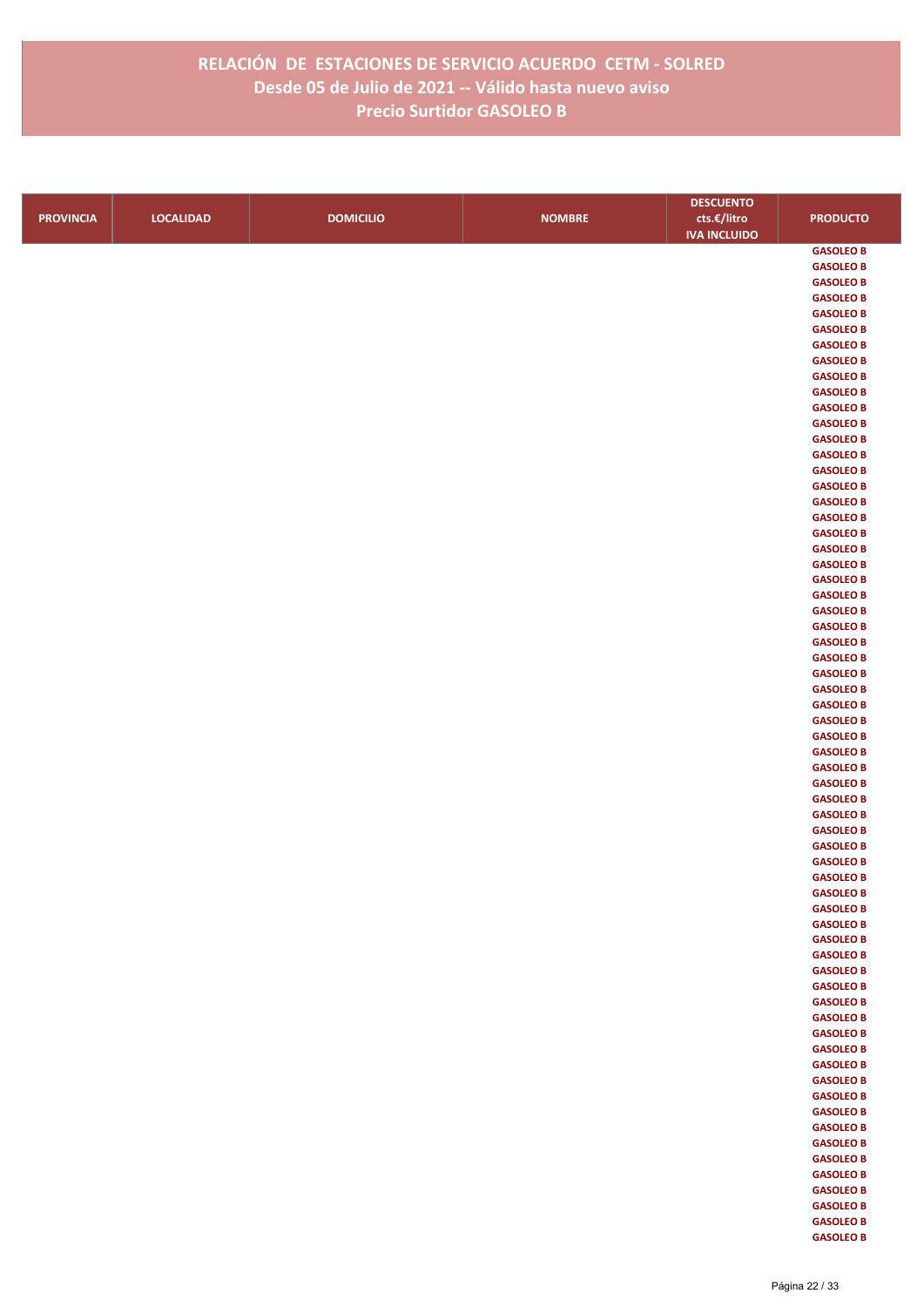|                  |                  |                  |               | <b>DESCUENTO</b>    |                                      |
|------------------|------------------|------------------|---------------|---------------------|--------------------------------------|
| <b>PROVINCIA</b> | <b>LOCALIDAD</b> | <b>DOMICILIO</b> | <b>NOMBRE</b> | cts.€/litro         | <b>PRODUCTO</b>                      |
|                  |                  |                  |               | <b>IVA INCLUIDO</b> |                                      |
|                  |                  |                  |               |                     | <b>GASOLEO B</b>                     |
|                  |                  |                  |               |                     | <b>GASOLEO B</b>                     |
|                  |                  |                  |               |                     | <b>GASOLEO B</b>                     |
|                  |                  |                  |               |                     | <b>GASOLEO B</b>                     |
|                  |                  |                  |               |                     | <b>GASOLEO B</b>                     |
|                  |                  |                  |               |                     | <b>GASOLEO B</b>                     |
|                  |                  |                  |               |                     | <b>GASOLEO B</b>                     |
|                  |                  |                  |               |                     | <b>GASOLEO B</b>                     |
|                  |                  |                  |               |                     | <b>GASOLEO B</b>                     |
|                  |                  |                  |               |                     | <b>GASOLEO B</b>                     |
|                  |                  |                  |               |                     | <b>GASOLEO B</b>                     |
|                  |                  |                  |               |                     | <b>GASOLEO B</b><br><b>GASOLEO B</b> |
|                  |                  |                  |               |                     | <b>GASOLEO B</b>                     |
|                  |                  |                  |               |                     | <b>GASOLEO B</b>                     |
|                  |                  |                  |               |                     | <b>GASOLEO B</b>                     |
|                  |                  |                  |               |                     | <b>GASOLEO B</b>                     |
|                  |                  |                  |               |                     | <b>GASOLEO B</b>                     |
|                  |                  |                  |               |                     | <b>GASOLEO B</b>                     |
|                  |                  |                  |               |                     | <b>GASOLEO B</b>                     |
|                  |                  |                  |               |                     | <b>GASOLEO B</b>                     |
|                  |                  |                  |               |                     | <b>GASOLEO B</b>                     |
|                  |                  |                  |               |                     | <b>GASOLEO B</b>                     |
|                  |                  |                  |               |                     | <b>GASOLEO B</b>                     |
|                  |                  |                  |               |                     | <b>GASOLEO B</b>                     |
|                  |                  |                  |               |                     | <b>GASOLEO B</b>                     |
|                  |                  |                  |               |                     | <b>GASOLEO B</b>                     |
|                  |                  |                  |               |                     | <b>GASOLEO B</b>                     |
|                  |                  |                  |               |                     | <b>GASOLEO B</b>                     |
|                  |                  |                  |               |                     | <b>GASOLEO B</b>                     |
|                  |                  |                  |               |                     | <b>GASOLEO B</b>                     |
|                  |                  |                  |               |                     | <b>GASOLEO B</b>                     |
|                  |                  |                  |               |                     | <b>GASOLEO B</b>                     |
|                  |                  |                  |               |                     | <b>GASOLEO B</b>                     |
|                  |                  |                  |               |                     | <b>GASOLEO B</b><br><b>GASOLEO B</b> |
|                  |                  |                  |               |                     | <b>GASOLEO B</b>                     |
|                  |                  |                  |               |                     | <b>GASOLEO B</b>                     |
|                  |                  |                  |               |                     | <b>GASOLEO B</b>                     |
|                  |                  |                  |               |                     | <b>GASOLEO B</b>                     |
|                  |                  |                  |               |                     | <b>GASOLEO B</b>                     |
|                  |                  |                  |               |                     | <b>GASOLEO B</b>                     |
|                  |                  |                  |               |                     | <b>GASOLEO B</b>                     |
|                  |                  |                  |               |                     | <b>GASOLEO B</b>                     |
|                  |                  |                  |               |                     | <b>GASOLEO B</b>                     |
|                  |                  |                  |               |                     | <b>GASOLEO B</b>                     |
|                  |                  |                  |               |                     | <b>GASOLEO B</b>                     |
|                  |                  |                  |               |                     | <b>GASOLEO B</b>                     |
|                  |                  |                  |               |                     | <b>GASOLEO B</b>                     |
|                  |                  |                  |               |                     | <b>GASOLEO B</b>                     |
|                  |                  |                  |               |                     | <b>GASOLEO B</b>                     |
|                  |                  |                  |               |                     | <b>GASOLEO B</b>                     |
|                  |                  |                  |               |                     | <b>GASOLEO B</b>                     |
|                  |                  |                  |               |                     | <b>GASOLEO B</b>                     |
|                  |                  |                  |               |                     | <b>GASOLEO B</b>                     |
|                  |                  |                  |               |                     | <b>GASOLEO B</b>                     |
|                  |                  |                  |               |                     | <b>GASOLEO B</b><br><b>GASOLEO B</b> |
|                  |                  |                  |               |                     | <b>GASOLEO B</b>                     |
|                  |                  |                  |               |                     | <b>GASOLEO B</b>                     |
|                  |                  |                  |               |                     | <b>GASOLEO B</b>                     |
|                  |                  |                  |               |                     | <b>GASOLEO B</b>                     |
|                  |                  |                  |               |                     | <b>GASOLEO B</b>                     |
|                  |                  |                  |               |                     | <b>GASOLEO B</b>                     |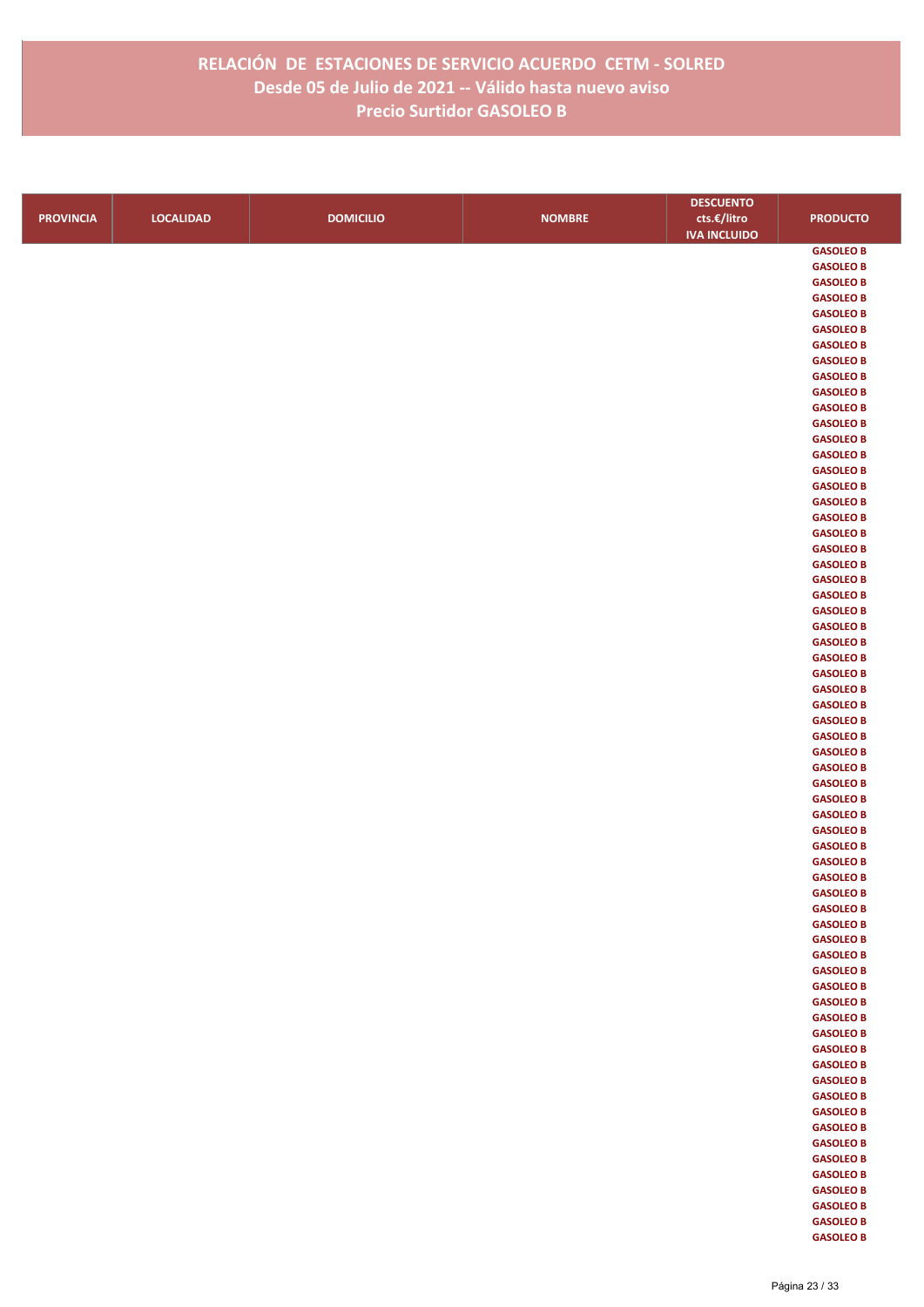|                  |                  |                  |               | <b>DESCUENTO</b>    |                  |
|------------------|------------------|------------------|---------------|---------------------|------------------|
| <b>PROVINCIA</b> | <b>LOCALIDAD</b> | <b>DOMICILIO</b> | <b>NOMBRE</b> | cts.€/litro         | <b>PRODUCTO</b>  |
|                  |                  |                  |               | <b>IVA INCLUIDO</b> |                  |
|                  |                  |                  |               |                     | <b>GASOLEO B</b> |
|                  |                  |                  |               |                     | <b>GASOLEO B</b> |
|                  |                  |                  |               |                     | <b>GASOLEO B</b> |
|                  |                  |                  |               |                     | <b>GASOLEO B</b> |
|                  |                  |                  |               |                     | <b>GASOLEO B</b> |
|                  |                  |                  |               |                     | <b>GASOLEO B</b> |
|                  |                  |                  |               |                     | <b>GASOLEO B</b> |
|                  |                  |                  |               |                     | <b>GASOLEO B</b> |
|                  |                  |                  |               |                     | <b>GASOLEO B</b> |
|                  |                  |                  |               |                     | <b>GASOLEO B</b> |
|                  |                  |                  |               |                     | <b>GASOLEO B</b> |
|                  |                  |                  |               |                     | <b>GASOLEO B</b> |
|                  |                  |                  |               |                     | <b>GASOLEO B</b> |
|                  |                  |                  |               |                     | <b>GASOLEO B</b> |
|                  |                  |                  |               |                     | <b>GASOLEO B</b> |
|                  |                  |                  |               |                     | <b>GASOLEO B</b> |
|                  |                  |                  |               |                     | <b>GASOLEO B</b> |
|                  |                  |                  |               |                     | <b>GASOLEO B</b> |
|                  |                  |                  |               |                     | <b>GASOLEO B</b> |
|                  |                  |                  |               |                     | <b>GASOLEO B</b> |
|                  |                  |                  |               |                     | <b>GASOLEO B</b> |
|                  |                  |                  |               |                     | <b>GASOLEO B</b> |
|                  |                  |                  |               |                     | <b>GASOLEO B</b> |
|                  |                  |                  |               |                     | <b>GASOLEO B</b> |
|                  |                  |                  |               |                     | <b>GASOLEO B</b> |
|                  |                  |                  |               |                     | <b>GASOLEO B</b> |
|                  |                  |                  |               |                     | <b>GASOLEO B</b> |
|                  |                  |                  |               |                     | <b>GASOLEO B</b> |
|                  |                  |                  |               |                     | <b>GASOLEO B</b> |
|                  |                  |                  |               |                     | <b>GASOLEO B</b> |
|                  |                  |                  |               |                     | <b>GASOLEO B</b> |
|                  |                  |                  |               |                     | <b>GASOLEO B</b> |
|                  |                  |                  |               |                     | <b>GASOLEO B</b> |
|                  |                  |                  |               |                     | <b>GASOLEO B</b> |
|                  |                  |                  |               |                     | <b>GASOLEO B</b> |
|                  |                  |                  |               |                     | <b>GASOLEO B</b> |
|                  |                  |                  |               |                     | <b>GASOLEO B</b> |
|                  |                  |                  |               |                     | <b>GASOLEO B</b> |
|                  |                  |                  |               |                     | <b>GASOLEO B</b> |
|                  |                  |                  |               |                     | <b>GASOLEO B</b> |
|                  |                  |                  |               |                     | <b>GASOLEO B</b> |
|                  |                  |                  |               |                     | <b>GASOLEO B</b> |
|                  |                  |                  |               |                     | <b>GASOLEO B</b> |
|                  |                  |                  |               |                     | <b>GASOLEO B</b> |
|                  |                  |                  |               |                     | <b>GASOLEO B</b> |
|                  |                  |                  |               |                     | <b>GASOLEO B</b> |
|                  |                  |                  |               |                     | <b>GASOLEO B</b> |
|                  |                  |                  |               |                     | <b>GASOLEO B</b> |
|                  |                  |                  |               |                     | <b>GASOLEO B</b> |
|                  |                  |                  |               |                     | <b>GASOLEO B</b> |
|                  |                  |                  |               |                     | <b>GASOLEO B</b> |
|                  |                  |                  |               |                     | <b>GASOLEO B</b> |
|                  |                  |                  |               |                     | <b>GASOLEO B</b> |
|                  |                  |                  |               |                     | <b>GASOLEO B</b> |
|                  |                  |                  |               |                     | <b>GASOLEO B</b> |
|                  |                  |                  |               |                     | <b>GASOLEO B</b> |
|                  |                  |                  |               |                     | <b>GASOLEO B</b> |
|                  |                  |                  |               |                     | <b>GASOLEO B</b> |
|                  |                  |                  |               |                     | <b>GASOLEO B</b> |
|                  |                  |                  |               |                     | <b>GASOLEO B</b> |
|                  |                  |                  |               |                     | <b>GASOLEO B</b> |
|                  |                  |                  |               |                     | <b>GASOLEO B</b> |
|                  |                  |                  |               |                     | <b>GASOLEO B</b> |
|                  |                  |                  |               |                     | <b>GASOLEO B</b> |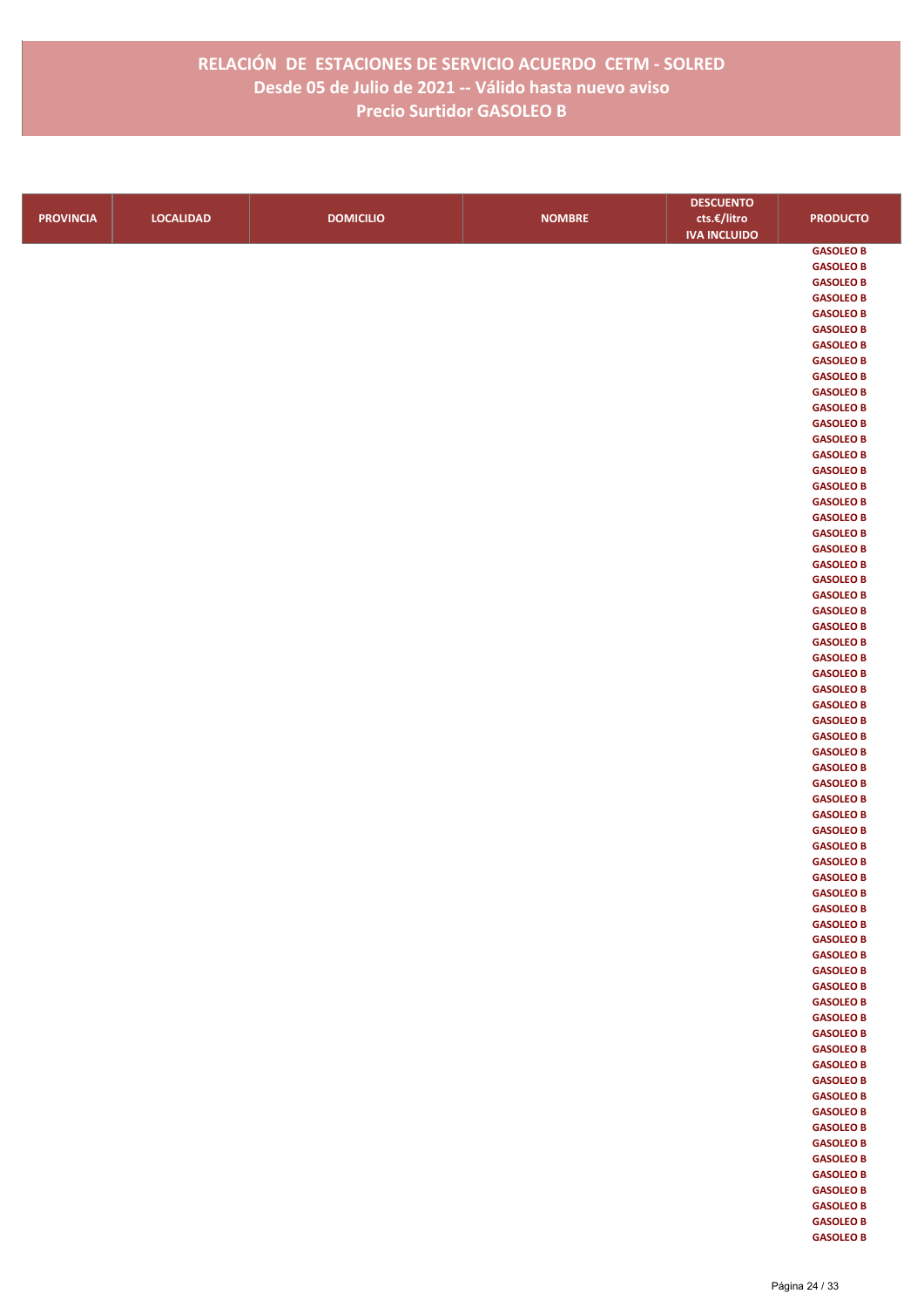|                  |                  |                  |               | <b>DESCUENTO</b>    |                                      |
|------------------|------------------|------------------|---------------|---------------------|--------------------------------------|
| <b>PROVINCIA</b> | <b>LOCALIDAD</b> | <b>DOMICILIO</b> | <b>NOMBRE</b> | cts.€/litro         | <b>PRODUCTO</b>                      |
|                  |                  |                  |               | <b>IVA INCLUIDO</b> |                                      |
|                  |                  |                  |               |                     | <b>GASOLEO B</b>                     |
|                  |                  |                  |               |                     | <b>GASOLEO B</b>                     |
|                  |                  |                  |               |                     | <b>GASOLEO B</b>                     |
|                  |                  |                  |               |                     | <b>GASOLEO B</b>                     |
|                  |                  |                  |               |                     | <b>GASOLEO B</b>                     |
|                  |                  |                  |               |                     | <b>GASOLEO B</b>                     |
|                  |                  |                  |               |                     | <b>GASOLEO B</b>                     |
|                  |                  |                  |               |                     | <b>GASOLEO B</b>                     |
|                  |                  |                  |               |                     | <b>GASOLEO B</b>                     |
|                  |                  |                  |               |                     | <b>GASOLEO B</b>                     |
|                  |                  |                  |               |                     | <b>GASOLEO B</b>                     |
|                  |                  |                  |               |                     | <b>GASOLEO B</b><br><b>GASOLEO B</b> |
|                  |                  |                  |               |                     | <b>GASOLEO B</b>                     |
|                  |                  |                  |               |                     | <b>GASOLEO B</b>                     |
|                  |                  |                  |               |                     | <b>GASOLEO B</b>                     |
|                  |                  |                  |               |                     | <b>GASOLEO B</b>                     |
|                  |                  |                  |               |                     | <b>GASOLEO B</b>                     |
|                  |                  |                  |               |                     | <b>GASOLEO B</b>                     |
|                  |                  |                  |               |                     | <b>GASOLEO B</b>                     |
|                  |                  |                  |               |                     | <b>GASOLEO B</b>                     |
|                  |                  |                  |               |                     | <b>GASOLEO B</b>                     |
|                  |                  |                  |               |                     | <b>GASOLEO B</b>                     |
|                  |                  |                  |               |                     | <b>GASOLEO B</b>                     |
|                  |                  |                  |               |                     | <b>GASOLEO B</b>                     |
|                  |                  |                  |               |                     | <b>GASOLEO B</b>                     |
|                  |                  |                  |               |                     | <b>GASOLEO B</b>                     |
|                  |                  |                  |               |                     | <b>GASOLEO B</b>                     |
|                  |                  |                  |               |                     | <b>GASOLEO B</b>                     |
|                  |                  |                  |               |                     | <b>GASOLEO B</b>                     |
|                  |                  |                  |               |                     | <b>GASOLEO B</b>                     |
|                  |                  |                  |               |                     | <b>GASOLEO B</b>                     |
|                  |                  |                  |               |                     | <b>GASOLEO B</b>                     |
|                  |                  |                  |               |                     | <b>GASOLEO B</b>                     |
|                  |                  |                  |               |                     | <b>GASOLEO B</b><br><b>GASOLEO B</b> |
|                  |                  |                  |               |                     | <b>GASOLEO B</b>                     |
|                  |                  |                  |               |                     | <b>GASOLEO B</b>                     |
|                  |                  |                  |               |                     | <b>GASOLEO B</b>                     |
|                  |                  |                  |               |                     | <b>GASOLEO B</b>                     |
|                  |                  |                  |               |                     | <b>GASOLEO B</b>                     |
|                  |                  |                  |               |                     | <b>GASOLEO B</b>                     |
|                  |                  |                  |               |                     | <b>GASOLEO B</b>                     |
|                  |                  |                  |               |                     | <b>GASOLEO B</b>                     |
|                  |                  |                  |               |                     | <b>GASOLEO B</b>                     |
|                  |                  |                  |               |                     | <b>GASOLEO B</b>                     |
|                  |                  |                  |               |                     | <b>GASOLEO B</b>                     |
|                  |                  |                  |               |                     | <b>GASOLEO B</b>                     |
|                  |                  |                  |               |                     | <b>GASOLEO B</b>                     |
|                  |                  |                  |               |                     | <b>GASOLEO B</b>                     |
|                  |                  |                  |               |                     | <b>GASOLEO B</b>                     |
|                  |                  |                  |               |                     | <b>GASOLEO B</b>                     |
|                  |                  |                  |               |                     | <b>GASOLEO B</b>                     |
|                  |                  |                  |               |                     | <b>GASOLEO B</b>                     |
|                  |                  |                  |               |                     | <b>GASOLEO B</b>                     |
|                  |                  |                  |               |                     | <b>GASOLEO B</b>                     |
|                  |                  |                  |               |                     | <b>GASOLEO B</b><br><b>GASOLEO B</b> |
|                  |                  |                  |               |                     | <b>GASOLEO B</b>                     |
|                  |                  |                  |               |                     | <b>GASOLEO B</b>                     |
|                  |                  |                  |               |                     | <b>GASOLEO B</b>                     |
|                  |                  |                  |               |                     | <b>GASOLEO B</b>                     |
|                  |                  |                  |               |                     | <b>GASOLEO B</b>                     |
|                  |                  |                  |               |                     | <b>GASOLEO B</b>                     |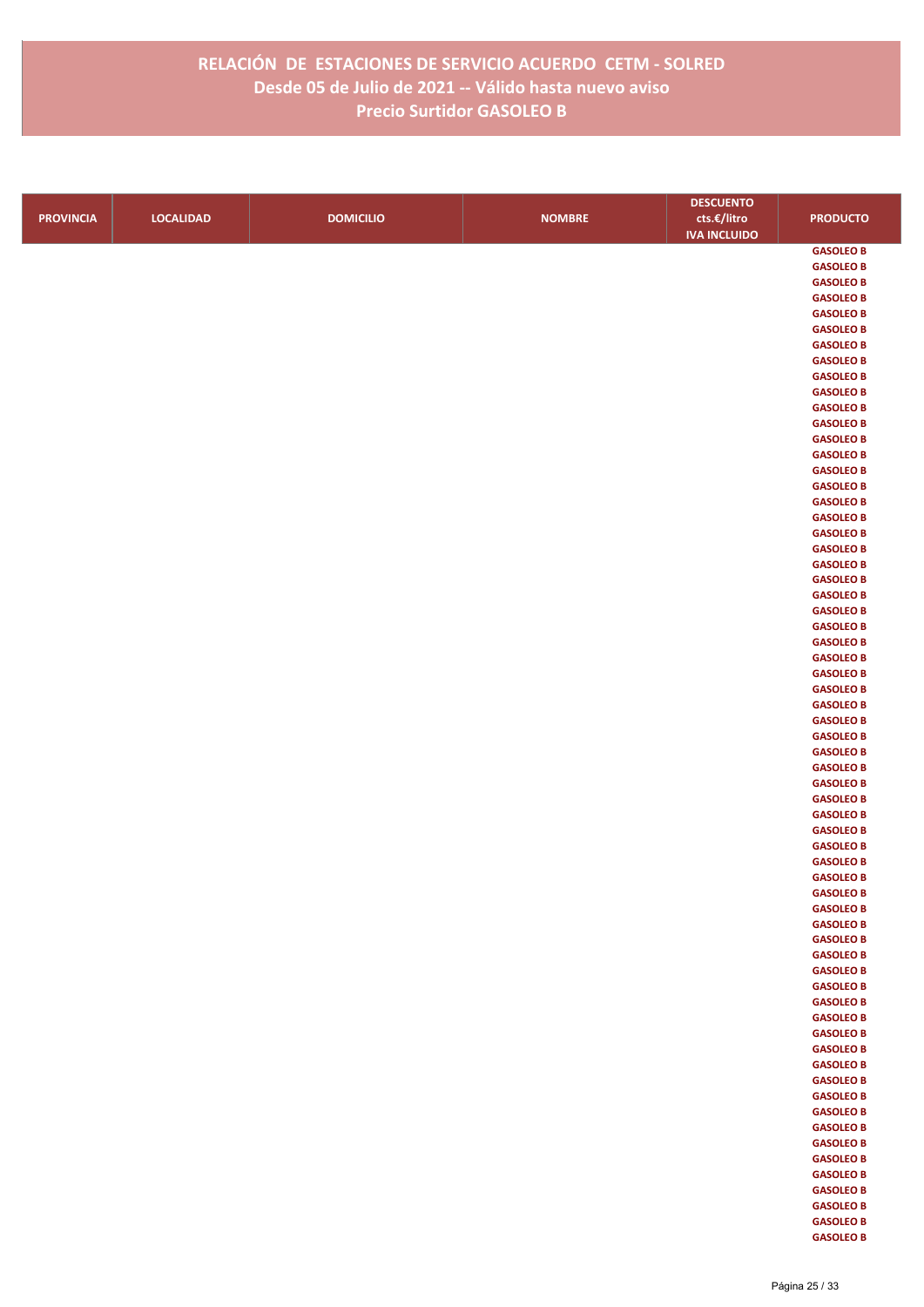|                  |                  |                  |               | <b>DESCUENTO</b>    |                  |
|------------------|------------------|------------------|---------------|---------------------|------------------|
| <b>PROVINCIA</b> | <b>LOCALIDAD</b> | <b>DOMICILIO</b> | <b>NOMBRE</b> | cts.€/litro         | <b>PRODUCTO</b>  |
|                  |                  |                  |               | <b>IVA INCLUIDO</b> |                  |
|                  |                  |                  |               |                     | <b>GASOLEO B</b> |
|                  |                  |                  |               |                     | <b>GASOLEO B</b> |
|                  |                  |                  |               |                     | <b>GASOLEO B</b> |
|                  |                  |                  |               |                     | <b>GASOLEO B</b> |
|                  |                  |                  |               |                     | <b>GASOLEO B</b> |
|                  |                  |                  |               |                     | <b>GASOLEO B</b> |
|                  |                  |                  |               |                     | <b>GASOLEO B</b> |
|                  |                  |                  |               |                     | <b>GASOLEO B</b> |
|                  |                  |                  |               |                     | <b>GASOLEO B</b> |
|                  |                  |                  |               |                     | <b>GASOLEO B</b> |
|                  |                  |                  |               |                     | <b>GASOLEO B</b> |
|                  |                  |                  |               |                     | <b>GASOLEO B</b> |
|                  |                  |                  |               |                     | <b>GASOLEO B</b> |
|                  |                  |                  |               |                     | <b>GASOLEO B</b> |
|                  |                  |                  |               |                     | <b>GASOLEO B</b> |
|                  |                  |                  |               |                     | <b>GASOLEO B</b> |
|                  |                  |                  |               |                     | <b>GASOLEO B</b> |
|                  |                  |                  |               |                     | <b>GASOLEO B</b> |
|                  |                  |                  |               |                     | <b>GASOLEO B</b> |
|                  |                  |                  |               |                     | <b>GASOLEO B</b> |
|                  |                  |                  |               |                     | <b>GASOLEO B</b> |
|                  |                  |                  |               |                     | <b>GASOLEO B</b> |
|                  |                  |                  |               |                     | <b>GASOLEO B</b> |
|                  |                  |                  |               |                     | <b>GASOLEO B</b> |
|                  |                  |                  |               |                     | <b>GASOLEO B</b> |
|                  |                  |                  |               |                     | <b>GASOLEO B</b> |
|                  |                  |                  |               |                     | <b>GASOLEO B</b> |
|                  |                  |                  |               |                     | <b>GASOLEO B</b> |
|                  |                  |                  |               |                     | <b>GASOLEO B</b> |
|                  |                  |                  |               |                     | <b>GASOLEO B</b> |
|                  |                  |                  |               |                     | <b>GASOLEO B</b> |
|                  |                  |                  |               |                     | <b>GASOLEO B</b> |
|                  |                  |                  |               |                     | <b>GASOLEO B</b> |
|                  |                  |                  |               |                     | <b>GASOLEO B</b> |
|                  |                  |                  |               |                     | <b>GASOLEO B</b> |
|                  |                  |                  |               |                     | <b>GASOLEO B</b> |
|                  |                  |                  |               |                     | <b>GASOLEO B</b> |
|                  |                  |                  |               |                     | <b>GASOLEO B</b> |
|                  |                  |                  |               |                     | <b>GASOLEO B</b> |
|                  |                  |                  |               |                     | <b>GASOLEO B</b> |
|                  |                  |                  |               |                     | <b>GASOLEO B</b> |
|                  |                  |                  |               |                     | <b>GASOLEO B</b> |
|                  |                  |                  |               |                     | <b>GASOLEO B</b> |
|                  |                  |                  |               |                     | <b>GASOLEO B</b> |
|                  |                  |                  |               |                     | <b>GASOLEO B</b> |
|                  |                  |                  |               |                     | <b>GASOLEO B</b> |
|                  |                  |                  |               |                     | <b>GASOLEO B</b> |
|                  |                  |                  |               |                     | <b>GASOLEO B</b> |
|                  |                  |                  |               |                     | <b>GASOLEO B</b> |
|                  |                  |                  |               |                     | <b>GASOLEO B</b> |
|                  |                  |                  |               |                     | <b>GASOLEO B</b> |
|                  |                  |                  |               |                     | <b>GASOLEO B</b> |
|                  |                  |                  |               |                     | <b>GASOLEO B</b> |
|                  |                  |                  |               |                     | <b>GASOLEO B</b> |
|                  |                  |                  |               |                     | <b>GASOLEO B</b> |
|                  |                  |                  |               |                     | <b>GASOLEO B</b> |
|                  |                  |                  |               |                     | <b>GASOLEO B</b> |
|                  |                  |                  |               |                     | <b>GASOLEO B</b> |
|                  |                  |                  |               |                     | <b>GASOLEO B</b> |
|                  |                  |                  |               |                     | <b>GASOLEO B</b> |
|                  |                  |                  |               |                     | <b>GASOLEO B</b> |
|                  |                  |                  |               |                     | <b>GASOLEO B</b> |
|                  |                  |                  |               |                     | <b>GASOLEO B</b> |
|                  |                  |                  |               |                     | <b>GASOLEO B</b> |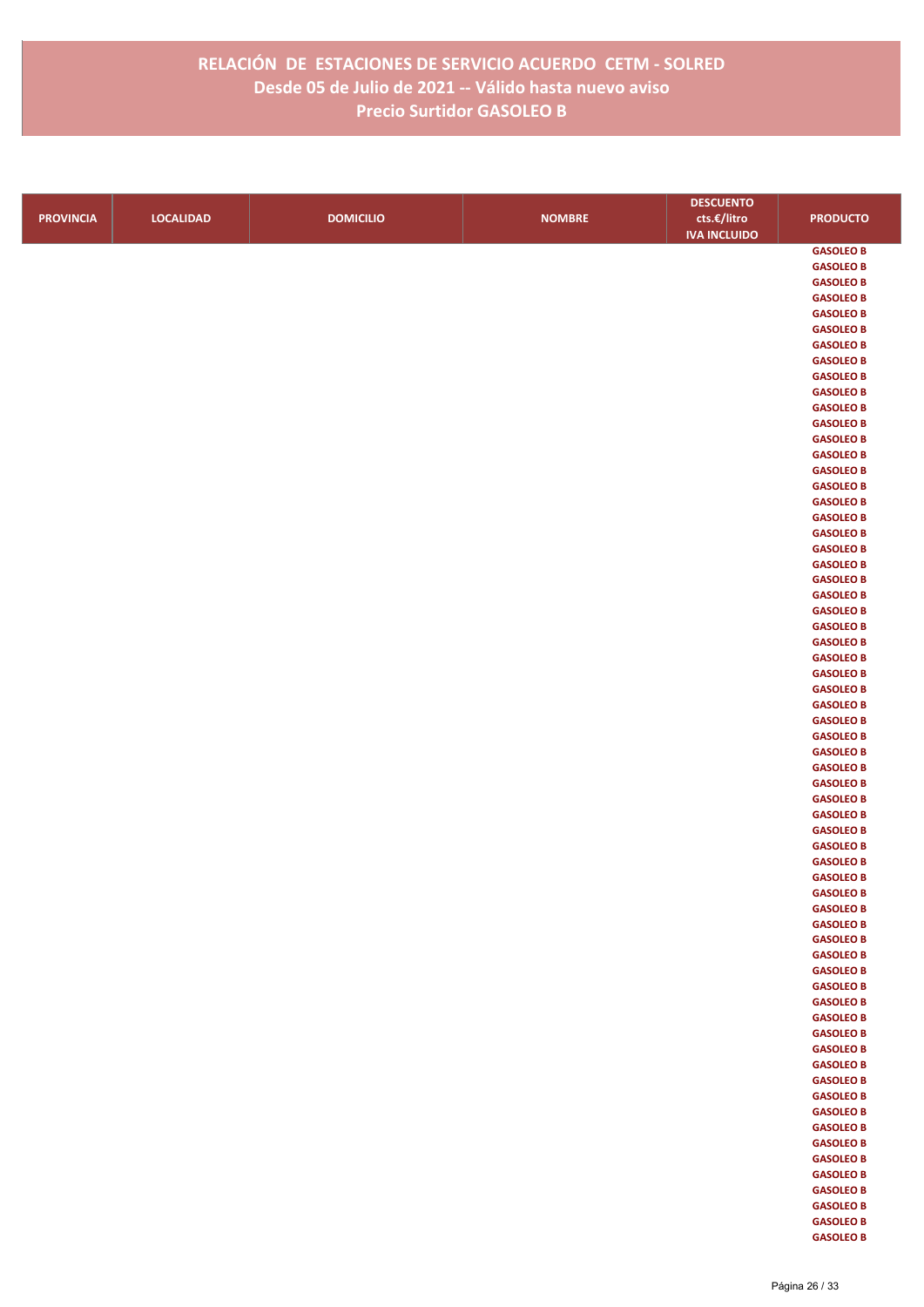|                  |                  |                  |               | <b>DESCUENTO</b>    |                  |
|------------------|------------------|------------------|---------------|---------------------|------------------|
| <b>PROVINCIA</b> | <b>LOCALIDAD</b> | <b>DOMICILIO</b> | <b>NOMBRE</b> | cts.€/litro         | <b>PRODUCTO</b>  |
|                  |                  |                  |               | <b>IVA INCLUIDO</b> |                  |
|                  |                  |                  |               |                     | <b>GASOLEO B</b> |
|                  |                  |                  |               |                     | <b>GASOLEO B</b> |
|                  |                  |                  |               |                     | <b>GASOLEO B</b> |
|                  |                  |                  |               |                     | <b>GASOLEO B</b> |
|                  |                  |                  |               |                     | <b>GASOLEO B</b> |
|                  |                  |                  |               |                     | <b>GASOLEO B</b> |
|                  |                  |                  |               |                     | <b>GASOLEO B</b> |
|                  |                  |                  |               |                     | <b>GASOLEO B</b> |
|                  |                  |                  |               |                     | <b>GASOLEO B</b> |
|                  |                  |                  |               |                     | <b>GASOLEO B</b> |
|                  |                  |                  |               |                     | <b>GASOLEO B</b> |
|                  |                  |                  |               |                     | <b>GASOLEO B</b> |
|                  |                  |                  |               |                     | <b>GASOLEO B</b> |
|                  |                  |                  |               |                     | <b>GASOLEO B</b> |
|                  |                  |                  |               |                     | <b>GASOLEO B</b> |
|                  |                  |                  |               |                     | <b>GASOLEO B</b> |
|                  |                  |                  |               |                     | <b>GASOLEO B</b> |
|                  |                  |                  |               |                     | <b>GASOLEO B</b> |
|                  |                  |                  |               |                     | <b>GASOLEO B</b> |
|                  |                  |                  |               |                     | <b>GASOLEO B</b> |
|                  |                  |                  |               |                     | <b>GASOLEO B</b> |
|                  |                  |                  |               |                     | <b>GASOLEO B</b> |
|                  |                  |                  |               |                     | <b>GASOLEO B</b> |
|                  |                  |                  |               |                     | <b>GASOLEO B</b> |
|                  |                  |                  |               |                     | <b>GASOLEO B</b> |
|                  |                  |                  |               |                     | <b>GASOLEO B</b> |
|                  |                  |                  |               |                     | <b>GASOLEO B</b> |
|                  |                  |                  |               |                     | <b>GASOLEO B</b> |
|                  |                  |                  |               |                     | <b>GASOLEO B</b> |
|                  |                  |                  |               |                     | <b>GASOLEO B</b> |
|                  |                  |                  |               |                     | <b>GASOLEO B</b> |
|                  |                  |                  |               |                     | <b>GASOLEO B</b> |
|                  |                  |                  |               |                     | <b>GASOLEO B</b> |
|                  |                  |                  |               |                     | <b>GASOLEO B</b> |
|                  |                  |                  |               |                     | <b>GASOLEO B</b> |
|                  |                  |                  |               |                     | <b>GASOLEO B</b> |
|                  |                  |                  |               |                     | <b>GASOLEO B</b> |
|                  |                  |                  |               |                     | <b>GASOLEO B</b> |
|                  |                  |                  |               |                     | <b>GASOLEO B</b> |
|                  |                  |                  |               |                     | <b>GASOLEO B</b> |
|                  |                  |                  |               |                     | <b>GASOLEO B</b> |
|                  |                  |                  |               |                     | <b>GASOLEO B</b> |
|                  |                  |                  |               |                     | <b>GASOLEO B</b> |
|                  |                  |                  |               |                     | <b>GASOLEO B</b> |
|                  |                  |                  |               |                     | <b>GASOLEO B</b> |
|                  |                  |                  |               |                     | <b>GASOLEO B</b> |
|                  |                  |                  |               |                     | <b>GASOLEO B</b> |
|                  |                  |                  |               |                     | <b>GASOLEO B</b> |
|                  |                  |                  |               |                     | <b>GASOLEO B</b> |
|                  |                  |                  |               |                     | <b>GASOLEO B</b> |
|                  |                  |                  |               |                     | <b>GASOLEO B</b> |
|                  |                  |                  |               |                     | <b>GASOLEO B</b> |
|                  |                  |                  |               |                     | <b>GASOLEO B</b> |
|                  |                  |                  |               |                     | <b>GASOLEO B</b> |
|                  |                  |                  |               |                     | <b>GASOLEO B</b> |
|                  |                  |                  |               |                     | <b>GASOLEO B</b> |
|                  |                  |                  |               |                     | <b>GASOLEO B</b> |
|                  |                  |                  |               |                     | <b>GASOLEO B</b> |
|                  |                  |                  |               |                     | <b>GASOLEO B</b> |
|                  |                  |                  |               |                     | <b>GASOLEO B</b> |
|                  |                  |                  |               |                     | <b>GASOLEO B</b> |
|                  |                  |                  |               |                     | <b>GASOLEO B</b> |
|                  |                  |                  |               |                     | <b>GASOLEO B</b> |
|                  |                  |                  |               |                     | <b>GASOLEO B</b> |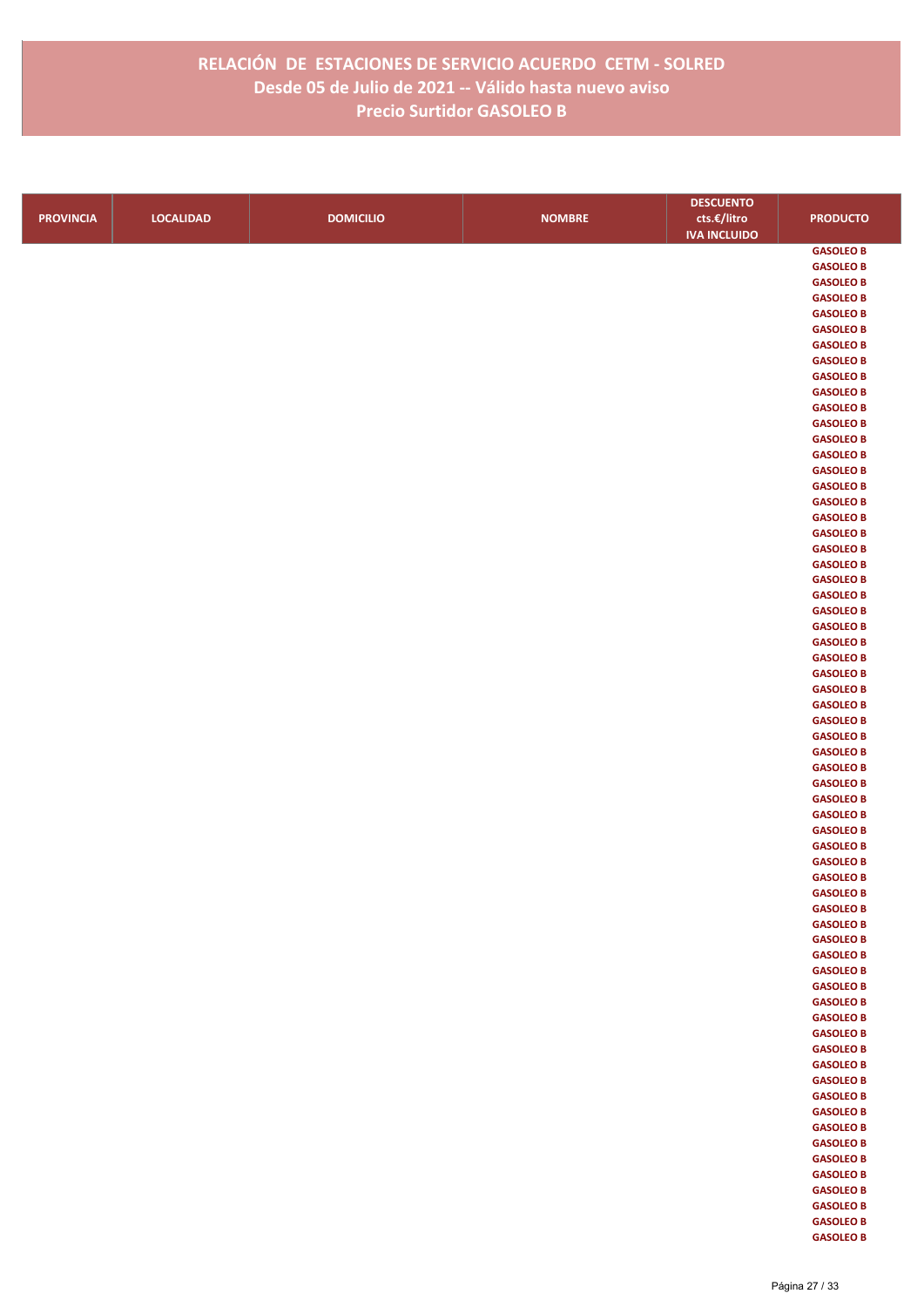|                  |                  |                  |               | <b>DESCUENTO</b>    |                  |
|------------------|------------------|------------------|---------------|---------------------|------------------|
| <b>PROVINCIA</b> | <b>LOCALIDAD</b> | <b>DOMICILIO</b> | <b>NOMBRE</b> | cts.€/litro         | <b>PRODUCTO</b>  |
|                  |                  |                  |               | <b>IVA INCLUIDO</b> |                  |
|                  |                  |                  |               |                     | <b>GASOLEO B</b> |
|                  |                  |                  |               |                     | <b>GASOLEO B</b> |
|                  |                  |                  |               |                     | <b>GASOLEO B</b> |
|                  |                  |                  |               |                     | <b>GASOLEO B</b> |
|                  |                  |                  |               |                     | <b>GASOLEO B</b> |
|                  |                  |                  |               |                     | <b>GASOLEO B</b> |
|                  |                  |                  |               |                     | <b>GASOLEO B</b> |
|                  |                  |                  |               |                     | <b>GASOLEO B</b> |
|                  |                  |                  |               |                     | <b>GASOLEO B</b> |
|                  |                  |                  |               |                     | <b>GASOLEO B</b> |
|                  |                  |                  |               |                     | <b>GASOLEO B</b> |
|                  |                  |                  |               |                     | <b>GASOLEO B</b> |
|                  |                  |                  |               |                     | <b>GASOLEO B</b> |
|                  |                  |                  |               |                     | <b>GASOLEO B</b> |
|                  |                  |                  |               |                     | <b>GASOLEO B</b> |
|                  |                  |                  |               |                     | <b>GASOLEO B</b> |
|                  |                  |                  |               |                     | <b>GASOLEO B</b> |
|                  |                  |                  |               |                     | <b>GASOLEO B</b> |
|                  |                  |                  |               |                     | <b>GASOLEO B</b> |
|                  |                  |                  |               |                     | <b>GASOLEO B</b> |
|                  |                  |                  |               |                     | <b>GASOLEO B</b> |
|                  |                  |                  |               |                     | <b>GASOLEO B</b> |
|                  |                  |                  |               |                     | <b>GASOLEO B</b> |
|                  |                  |                  |               |                     | <b>GASOLEO B</b> |
|                  |                  |                  |               |                     | <b>GASOLEO B</b> |
|                  |                  |                  |               |                     | <b>GASOLEO B</b> |
|                  |                  |                  |               |                     | <b>GASOLEO B</b> |
|                  |                  |                  |               |                     | <b>GASOLEO B</b> |
|                  |                  |                  |               |                     | <b>GASOLEO B</b> |
|                  |                  |                  |               |                     | <b>GASOLEO B</b> |
|                  |                  |                  |               |                     | <b>GASOLEO B</b> |
|                  |                  |                  |               |                     | <b>GASOLEO B</b> |
|                  |                  |                  |               |                     | <b>GASOLEO B</b> |
|                  |                  |                  |               |                     | <b>GASOLEO B</b> |
|                  |                  |                  |               |                     | <b>GASOLEO B</b> |
|                  |                  |                  |               |                     | <b>GASOLEO B</b> |
|                  |                  |                  |               |                     | <b>GASOLEO B</b> |
|                  |                  |                  |               |                     | <b>GASOLEO B</b> |
|                  |                  |                  |               |                     | <b>GASOLEO B</b> |
|                  |                  |                  |               |                     | <b>GASOLEO B</b> |
|                  |                  |                  |               |                     | <b>GASOLEO B</b> |
|                  |                  |                  |               |                     | <b>GASOLEO B</b> |
|                  |                  |                  |               |                     | <b>GASOLEO B</b> |
|                  |                  |                  |               |                     | <b>GASOLEO B</b> |
|                  |                  |                  |               |                     | <b>GASOLEO B</b> |
|                  |                  |                  |               |                     | <b>GASOLEO B</b> |
|                  |                  |                  |               |                     | <b>GASOLEO B</b> |
|                  |                  |                  |               |                     | <b>GASOLEO B</b> |
|                  |                  |                  |               |                     | <b>GASOLEO B</b> |
|                  |                  |                  |               |                     | <b>GASOLEO B</b> |
|                  |                  |                  |               |                     | <b>GASOLEO B</b> |
|                  |                  |                  |               |                     | <b>GASOLEO B</b> |
|                  |                  |                  |               |                     | <b>GASOLEO B</b> |
|                  |                  |                  |               |                     | <b>GASOLEO B</b> |
|                  |                  |                  |               |                     | <b>GASOLEO B</b> |
|                  |                  |                  |               |                     | <b>GASOLEO B</b> |
|                  |                  |                  |               |                     | <b>GASOLEO B</b> |
|                  |                  |                  |               |                     | <b>GASOLEO B</b> |
|                  |                  |                  |               |                     | <b>GASOLEO B</b> |
|                  |                  |                  |               |                     | <b>GASOLEO B</b> |
|                  |                  |                  |               |                     | <b>GASOLEO B</b> |
|                  |                  |                  |               |                     | <b>GASOLEO B</b> |
|                  |                  |                  |               |                     | <b>GASOLEO B</b> |
|                  |                  |                  |               |                     | <b>GASOLEO B</b> |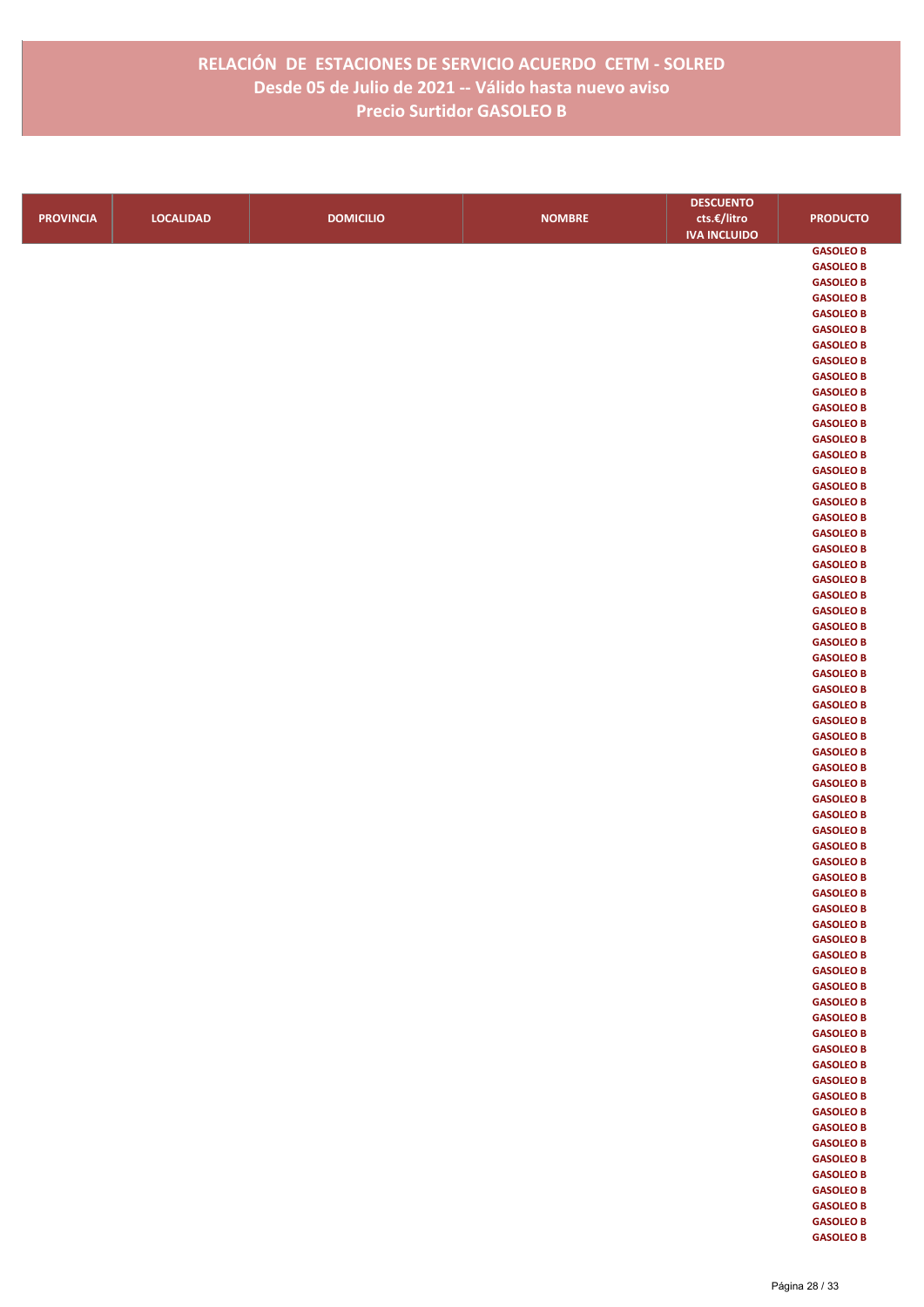|                  |                  |                  |               | <b>DESCUENTO</b>    |                                      |
|------------------|------------------|------------------|---------------|---------------------|--------------------------------------|
| <b>PROVINCIA</b> | <b>LOCALIDAD</b> | <b>DOMICILIO</b> | <b>NOMBRE</b> | cts.€/litro         | <b>PRODUCTO</b>                      |
|                  |                  |                  |               | <b>IVA INCLUIDO</b> |                                      |
|                  |                  |                  |               |                     | <b>GASOLEO B</b>                     |
|                  |                  |                  |               |                     | <b>GASOLEO B</b>                     |
|                  |                  |                  |               |                     | <b>GASOLEO B</b>                     |
|                  |                  |                  |               |                     | <b>GASOLEO B</b>                     |
|                  |                  |                  |               |                     | <b>GASOLEO B</b>                     |
|                  |                  |                  |               |                     | <b>GASOLEO B</b>                     |
|                  |                  |                  |               |                     | <b>GASOLEO B</b>                     |
|                  |                  |                  |               |                     | <b>GASOLEO B</b>                     |
|                  |                  |                  |               |                     | <b>GASOLEO B</b>                     |
|                  |                  |                  |               |                     | <b>GASOLEO B</b>                     |
|                  |                  |                  |               |                     | <b>GASOLEO B</b>                     |
|                  |                  |                  |               |                     | <b>GASOLEO B</b><br><b>GASOLEO B</b> |
|                  |                  |                  |               |                     | <b>GASOLEO B</b>                     |
|                  |                  |                  |               |                     | <b>GASOLEO B</b>                     |
|                  |                  |                  |               |                     | <b>GASOLEO B</b>                     |
|                  |                  |                  |               |                     | <b>GASOLEO B</b>                     |
|                  |                  |                  |               |                     | <b>GASOLEO B</b>                     |
|                  |                  |                  |               |                     | <b>GASOLEO B</b>                     |
|                  |                  |                  |               |                     | <b>GASOLEO B</b>                     |
|                  |                  |                  |               |                     | <b>GASOLEO B</b>                     |
|                  |                  |                  |               |                     | <b>GASOLEO B</b>                     |
|                  |                  |                  |               |                     | <b>GASOLEO B</b>                     |
|                  |                  |                  |               |                     | <b>GASOLEO B</b>                     |
|                  |                  |                  |               |                     | <b>GASOLEO B</b>                     |
|                  |                  |                  |               |                     | <b>GASOLEO B</b>                     |
|                  |                  |                  |               |                     | <b>GASOLEO B</b>                     |
|                  |                  |                  |               |                     | <b>GASOLEO B</b>                     |
|                  |                  |                  |               |                     | <b>GASOLEO B</b>                     |
|                  |                  |                  |               |                     | <b>GASOLEO B</b>                     |
|                  |                  |                  |               |                     | <b>GASOLEO B</b>                     |
|                  |                  |                  |               |                     | <b>GASOLEO B</b>                     |
|                  |                  |                  |               |                     | <b>GASOLEO B</b>                     |
|                  |                  |                  |               |                     | <b>GASOLEO B</b>                     |
|                  |                  |                  |               |                     | <b>GASOLEO B</b>                     |
|                  |                  |                  |               |                     | <b>GASOLEO B</b><br><b>GASOLEO B</b> |
|                  |                  |                  |               |                     | <b>GASOLEO B</b>                     |
|                  |                  |                  |               |                     | <b>GASOLEO B</b>                     |
|                  |                  |                  |               |                     | <b>GASOLEO B</b>                     |
|                  |                  |                  |               |                     | <b>GASOLEO B</b>                     |
|                  |                  |                  |               |                     | <b>GASOLEO B</b>                     |
|                  |                  |                  |               |                     | <b>GASOLEO B</b>                     |
|                  |                  |                  |               |                     | <b>GASOLEO B</b>                     |
|                  |                  |                  |               |                     | <b>GASOLEO B</b>                     |
|                  |                  |                  |               |                     | <b>GASOLEO B</b>                     |
|                  |                  |                  |               |                     | <b>GASOLEO B</b>                     |
|                  |                  |                  |               |                     | <b>GASOLEO B</b>                     |
|                  |                  |                  |               |                     | <b>GASOLEO B</b>                     |
|                  |                  |                  |               |                     | <b>GASOLEO B</b>                     |
|                  |                  |                  |               |                     | <b>GASOLEO B</b>                     |
|                  |                  |                  |               |                     | <b>GASOLEO B</b>                     |
|                  |                  |                  |               |                     | <b>GASOLEO B</b>                     |
|                  |                  |                  |               |                     | <b>GASOLEO B</b>                     |
|                  |                  |                  |               |                     | <b>GASOLEO B</b>                     |
|                  |                  |                  |               |                     | <b>GASOLEO B</b>                     |
|                  |                  |                  |               |                     | <b>GASOLEO B</b><br><b>GASOLEO B</b> |
|                  |                  |                  |               |                     | <b>GASOLEO B</b>                     |
|                  |                  |                  |               |                     | <b>GASOLEO B</b>                     |
|                  |                  |                  |               |                     | <b>GASOLEO B</b>                     |
|                  |                  |                  |               |                     | <b>GASOLEO B</b>                     |
|                  |                  |                  |               |                     | <b>GASOLEO B</b>                     |
|                  |                  |                  |               |                     | <b>GASOLEO B</b>                     |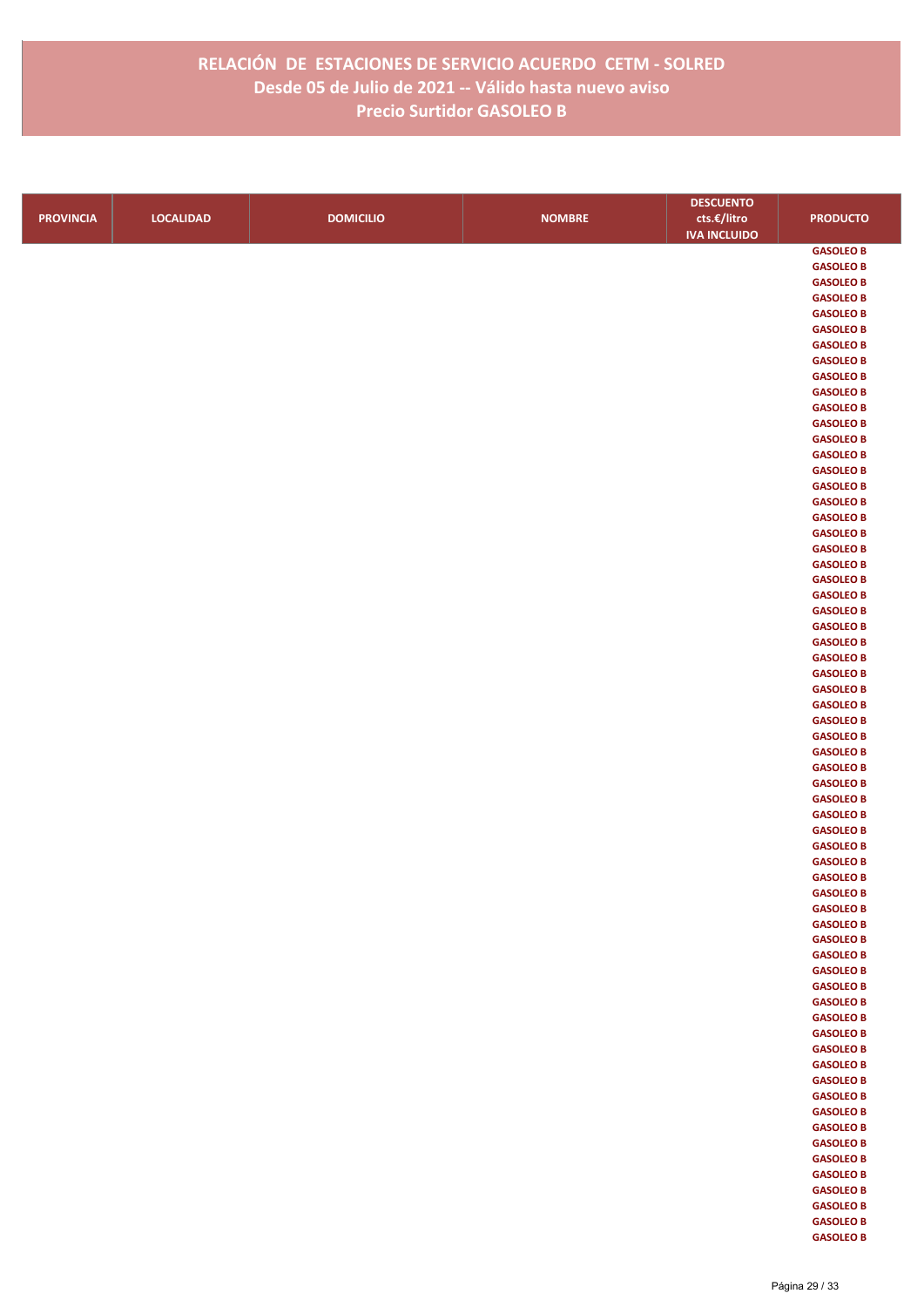|                  |                  |                  |               | <b>DESCUENTO</b>    |                  |
|------------------|------------------|------------------|---------------|---------------------|------------------|
| <b>PROVINCIA</b> | <b>LOCALIDAD</b> | <b>DOMICILIO</b> | <b>NOMBRE</b> | cts.€/litro         | <b>PRODUCTO</b>  |
|                  |                  |                  |               | <b>IVA INCLUIDO</b> |                  |
|                  |                  |                  |               |                     | <b>GASOLEO B</b> |
|                  |                  |                  |               |                     | <b>GASOLEO B</b> |
|                  |                  |                  |               |                     | <b>GASOLEO B</b> |
|                  |                  |                  |               |                     | <b>GASOLEO B</b> |
|                  |                  |                  |               |                     | <b>GASOLEO B</b> |
|                  |                  |                  |               |                     | <b>GASOLEO B</b> |
|                  |                  |                  |               |                     | <b>GASOLEO B</b> |
|                  |                  |                  |               |                     | <b>GASOLEO B</b> |
|                  |                  |                  |               |                     | <b>GASOLEO B</b> |
|                  |                  |                  |               |                     | <b>GASOLEO B</b> |
|                  |                  |                  |               |                     | <b>GASOLEO B</b> |
|                  |                  |                  |               |                     | <b>GASOLEO B</b> |
|                  |                  |                  |               |                     | <b>GASOLEO B</b> |
|                  |                  |                  |               |                     | <b>GASOLEO B</b> |
|                  |                  |                  |               |                     | <b>GASOLEO B</b> |
|                  |                  |                  |               |                     | <b>GASOLEO B</b> |
|                  |                  |                  |               |                     | <b>GASOLEO B</b> |
|                  |                  |                  |               |                     | <b>GASOLEO B</b> |
|                  |                  |                  |               |                     | <b>GASOLEO B</b> |
|                  |                  |                  |               |                     | <b>GASOLEO B</b> |
|                  |                  |                  |               |                     | <b>GASOLEO B</b> |
|                  |                  |                  |               |                     | <b>GASOLEO B</b> |
|                  |                  |                  |               |                     | <b>GASOLEO B</b> |
|                  |                  |                  |               |                     | <b>GASOLEO B</b> |
|                  |                  |                  |               |                     | <b>GASOLEO B</b> |
|                  |                  |                  |               |                     | <b>GASOLEO B</b> |
|                  |                  |                  |               |                     | <b>GASOLEO B</b> |
|                  |                  |                  |               |                     | <b>GASOLEO B</b> |
|                  |                  |                  |               |                     | <b>GASOLEO B</b> |
|                  |                  |                  |               |                     | <b>GASOLEO B</b> |
|                  |                  |                  |               |                     | <b>GASOLEO B</b> |
|                  |                  |                  |               |                     | <b>GASOLEO B</b> |
|                  |                  |                  |               |                     | <b>GASOLEO B</b> |
|                  |                  |                  |               |                     | <b>GASOLEO B</b> |
|                  |                  |                  |               |                     | <b>GASOLEO B</b> |
|                  |                  |                  |               |                     | <b>GASOLEO B</b> |
|                  |                  |                  |               |                     | <b>GASOLEO B</b> |
|                  |                  |                  |               |                     | <b>GASOLEO B</b> |
|                  |                  |                  |               |                     | <b>GASOLEO B</b> |
|                  |                  |                  |               |                     | <b>GASOLEO B</b> |
|                  |                  |                  |               |                     | <b>GASOLEO B</b> |
|                  |                  |                  |               |                     | <b>GASOLEO B</b> |
|                  |                  |                  |               |                     | <b>GASOLEO B</b> |
|                  |                  |                  |               |                     | <b>GASOLEO B</b> |
|                  |                  |                  |               |                     | <b>GASOLEO B</b> |
|                  |                  |                  |               |                     | <b>GASOLEO B</b> |
|                  |                  |                  |               |                     | <b>GASOLEO B</b> |
|                  |                  |                  |               |                     | <b>GASOLEO B</b> |
|                  |                  |                  |               |                     | <b>GASOLEO B</b> |
|                  |                  |                  |               |                     | <b>GASOLEO B</b> |
|                  |                  |                  |               |                     | <b>GASOLEO B</b> |
|                  |                  |                  |               |                     | <b>GASOLEO B</b> |
|                  |                  |                  |               |                     | <b>GASOLEO B</b> |
|                  |                  |                  |               |                     | <b>GASOLEO B</b> |
|                  |                  |                  |               |                     | <b>GASOLEO B</b> |
|                  |                  |                  |               |                     | <b>GASOLEO B</b> |
|                  |                  |                  |               |                     | <b>GASOLEO B</b> |
|                  |                  |                  |               |                     | <b>GASOLEO B</b> |
|                  |                  |                  |               |                     | <b>GASOLEO B</b> |
|                  |                  |                  |               |                     | <b>GASOLEO B</b> |
|                  |                  |                  |               |                     | <b>GASOLEO B</b> |
|                  |                  |                  |               |                     | <b>GASOLEO B</b> |
|                  |                  |                  |               |                     | <b>GASOLEO B</b> |
|                  |                  |                  |               |                     | <b>GASOLEO B</b> |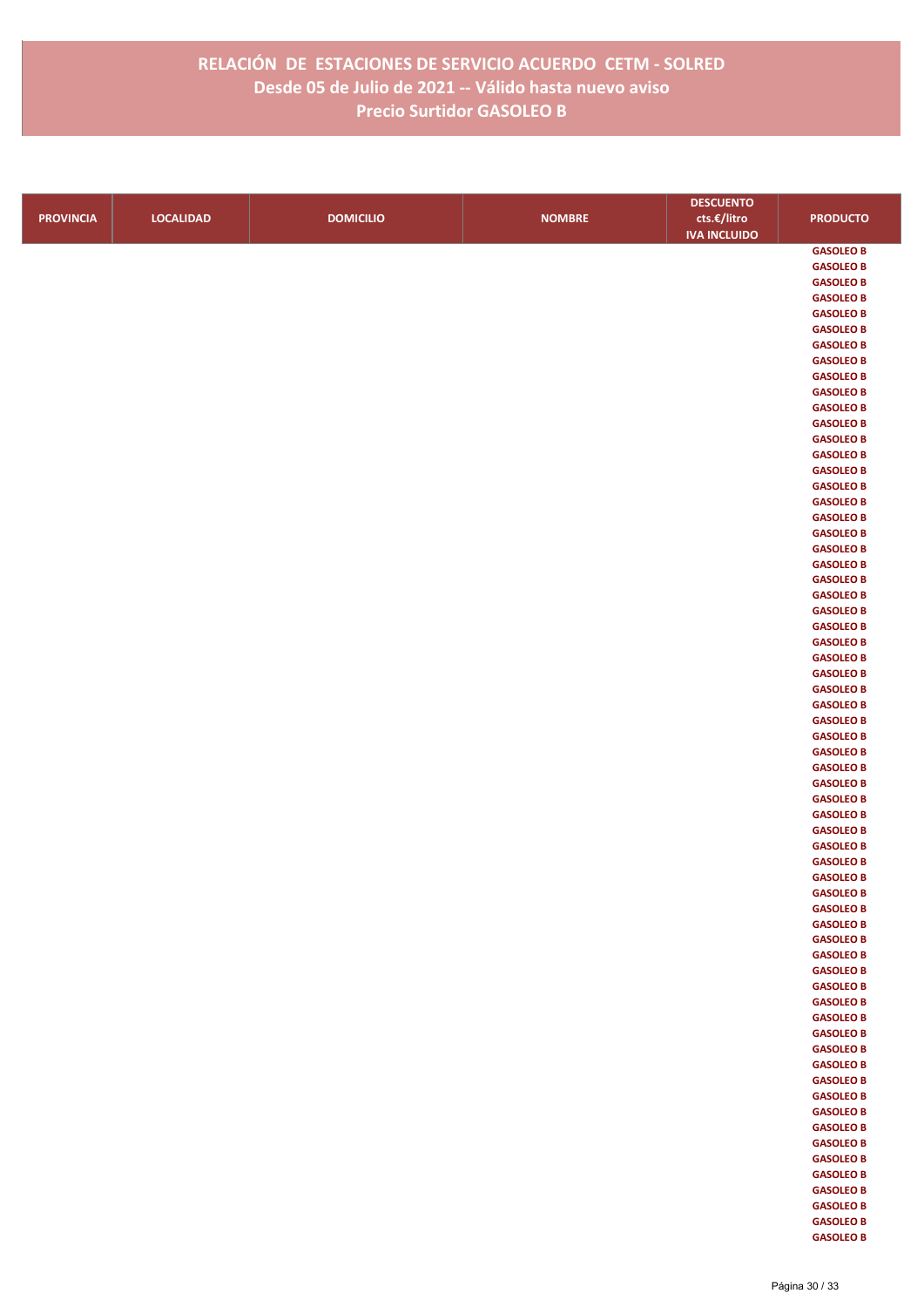|                  |                  |                  |               | <b>DESCUENTO</b>    |                                      |
|------------------|------------------|------------------|---------------|---------------------|--------------------------------------|
| <b>PROVINCIA</b> | <b>LOCALIDAD</b> | <b>DOMICILIO</b> | <b>NOMBRE</b> | cts.€/litro         | <b>PRODUCTO</b>                      |
|                  |                  |                  |               | <b>IVA INCLUIDO</b> |                                      |
|                  |                  |                  |               |                     | <b>GASOLEO B</b>                     |
|                  |                  |                  |               |                     | <b>GASOLEO B</b>                     |
|                  |                  |                  |               |                     | <b>GASOLEO B</b>                     |
|                  |                  |                  |               |                     | <b>GASOLEO B</b>                     |
|                  |                  |                  |               |                     | <b>GASOLEO B</b>                     |
|                  |                  |                  |               |                     | <b>GASOLEO B</b>                     |
|                  |                  |                  |               |                     | <b>GASOLEO B</b>                     |
|                  |                  |                  |               |                     | <b>GASOLEO B</b>                     |
|                  |                  |                  |               |                     | <b>GASOLEO B</b><br><b>GASOLEO B</b> |
|                  |                  |                  |               |                     | <b>GASOLEO B</b>                     |
|                  |                  |                  |               |                     | <b>GASOLEO B</b>                     |
|                  |                  |                  |               |                     | <b>GASOLEO B</b>                     |
|                  |                  |                  |               |                     | <b>GASOLEO B</b>                     |
|                  |                  |                  |               |                     | <b>GASOLEO B</b>                     |
|                  |                  |                  |               |                     | <b>GASOLEO B</b>                     |
|                  |                  |                  |               |                     | <b>GASOLEO B</b>                     |
|                  |                  |                  |               |                     | <b>GASOLEO B</b>                     |
|                  |                  |                  |               |                     | <b>GASOLEO B</b>                     |
|                  |                  |                  |               |                     | <b>GASOLEO B</b>                     |
|                  |                  |                  |               |                     | <b>GASOLEO B</b>                     |
|                  |                  |                  |               |                     | <b>GASOLEO B</b>                     |
|                  |                  |                  |               |                     | <b>GASOLEO B</b>                     |
|                  |                  |                  |               |                     | <b>GASOLEO B</b>                     |
|                  |                  |                  |               |                     | <b>GASOLEO B</b>                     |
|                  |                  |                  |               |                     | <b>GASOLEO B</b><br><b>GASOLEO B</b> |
|                  |                  |                  |               |                     | <b>GASOLEO B</b>                     |
|                  |                  |                  |               |                     | <b>GASOLEO B</b>                     |
|                  |                  |                  |               |                     | <b>GASOLEO B</b>                     |
|                  |                  |                  |               |                     | <b>GASOLEO B</b>                     |
|                  |                  |                  |               |                     | <b>GASOLEO B</b>                     |
|                  |                  |                  |               |                     | <b>GASOLEO B</b>                     |
|                  |                  |                  |               |                     | <b>GASOLEO B</b>                     |
|                  |                  |                  |               |                     | <b>GASOLEO B</b>                     |
|                  |                  |                  |               |                     | <b>GASOLEO B</b>                     |
|                  |                  |                  |               |                     | <b>GASOLEO B</b>                     |
|                  |                  |                  |               |                     | <b>GASOLEO B</b>                     |
|                  |                  |                  |               |                     | <b>GASOLEO B</b>                     |
|                  |                  |                  |               |                     | <b>GASOLEO B</b><br><b>GASOLEO B</b> |
|                  |                  |                  |               |                     | <b>GASOLEO B</b>                     |
|                  |                  |                  |               |                     | <b>GASOLEO B</b>                     |
|                  |                  |                  |               |                     | <b>GASOLEO B</b>                     |
|                  |                  |                  |               |                     | <b>GASOLEO B</b>                     |
|                  |                  |                  |               |                     | <b>GASOLEO B</b>                     |
|                  |                  |                  |               |                     | <b>GASOLEO B</b>                     |
|                  |                  |                  |               |                     | <b>GASOLEO B</b>                     |
|                  |                  |                  |               |                     | <b>GASOLEO B</b>                     |
|                  |                  |                  |               |                     | <b>GASOLEO B</b>                     |
|                  |                  |                  |               |                     | <b>GASOLEO B</b>                     |
|                  |                  |                  |               |                     | <b>GASOLEO B</b>                     |
|                  |                  |                  |               |                     | <b>GASOLEO B</b>                     |
|                  |                  |                  |               |                     | <b>GASOLEO B</b>                     |
|                  |                  |                  |               |                     | <b>GASOLEO B</b>                     |
|                  |                  |                  |               |                     | <b>GASOLEO B</b>                     |
|                  |                  |                  |               |                     | <b>GASOLEO B</b><br><b>GASOLEO B</b> |
|                  |                  |                  |               |                     | <b>GASOLEO B</b>                     |
|                  |                  |                  |               |                     | <b>GASOLEO B</b>                     |
|                  |                  |                  |               |                     | <b>GASOLEO B</b>                     |
|                  |                  |                  |               |                     | <b>GASOLEO B</b>                     |
|                  |                  |                  |               |                     | <b>GASOLEO B</b>                     |
|                  |                  |                  |               |                     | <b>GASOLEO B</b>                     |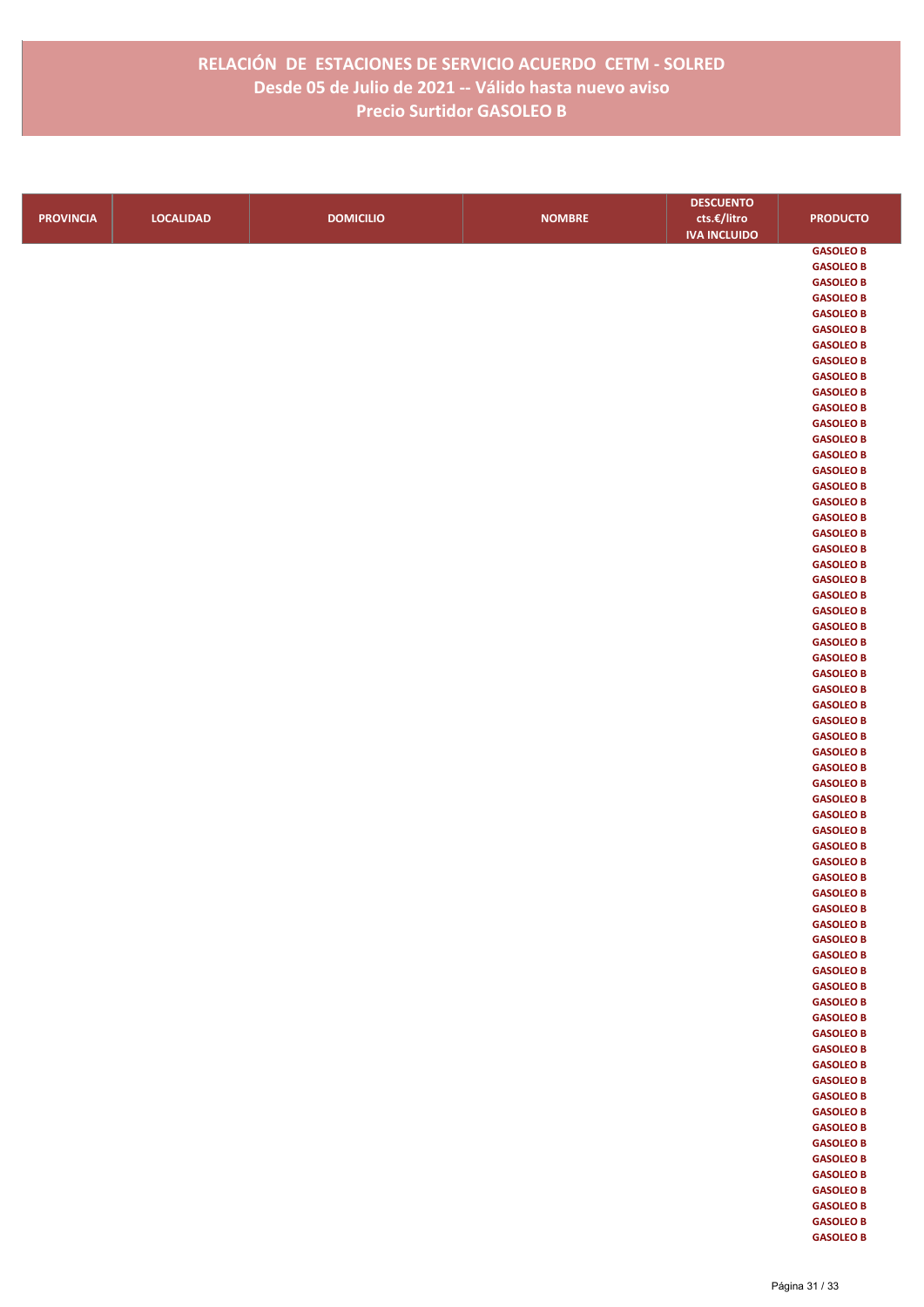|                  |                  |                  |               | <b>DESCUENTO</b>    |                                      |
|------------------|------------------|------------------|---------------|---------------------|--------------------------------------|
| <b>PROVINCIA</b> | <b>LOCALIDAD</b> | <b>DOMICILIO</b> | <b>NOMBRE</b> | cts.€/litro         | <b>PRODUCTO</b>                      |
|                  |                  |                  |               | <b>IVA INCLUIDO</b> |                                      |
|                  |                  |                  |               |                     | <b>GASOLEO B</b>                     |
|                  |                  |                  |               |                     | <b>GASOLEO B</b>                     |
|                  |                  |                  |               |                     | <b>GASOLEO B</b>                     |
|                  |                  |                  |               |                     | <b>GASOLEO B</b>                     |
|                  |                  |                  |               |                     | <b>GASOLEO B</b>                     |
|                  |                  |                  |               |                     | <b>GASOLEO B</b>                     |
|                  |                  |                  |               |                     | <b>GASOLEO B</b>                     |
|                  |                  |                  |               |                     | <b>GASOLEO B</b>                     |
|                  |                  |                  |               |                     | <b>GASOLEO B</b>                     |
|                  |                  |                  |               |                     | <b>GASOLEO B</b>                     |
|                  |                  |                  |               |                     | <b>GASOLEO B</b>                     |
|                  |                  |                  |               |                     | <b>GASOLEO B</b><br><b>GASOLEO B</b> |
|                  |                  |                  |               |                     | <b>GASOLEO B</b>                     |
|                  |                  |                  |               |                     | <b>GASOLEO B</b>                     |
|                  |                  |                  |               |                     | <b>GASOLEO B</b>                     |
|                  |                  |                  |               |                     | <b>GASOLEO B</b>                     |
|                  |                  |                  |               |                     | <b>GASOLEO B</b>                     |
|                  |                  |                  |               |                     | <b>GASOLEO B</b>                     |
|                  |                  |                  |               |                     | <b>GASOLEO B</b>                     |
|                  |                  |                  |               |                     | <b>GASOLEO B</b>                     |
|                  |                  |                  |               |                     | <b>GASOLEO B</b>                     |
|                  |                  |                  |               |                     | <b>GASOLEO B</b>                     |
|                  |                  |                  |               |                     | <b>GASOLEO B</b>                     |
|                  |                  |                  |               |                     | <b>GASOLEO B</b>                     |
|                  |                  |                  |               |                     | <b>GASOLEO B</b>                     |
|                  |                  |                  |               |                     | <b>GASOLEO B</b>                     |
|                  |                  |                  |               |                     | <b>GASOLEO B</b>                     |
|                  |                  |                  |               |                     | <b>GASOLEO B</b>                     |
|                  |                  |                  |               |                     | <b>GASOLEO B</b>                     |
|                  |                  |                  |               |                     | <b>GASOLEO B</b>                     |
|                  |                  |                  |               |                     | <b>GASOLEO B</b>                     |
|                  |                  |                  |               |                     | <b>GASOLEO B</b>                     |
|                  |                  |                  |               |                     | <b>GASOLEO B</b>                     |
|                  |                  |                  |               |                     | <b>GASOLEO B</b>                     |
|                  |                  |                  |               |                     | <b>GASOLEO B</b><br><b>GASOLEO B</b> |
|                  |                  |                  |               |                     | <b>GASOLEO B</b>                     |
|                  |                  |                  |               |                     | <b>GASOLEO B</b>                     |
|                  |                  |                  |               |                     | <b>GASOLEO B</b>                     |
|                  |                  |                  |               |                     | <b>GASOLEO B</b>                     |
|                  |                  |                  |               |                     | <b>GASOLEO B</b>                     |
|                  |                  |                  |               |                     | <b>GASOLEO B</b>                     |
|                  |                  |                  |               |                     | <b>GASOLEO B</b>                     |
|                  |                  |                  |               |                     | <b>GASOLEO B</b>                     |
|                  |                  |                  |               |                     | <b>GASOLEO B</b>                     |
|                  |                  |                  |               |                     | <b>GASOLEO B</b>                     |
|                  |                  |                  |               |                     | <b>GASOLEO B</b>                     |
|                  |                  |                  |               |                     | <b>GASOLEO B</b>                     |
|                  |                  |                  |               |                     | <b>GASOLEO B</b>                     |
|                  |                  |                  |               |                     | <b>GASOLEO B</b>                     |
|                  |                  |                  |               |                     | <b>GASOLEO B</b>                     |
|                  |                  |                  |               |                     | <b>GASOLEO B</b>                     |
|                  |                  |                  |               |                     | <b>GASOLEO B</b>                     |
|                  |                  |                  |               |                     | <b>GASOLEO B</b>                     |
|                  |                  |                  |               |                     | <b>GASOLEO B</b>                     |
|                  |                  |                  |               |                     | <b>GASOLEO B</b><br><b>GASOLEO B</b> |
|                  |                  |                  |               |                     | <b>GASOLEO B</b>                     |
|                  |                  |                  |               |                     | <b>GASOLEO B</b>                     |
|                  |                  |                  |               |                     | <b>GASOLEO B</b>                     |
|                  |                  |                  |               |                     | <b>GASOLEO B</b>                     |
|                  |                  |                  |               |                     | <b>GASOLEO B</b>                     |
|                  |                  |                  |               |                     | <b>GASOLEO B</b>                     |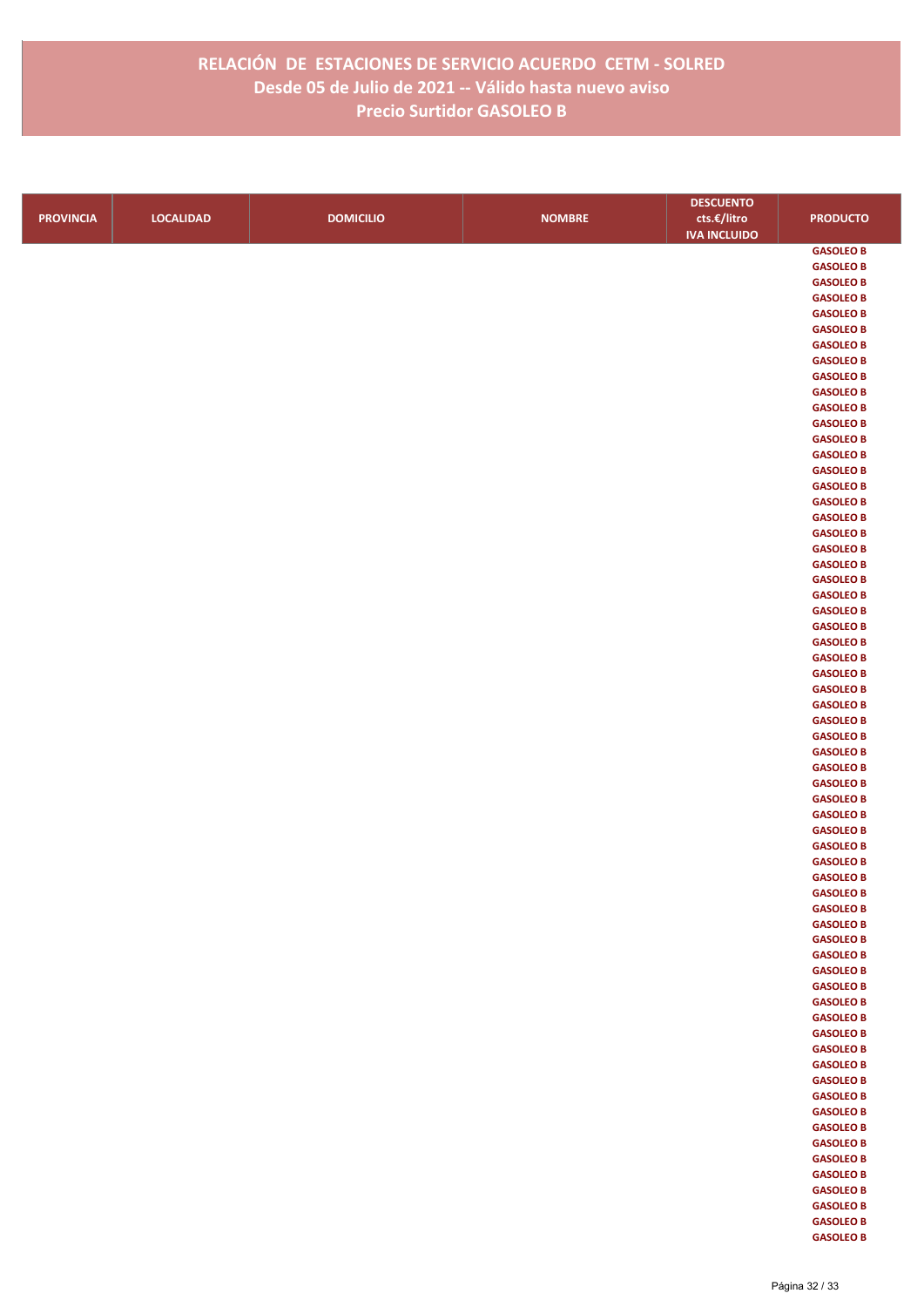|                  |                  |                  |               | <b>DESCUENTO</b>    |                                      |
|------------------|------------------|------------------|---------------|---------------------|--------------------------------------|
| <b>PROVINCIA</b> | <b>LOCALIDAD</b> | <b>DOMICILIO</b> | <b>NOMBRE</b> | cts.€/litro         | <b>PRODUCTO</b>                      |
|                  |                  |                  |               | <b>IVA INCLUIDO</b> |                                      |
|                  |                  |                  |               |                     | <b>GASOLEO B</b>                     |
|                  |                  |                  |               |                     | <b>GASOLEO B</b>                     |
|                  |                  |                  |               |                     | <b>GASOLEO B</b>                     |
|                  |                  |                  |               |                     | <b>GASOLEO B</b>                     |
|                  |                  |                  |               |                     | <b>GASOLEO B</b>                     |
|                  |                  |                  |               |                     | <b>GASOLEO B</b>                     |
|                  |                  |                  |               |                     | <b>GASOLEO B</b>                     |
|                  |                  |                  |               |                     | <b>GASOLEO B</b>                     |
|                  |                  |                  |               |                     | <b>GASOLEO B</b>                     |
|                  |                  |                  |               |                     | <b>GASOLEO B</b>                     |
|                  |                  |                  |               |                     | <b>GASOLEO B</b>                     |
|                  |                  |                  |               |                     | <b>GASOLEO B</b><br><b>GASOLEO B</b> |
|                  |                  |                  |               |                     | <b>GASOLEO B</b>                     |
|                  |                  |                  |               |                     | <b>GASOLEO B</b>                     |
|                  |                  |                  |               |                     | <b>GASOLEO B</b>                     |
|                  |                  |                  |               |                     | <b>GASOLEO B</b>                     |
|                  |                  |                  |               |                     | <b>GASOLEO B</b>                     |
|                  |                  |                  |               |                     | <b>GASOLEO B</b>                     |
|                  |                  |                  |               |                     | <b>GASOLEO B</b>                     |
|                  |                  |                  |               |                     | <b>GASOLEO B</b>                     |
|                  |                  |                  |               |                     | <b>GASOLEO B</b>                     |
|                  |                  |                  |               |                     | <b>GASOLEO B</b>                     |
|                  |                  |                  |               |                     | <b>GASOLEO B</b>                     |
|                  |                  |                  |               |                     | <b>GASOLEO B</b>                     |
|                  |                  |                  |               |                     | <b>GASOLEO B</b>                     |
|                  |                  |                  |               |                     | <b>GASOLEO B</b>                     |
|                  |                  |                  |               |                     | <b>GASOLEO B</b>                     |
|                  |                  |                  |               |                     | <b>GASOLEO B</b>                     |
|                  |                  |                  |               |                     | <b>GASOLEO B</b>                     |
|                  |                  |                  |               |                     | <b>GASOLEO B</b>                     |
|                  |                  |                  |               |                     | <b>GASOLEO B</b>                     |
|                  |                  |                  |               |                     | <b>GASOLEO B</b>                     |
|                  |                  |                  |               |                     | <b>GASOLEO B</b>                     |
|                  |                  |                  |               |                     | <b>GASOLEO B</b>                     |
|                  |                  |                  |               |                     | <b>GASOLEO B</b><br><b>GASOLEO B</b> |
|                  |                  |                  |               |                     | <b>GASOLEO B</b>                     |
|                  |                  |                  |               |                     | <b>GASOLEO B</b>                     |
|                  |                  |                  |               |                     | <b>GASOLEO B</b>                     |
|                  |                  |                  |               |                     | <b>GASOLEO B</b>                     |
|                  |                  |                  |               |                     | <b>GASOLEO B</b>                     |
|                  |                  |                  |               |                     | <b>GASOLEO B</b>                     |
|                  |                  |                  |               |                     | <b>GASOLEO B</b>                     |
|                  |                  |                  |               |                     | <b>GASOLEO B</b>                     |
|                  |                  |                  |               |                     | <b>GASOLEO B</b>                     |
|                  |                  |                  |               |                     | <b>GASOLEO B</b>                     |
|                  |                  |                  |               |                     | <b>GASOLEO B</b>                     |
|                  |                  |                  |               |                     | <b>GASOLEO B</b>                     |
|                  |                  |                  |               |                     | <b>GASOLEO B</b>                     |
|                  |                  |                  |               |                     | <b>GASOLEO B</b>                     |
|                  |                  |                  |               |                     | <b>GASOLEO B</b>                     |
|                  |                  |                  |               |                     | <b>GASOLEO B</b>                     |
|                  |                  |                  |               |                     | <b>GASOLEO B</b>                     |
|                  |                  |                  |               |                     | <b>GASOLEO B</b>                     |
|                  |                  |                  |               |                     | <b>GASOLEO B</b>                     |
|                  |                  |                  |               |                     | <b>GASOLEO B</b><br><b>GASOLEO B</b> |
|                  |                  |                  |               |                     | <b>GASOLEO B</b>                     |
|                  |                  |                  |               |                     | <b>GASOLEO B</b>                     |
|                  |                  |                  |               |                     | <b>GASOLEO B</b>                     |
|                  |                  |                  |               |                     | <b>GASOLEO B</b>                     |
|                  |                  |                  |               |                     | <b>GASOLEO B</b>                     |
|                  |                  |                  |               |                     | <b>GASOLEO B</b>                     |